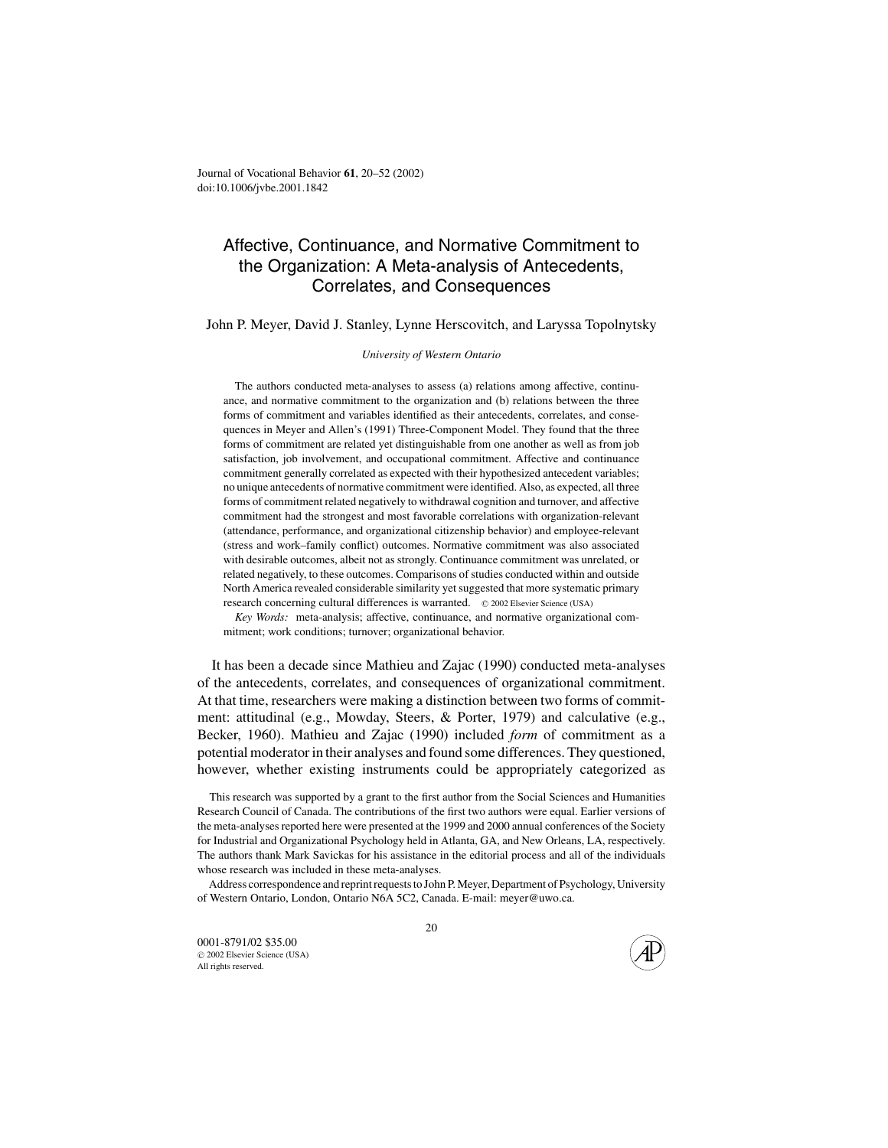# Affective, Continuance, and Normative Commitment to the Organization: A Meta-analysis of Antecedents, Correlates, and Consequences

# John P. Meyer, David J. Stanley, Lynne Herscovitch, and Laryssa Topolnytsky

#### *University of Western Ontario*

The authors conducted meta-analyses to assess (a) relations among affective, continuance, and normative commitment to the organization and (b) relations between the three forms of commitment and variables identified as their antecedents, correlates, and consequences in Meyer and Allen's (1991) Three-Component Model. They found that the three forms of commitment are related yet distinguishable from one another as well as from job satisfaction, job involvement, and occupational commitment. Affective and continuance commitment generally correlated as expected with their hypothesized antecedent variables; no unique antecedents of normative commitment were identified. Also, as expected, all three forms of commitment related negatively to withdrawal cognition and turnover, and affective commitment had the strongest and most favorable correlations with organization-relevant (attendance, performance, and organizational citizenship behavior) and employee-relevant (stress and work–family conflict) outcomes. Normative commitment was also associated with desirable outcomes, albeit not as strongly. Continuance commitment was unrelated, or related negatively, to these outcomes. Comparisons of studies conducted within and outside North America revealed considerable similarity yet suggested that more systematic primary research concerning cultural differences is warranted.  $\circ$  2002 Elsevier Science (USA)

*Key Words:* meta-analysis; affective, continuance, and normative organizational commitment; work conditions; turnover; organizational behavior.

It has been a decade since Mathieu and Zajac (1990) conducted meta-analyses of the antecedents, correlates, and consequences of organizational commitment. At that time, researchers were making a distinction between two forms of commitment: attitudinal (e.g., Mowday, Steers, & Porter, 1979) and calculative (e.g., Becker, 1960). Mathieu and Zajac (1990) included *form* of commitment as a potential moderator in their analyses and found some differences. They questioned, however, whether existing instruments could be appropriately categorized as

This research was supported by a grant to the first author from the Social Sciences and Humanities Research Council of Canada. The contributions of the first two authors were equal. Earlier versions of the meta-analyses reported here were presented at the 1999 and 2000 annual conferences of the Society for Industrial and Organizational Psychology held in Atlanta, GA, and New Orleans, LA, respectively. The authors thank Mark Savickas for his assistance in the editorial process and all of the individuals whose research was included in these meta-analyses.

Address correspondence and reprint requests to John P. Meyer, Department of Psychology, University of Western Ontario, London, Ontario N6A 5C2, Canada. E-mail: meyer@uwo.ca.

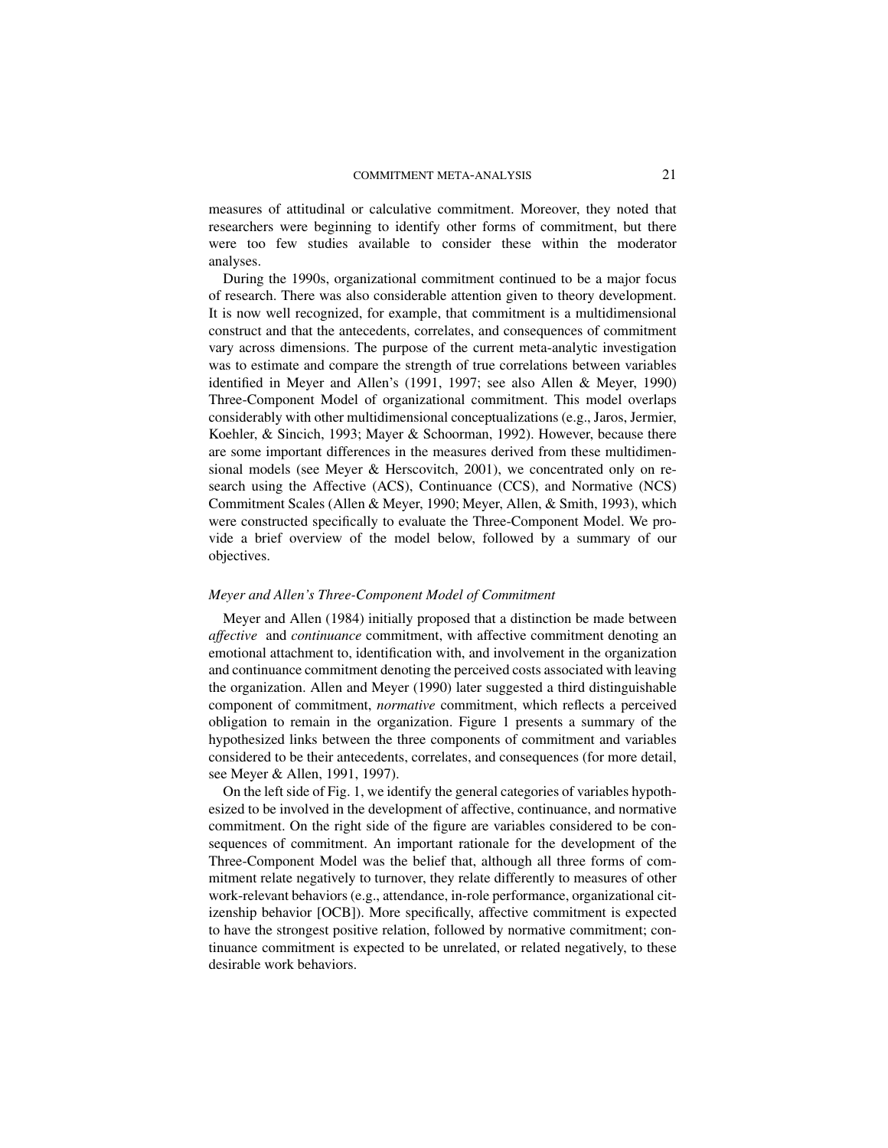measures of attitudinal or calculative commitment. Moreover, they noted that researchers were beginning to identify other forms of commitment, but there were too few studies available to consider these within the moderator analyses.

During the 1990s, organizational commitment continued to be a major focus of research. There was also considerable attention given to theory development. It is now well recognized, for example, that commitment is a multidimensional construct and that the antecedents, correlates, and consequences of commitment vary across dimensions. The purpose of the current meta-analytic investigation was to estimate and compare the strength of true correlations between variables identified in Meyer and Allen's (1991, 1997; see also Allen & Meyer, 1990) Three-Component Model of organizational commitment. This model overlaps considerably with other multidimensional conceptualizations (e.g., Jaros, Jermier, Koehler, & Sincich, 1993; Mayer & Schoorman, 1992). However, because there are some important differences in the measures derived from these multidimensional models (see Meyer & Herscovitch, 2001), we concentrated only on research using the Affective (ACS), Continuance (CCS), and Normative (NCS) Commitment Scales (Allen & Meyer, 1990; Meyer, Allen, & Smith, 1993), which were constructed specifically to evaluate the Three-Component Model. We provide a brief overview of the model below, followed by a summary of our objectives.

## *Meyer and Allen's Three-Component Model of Commitment*

Meyer and Allen (1984) initially proposed that a distinction be made between *affective* and *continuance* commitment, with affective commitment denoting an emotional attachment to, identification with, and involvement in the organization and continuance commitment denoting the perceived costs associated with leaving the organization. Allen and Meyer (1990) later suggested a third distinguishable component of commitment, *normative* commitment, which reflects a perceived obligation to remain in the organization. Figure 1 presents a summary of the hypothesized links between the three components of commitment and variables considered to be their antecedents, correlates, and consequences (for more detail, see Meyer & Allen, 1991, 1997).

On the left side of Fig. 1, we identify the general categories of variables hypothesized to be involved in the development of affective, continuance, and normative commitment. On the right side of the figure are variables considered to be consequences of commitment. An important rationale for the development of the Three-Component Model was the belief that, although all three forms of commitment relate negatively to turnover, they relate differently to measures of other work-relevant behaviors (e.g., attendance, in-role performance, organizational citizenship behavior [OCB]). More specifically, affective commitment is expected to have the strongest positive relation, followed by normative commitment; continuance commitment is expected to be unrelated, or related negatively, to these desirable work behaviors.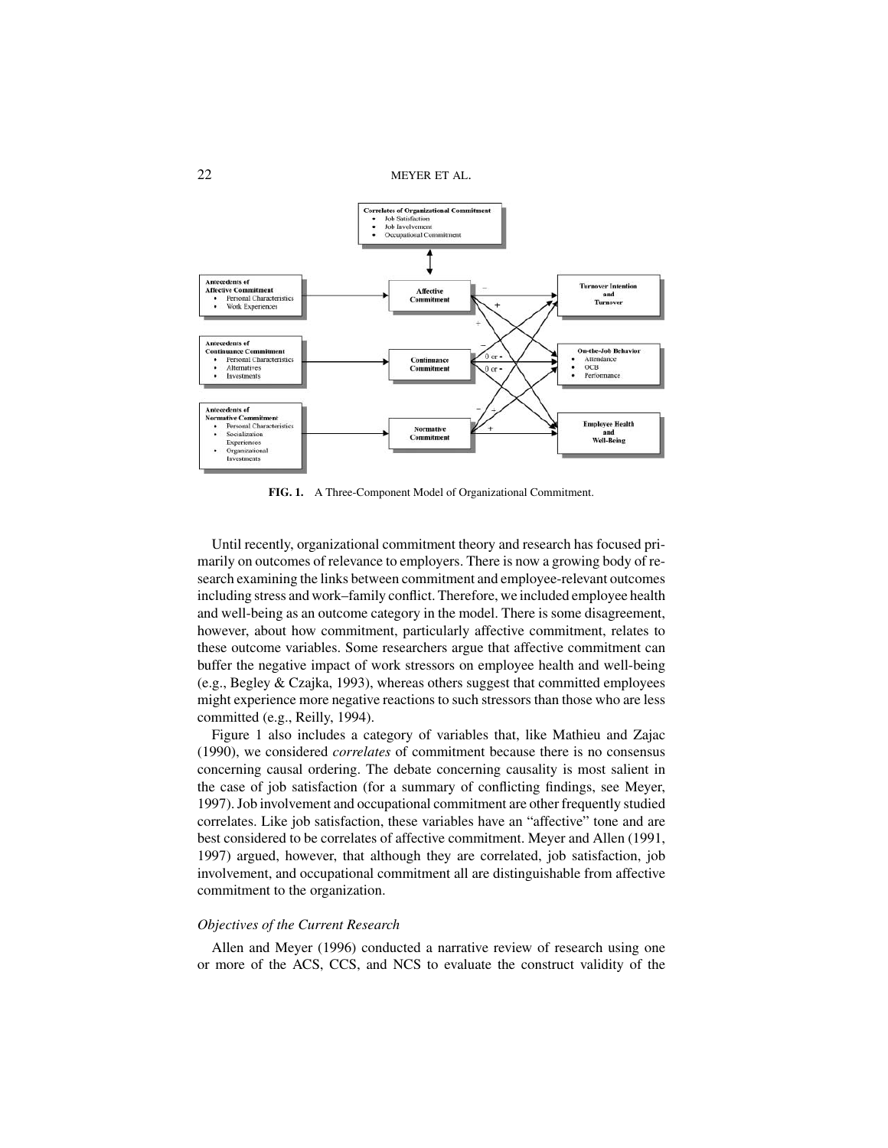

**FIG. 1.** A Three-Component Model of Organizational Commitment.

Until recently, organizational commitment theory and research has focused primarily on outcomes of relevance to employers. There is now a growing body of research examining the links between commitment and employee-relevant outcomes including stress and work–family conflict. Therefore, we included employee health and well-being as an outcome category in the model. There is some disagreement, however, about how commitment, particularly affective commitment, relates to these outcome variables. Some researchers argue that affective commitment can buffer the negative impact of work stressors on employee health and well-being (e.g., Begley & Czajka, 1993), whereas others suggest that committed employees might experience more negative reactions to such stressors than those who are less committed (e.g., Reilly, 1994).

Figure 1 also includes a category of variables that, like Mathieu and Zajac (1990), we considered *correlates* of commitment because there is no consensus concerning causal ordering. The debate concerning causality is most salient in the case of job satisfaction (for a summary of conflicting findings, see Meyer, 1997). Job involvement and occupational commitment are other frequently studied correlates. Like job satisfaction, these variables have an "affective" tone and are best considered to be correlates of affective commitment. Meyer and Allen (1991, 1997) argued, however, that although they are correlated, job satisfaction, job involvement, and occupational commitment all are distinguishable from affective commitment to the organization.

#### *Objectives of the Current Research*

Allen and Meyer (1996) conducted a narrative review of research using one or more of the ACS, CCS, and NCS to evaluate the construct validity of the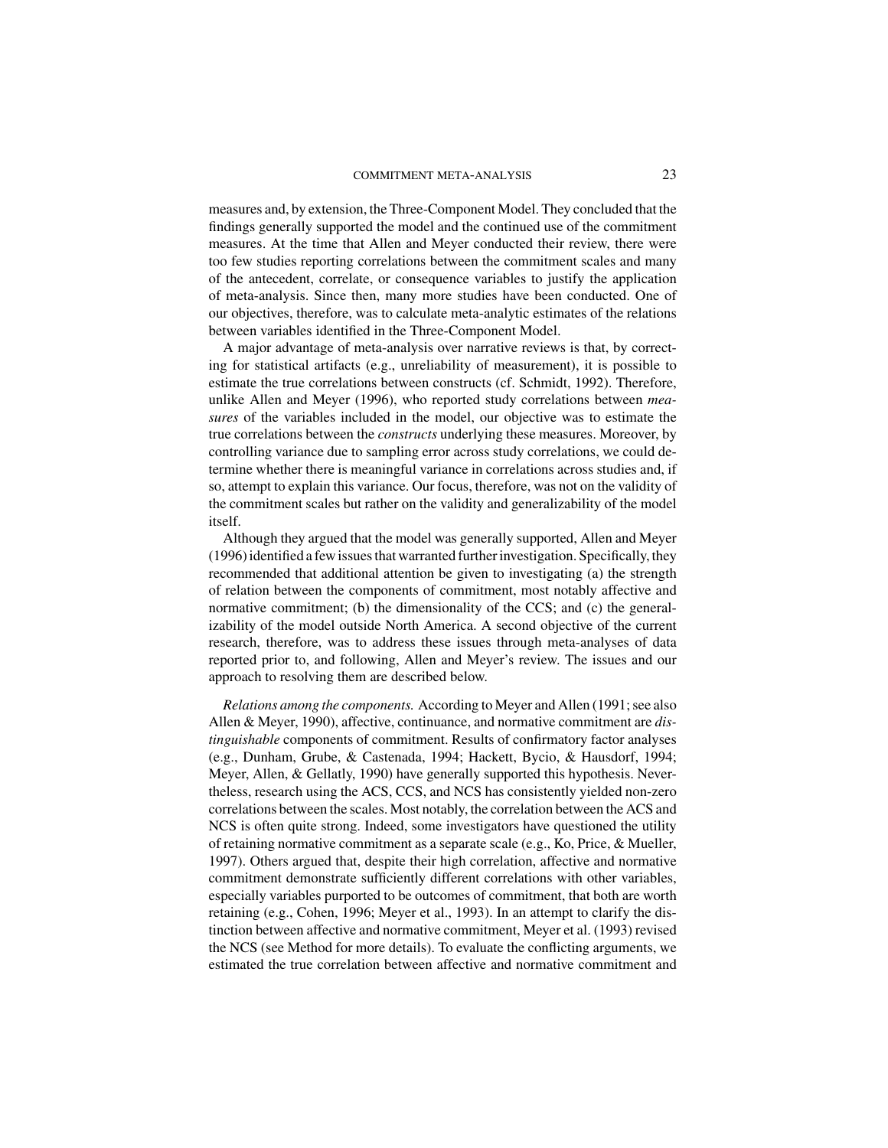measures and, by extension, the Three-Component Model. They concluded that the findings generally supported the model and the continued use of the commitment measures. At the time that Allen and Meyer conducted their review, there were too few studies reporting correlations between the commitment scales and many of the antecedent, correlate, or consequence variables to justify the application of meta-analysis. Since then, many more studies have been conducted. One of our objectives, therefore, was to calculate meta-analytic estimates of the relations between variables identified in the Three-Component Model.

A major advantage of meta-analysis over narrative reviews is that, by correcting for statistical artifacts (e.g., unreliability of measurement), it is possible to estimate the true correlations between constructs (cf. Schmidt, 1992). Therefore, unlike Allen and Meyer (1996), who reported study correlations between *measures* of the variables included in the model, our objective was to estimate the true correlations between the *constructs* underlying these measures. Moreover, by controlling variance due to sampling error across study correlations, we could determine whether there is meaningful variance in correlations across studies and, if so, attempt to explain this variance. Our focus, therefore, was not on the validity of the commitment scales but rather on the validity and generalizability of the model itself.

Although they argued that the model was generally supported, Allen and Meyer (1996) identified a few issues that warranted further investigation. Specifically, they recommended that additional attention be given to investigating (a) the strength of relation between the components of commitment, most notably affective and normative commitment; (b) the dimensionality of the CCS; and (c) the generalizability of the model outside North America. A second objective of the current research, therefore, was to address these issues through meta-analyses of data reported prior to, and following, Allen and Meyer's review. The issues and our approach to resolving them are described below.

*Relations among the components.* According to Meyer and Allen (1991; see also Allen & Meyer, 1990), affective, continuance, and normative commitment are *distinguishable* components of commitment. Results of confirmatory factor analyses (e.g., Dunham, Grube, & Castenada, 1994; Hackett, Bycio, & Hausdorf, 1994; Meyer, Allen, & Gellatly, 1990) have generally supported this hypothesis. Nevertheless, research using the ACS, CCS, and NCS has consistently yielded non-zero correlations between the scales. Most notably, the correlation between the ACS and NCS is often quite strong. Indeed, some investigators have questioned the utility of retaining normative commitment as a separate scale (e.g., Ko, Price, & Mueller, 1997). Others argued that, despite their high correlation, affective and normative commitment demonstrate sufficiently different correlations with other variables, especially variables purported to be outcomes of commitment, that both are worth retaining (e.g., Cohen, 1996; Meyer et al., 1993). In an attempt to clarify the distinction between affective and normative commitment, Meyer et al. (1993) revised the NCS (see Method for more details). To evaluate the conflicting arguments, we estimated the true correlation between affective and normative commitment and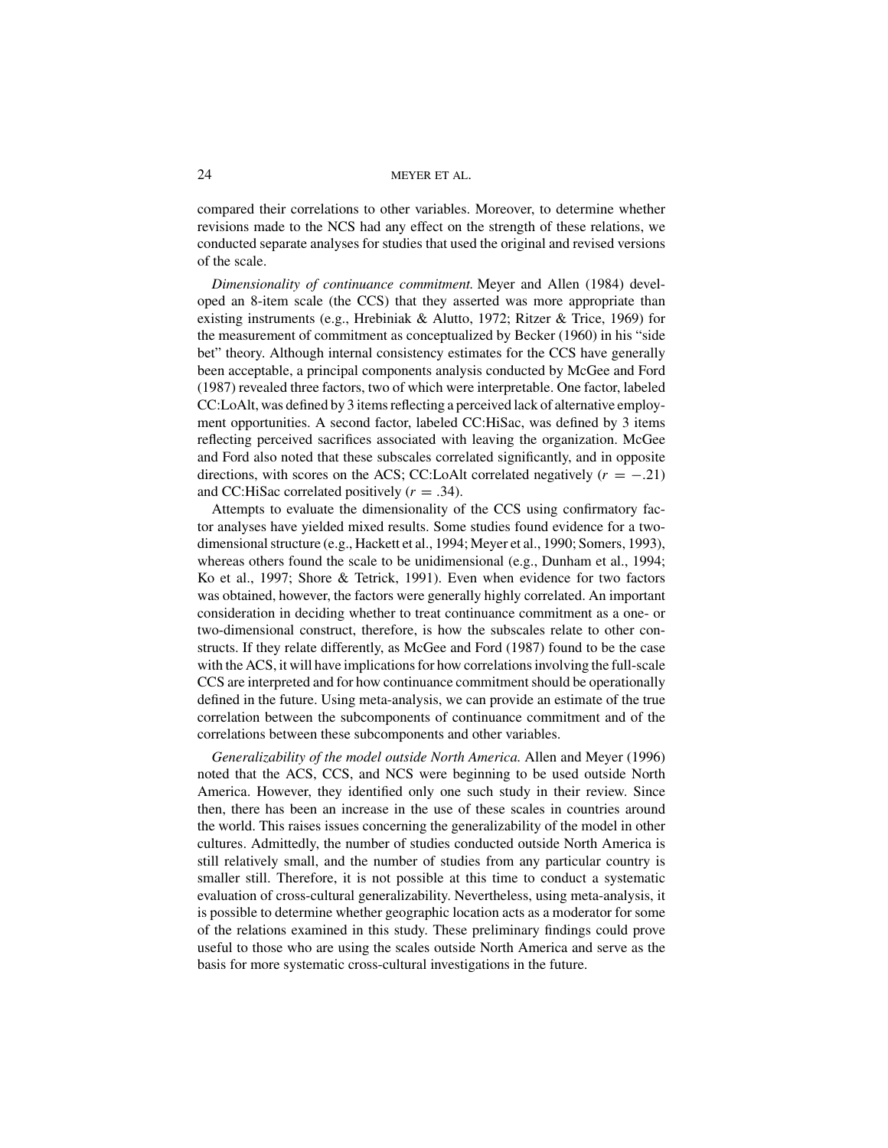compared their correlations to other variables. Moreover, to determine whether revisions made to the NCS had any effect on the strength of these relations, we conducted separate analyses for studies that used the original and revised versions of the scale.

*Dimensionality of continuance commitment.* Meyer and Allen (1984) developed an 8-item scale (the CCS) that they asserted was more appropriate than existing instruments (e.g., Hrebiniak & Alutto, 1972; Ritzer & Trice, 1969) for the measurement of commitment as conceptualized by Becker (1960) in his "side bet" theory. Although internal consistency estimates for the CCS have generally been acceptable, a principal components analysis conducted by McGee and Ford (1987) revealed three factors, two of which were interpretable. One factor, labeled CC:LoAlt, was defined by 3 items reflecting a perceived lack of alternative employment opportunities. A second factor, labeled CC:HiSac, was defined by 3 items reflecting perceived sacrifices associated with leaving the organization. McGee and Ford also noted that these subscales correlated significantly, and in opposite directions, with scores on the ACS; CC:LoAlt correlated negatively  $(r = -.21)$ and CC:HiSac correlated positively  $(r = .34)$ .

Attempts to evaluate the dimensionality of the CCS using confirmatory factor analyses have yielded mixed results. Some studies found evidence for a twodimensional structure (e.g., Hackett et al., 1994; Meyer et al., 1990; Somers, 1993), whereas others found the scale to be unidimensional (e.g., Dunham et al., 1994; Ko et al., 1997; Shore & Tetrick, 1991). Even when evidence for two factors was obtained, however, the factors were generally highly correlated. An important consideration in deciding whether to treat continuance commitment as a one- or two-dimensional construct, therefore, is how the subscales relate to other constructs. If they relate differently, as McGee and Ford (1987) found to be the case with the ACS, it will have implications for how correlations involving the full-scale CCS are interpreted and for how continuance commitment should be operationally defined in the future. Using meta-analysis, we can provide an estimate of the true correlation between the subcomponents of continuance commitment and of the correlations between these subcomponents and other variables.

*Generalizability of the model outside North America.* Allen and Meyer (1996) noted that the ACS, CCS, and NCS were beginning to be used outside North America. However, they identified only one such study in their review. Since then, there has been an increase in the use of these scales in countries around the world. This raises issues concerning the generalizability of the model in other cultures. Admittedly, the number of studies conducted outside North America is still relatively small, and the number of studies from any particular country is smaller still. Therefore, it is not possible at this time to conduct a systematic evaluation of cross-cultural generalizability. Nevertheless, using meta-analysis, it is possible to determine whether geographic location acts as a moderator for some of the relations examined in this study. These preliminary findings could prove useful to those who are using the scales outside North America and serve as the basis for more systematic cross-cultural investigations in the future.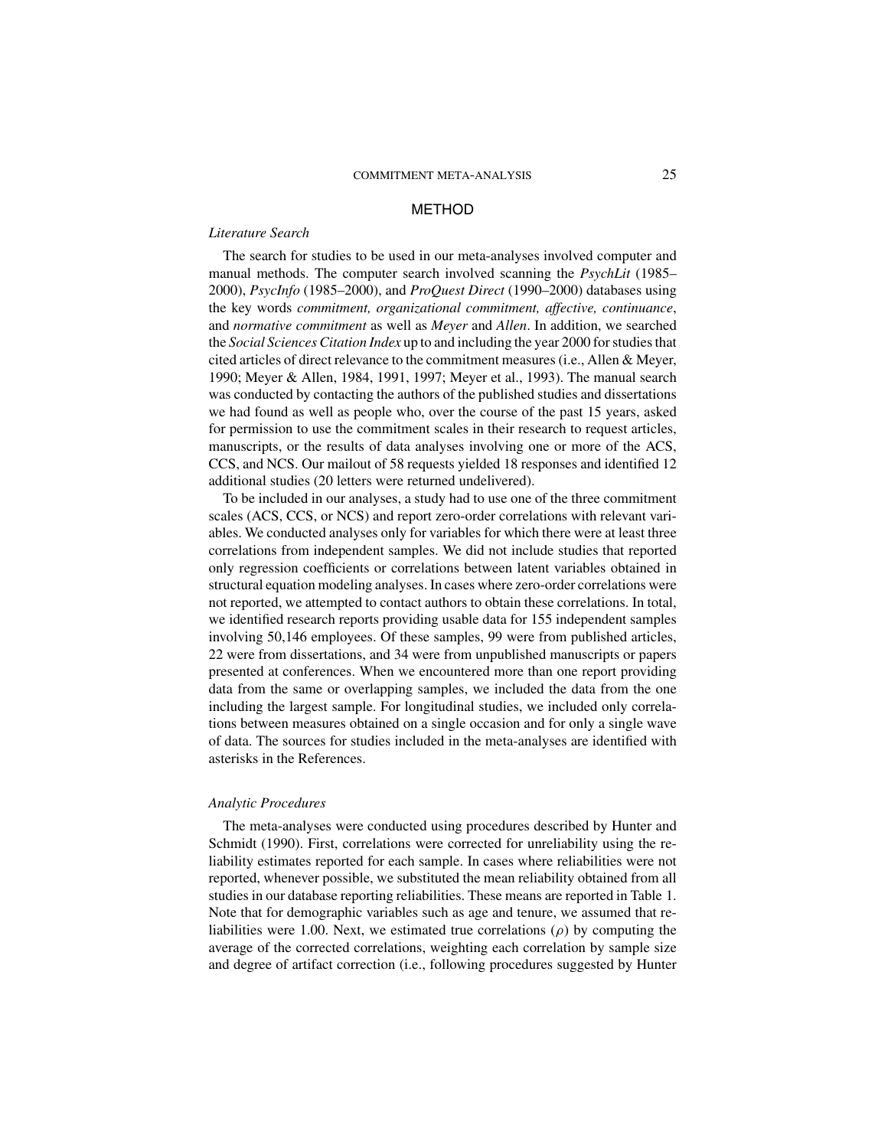## METHOD

## *Literature Search*

The search for studies to be used in our meta-analyses involved computer and manual methods. The computer search involved scanning the *PsychLit* (1985– 2000), *PsycInfo* (1985–2000), and *ProQuest Direct* (1990–2000) databases using the key words *commitment, organizational commitment, affective, continuance*, and *normative commitment* as well as *Meyer* and *Allen*. In addition, we searched the *Social Sciences Citation Index* up to and including the year 2000 for studies that cited articles of direct relevance to the commitment measures (i.e., Allen & Meyer, 1990; Meyer & Allen, 1984, 1991, 1997; Meyer et al., 1993). The manual search was conducted by contacting the authors of the published studies and dissertations we had found as well as people who, over the course of the past 15 years, asked for permission to use the commitment scales in their research to request articles, manuscripts, or the results of data analyses involving one or more of the ACS, CCS, and NCS. Our mailout of 58 requests yielded 18 responses and identified 12 additional studies (20 letters were returned undelivered).

To be included in our analyses, a study had to use one of the three commitment scales (ACS, CCS, or NCS) and report zero-order correlations with relevant variables. We conducted analyses only for variables for which there were at least three correlations from independent samples. We did not include studies that reported only regression coefficients or correlations between latent variables obtained in structural equation modeling analyses. In cases where zero-order correlations were not reported, we attempted to contact authors to obtain these correlations. In total, we identified research reports providing usable data for 155 independent samples involving 50,146 employees. Of these samples, 99 were from published articles, 22 were from dissertations, and 34 were from unpublished manuscripts or papers presented at conferences. When we encountered more than one report providing data from the same or overlapping samples, we included the data from the one including the largest sample. For longitudinal studies, we included only correlations between measures obtained on a single occasion and for only a single wave of data. The sources for studies included in the meta-analyses are identified with asterisks in the References.

#### *Analytic Procedures*

The meta-analyses were conducted using procedures described by Hunter and Schmidt (1990). First, correlations were corrected for unreliability using the reliability estimates reported for each sample. In cases where reliabilities were not reported, whenever possible, we substituted the mean reliability obtained from all studies in our database reporting reliabilities. These means are reported in Table 1. Note that for demographic variables such as age and tenure, we assumed that reliabilities were 1.00. Next, we estimated true correlations  $(\rho)$  by computing the average of the corrected correlations, weighting each correlation by sample size and degree of artifact correction (i.e., following procedures suggested by Hunter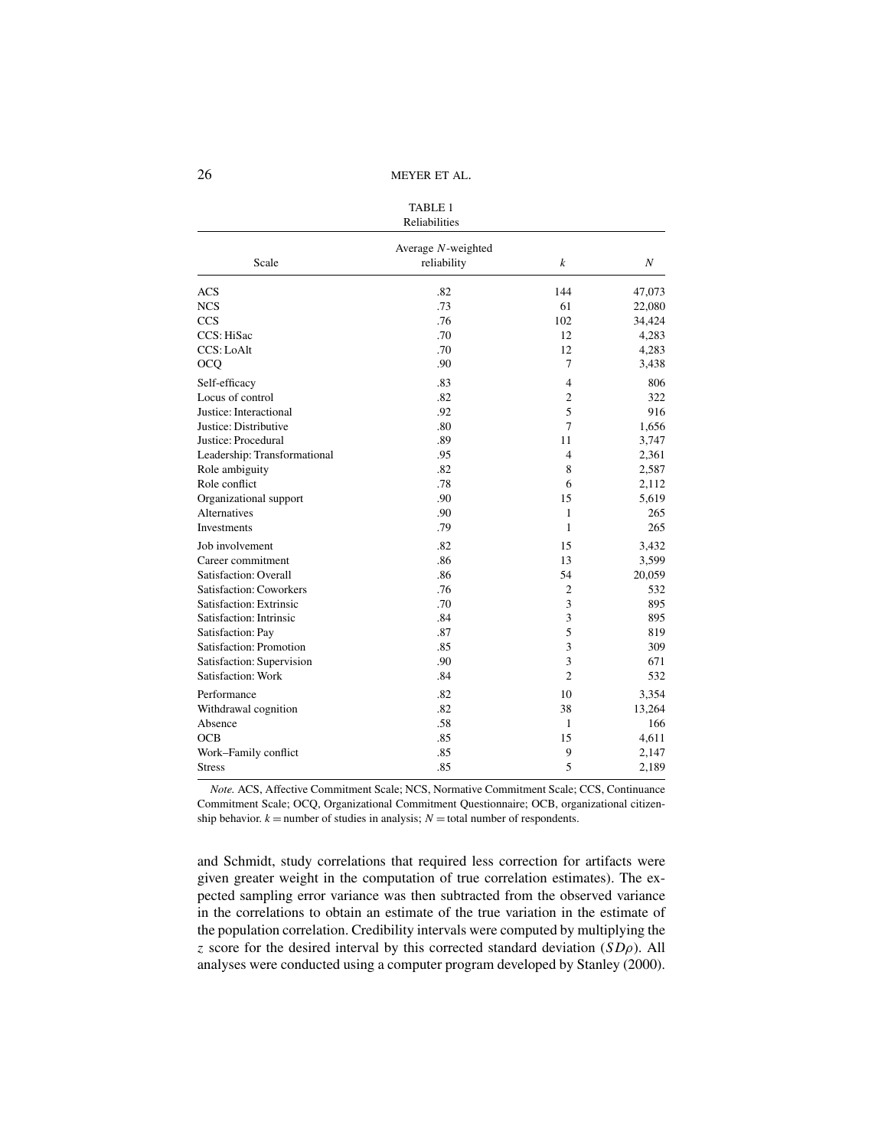#### 26 MEYER ET AL.

#### TABLE 1 Reliabilities

|                              | Average N-weighted |                  |                  |
|------------------------------|--------------------|------------------|------------------|
| Scale                        | reliability        | $\boldsymbol{k}$ | $\boldsymbol{N}$ |
| <b>ACS</b>                   | .82                | 144              | 47,073           |
| <b>NCS</b>                   | .73                | 61               | 22,080           |
| <b>CCS</b>                   | .76                | 102              | 34,424           |
| CCS: HiSac                   | .70                | 12               | 4,283            |
| <b>CCS: LoAlt</b>            | .70                | 12               | 4,283            |
| OCQ                          | .90                | 7                | 3,438            |
| Self-efficacy                | .83                | $\overline{4}$   | 806              |
| Locus of control             | .82                | $\overline{c}$   | 322              |
| Justice: Interactional       | .92                | 5                | 916              |
| Justice: Distributive        | .80                | 7                | 1,656            |
| Justice: Procedural          | .89                | 11               | 3,747            |
| Leadership: Transformational | .95                | $\overline{4}$   | 2,361            |
| Role ambiguity               | .82                | 8                | 2,587            |
| Role conflict                | .78                | 6                | 2,112            |
| Organizational support       | .90                | 15               | 5,619            |
| <b>Alternatives</b>          | .90                | $\mathbf{1}$     | 265              |
| Investments                  | .79                | $\mathbf{1}$     | 265              |
| Job involvement              | .82                | 15               | 3,432            |
| Career commitment            | .86                | 13               | 3,599            |
| Satisfaction: Overall        | .86                | 54               | 20,059           |
| Satisfaction: Coworkers      | .76                | $\overline{c}$   | 532              |
| Satisfaction: Extrinsic      | .70                | 3                | 895              |
| Satisfaction: Intrinsic      | .84                | 3                | 895              |
| Satisfaction: Pay            | .87                | 5                | 819              |
| Satisfaction: Promotion      | .85                | 3                | 309              |
| Satisfaction: Supervision    | .90                | 3                | 671              |
| Satisfaction: Work           | .84                | $\overline{2}$   | 532              |
| Performance                  | .82                | 10               | 3,354            |
| Withdrawal cognition         | .82                | 38               | 13,264           |
| Absence                      | .58                | $\mathbf{1}$     | 166              |
| <b>OCB</b>                   | .85                | 15               | 4,611            |
| Work-Family conflict         | .85                | 9                | 2,147            |
| <b>Stress</b>                | .85                | 5                | 2,189            |

*Note.* ACS, Affective Commitment Scale; NCS, Normative Commitment Scale; CCS, Continuance Commitment Scale; OCQ, Organizational Commitment Questionnaire; OCB, organizational citizenship behavior.  $k =$  number of studies in analysis;  $N =$  total number of respondents.

and Schmidt, study correlations that required less correction for artifacts were given greater weight in the computation of true correlation estimates). The expected sampling error variance was then subtracted from the observed variance in the correlations to obtain an estimate of the true variation in the estimate of the population correlation. Credibility intervals were computed by multiplying the *z* score for the desired interval by this corrected standard deviation (*SD*ρ). All analyses were conducted using a computer program developed by Stanley (2000).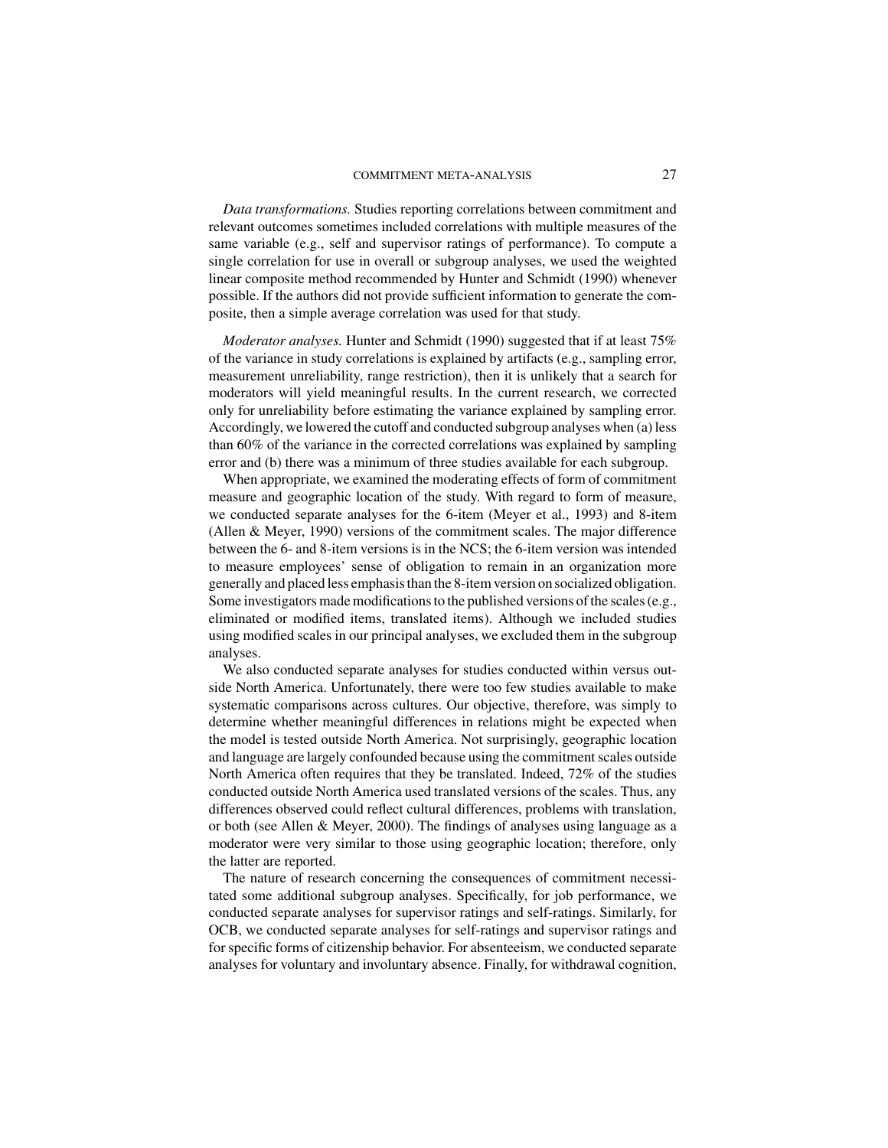*Data transformations.* Studies reporting correlations between commitment and relevant outcomes sometimes included correlations with multiple measures of the same variable (e.g., self and supervisor ratings of performance). To compute a single correlation for use in overall or subgroup analyses, we used the weighted linear composite method recommended by Hunter and Schmidt (1990) whenever possible. If the authors did not provide sufficient information to generate the composite, then a simple average correlation was used for that study.

*Moderator analyses.* Hunter and Schmidt (1990) suggested that if at least 75% of the variance in study correlations is explained by artifacts (e.g., sampling error, measurement unreliability, range restriction), then it is unlikely that a search for moderators will yield meaningful results. In the current research, we corrected only for unreliability before estimating the variance explained by sampling error. Accordingly, we lowered the cutoff and conducted subgroup analyses when (a) less than 60% of the variance in the corrected correlations was explained by sampling error and (b) there was a minimum of three studies available for each subgroup.

When appropriate, we examined the moderating effects of form of commitment measure and geographic location of the study. With regard to form of measure, we conducted separate analyses for the 6-item (Meyer et al., 1993) and 8-item (Allen & Meyer, 1990) versions of the commitment scales. The major difference between the 6- and 8-item versions is in the NCS; the 6-item version was intended to measure employees' sense of obligation to remain in an organization more generally and placed less emphasis than the 8-item version on socialized obligation. Some investigators made modifications to the published versions of the scales (e.g., eliminated or modified items, translated items). Although we included studies using modified scales in our principal analyses, we excluded them in the subgroup analyses.

We also conducted separate analyses for studies conducted within versus outside North America. Unfortunately, there were too few studies available to make systematic comparisons across cultures. Our objective, therefore, was simply to determine whether meaningful differences in relations might be expected when the model is tested outside North America. Not surprisingly, geographic location and language are largely confounded because using the commitment scales outside North America often requires that they be translated. Indeed, 72% of the studies conducted outside North America used translated versions of the scales. Thus, any differences observed could reflect cultural differences, problems with translation, or both (see Allen & Meyer, 2000). The findings of analyses using language as a moderator were very similar to those using geographic location; therefore, only the latter are reported.

The nature of research concerning the consequences of commitment necessitated some additional subgroup analyses. Specifically, for job performance, we conducted separate analyses for supervisor ratings and self-ratings. Similarly, for OCB, we conducted separate analyses for self-ratings and supervisor ratings and for specific forms of citizenship behavior. For absenteeism, we conducted separate analyses for voluntary and involuntary absence. Finally, for withdrawal cognition,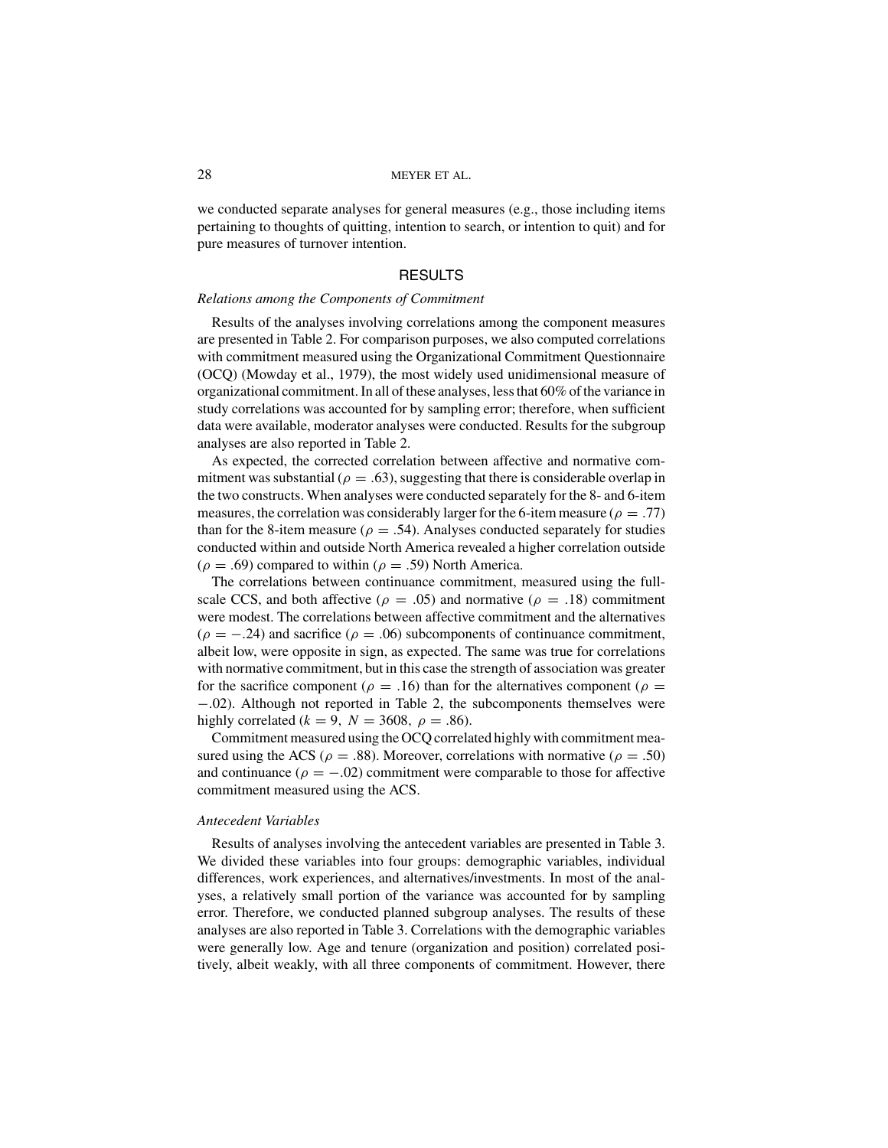we conducted separate analyses for general measures (e.g., those including items pertaining to thoughts of quitting, intention to search, or intention to quit) and for pure measures of turnover intention.

## RESULTS

## *Relations among the Components of Commitment*

Results of the analyses involving correlations among the component measures are presented in Table 2. For comparison purposes, we also computed correlations with commitment measured using the Organizational Commitment Ouestionnaire (OCQ) (Mowday et al., 1979), the most widely used unidimensional measure of organizational commitment. In all of these analyses, less that 60% of the variance in study correlations was accounted for by sampling error; therefore, when sufficient data were available, moderator analyses were conducted. Results for the subgroup analyses are also reported in Table 2.

As expected, the corrected correlation between affective and normative commitment was substantial ( $\rho = .63$ ), suggesting that there is considerable overlap in the two constructs. When analyses were conducted separately for the 8- and 6-item measures, the correlation was considerably larger for the 6-item measure ( $\rho = .77$ ) than for the 8-item measure ( $\rho = .54$ ). Analyses conducted separately for studies conducted within and outside North America revealed a higher correlation outside  $(\rho = .69)$  compared to within  $(\rho = .59)$  North America.

The correlations between continuance commitment, measured using the fullscale CCS, and both affective ( $\rho = .05$ ) and normative ( $\rho = .18$ ) commitment were modest. The correlations between affective commitment and the alternatives  $(\rho = -.24)$  and sacrifice ( $\rho = .06$ ) subcomponents of continuance commitment, albeit low, were opposite in sign, as expected. The same was true for correlations with normative commitment, but in this case the strength of association was greater for the sacrifice component ( $\rho = .16$ ) than for the alternatives component ( $\rho =$ −.02). Although not reported in Table 2, the subcomponents themselves were highly correlated ( $k = 9$ ,  $N = 3608$ ,  $\rho = .86$ ).

Commitment measured using the OCQ correlated highly with commitment measured using the ACS ( $\rho = .88$ ). Moreover, correlations with normative ( $\rho = .50$ ) and continuance ( $\rho = -.02$ ) commitment were comparable to those for affective commitment measured using the ACS.

## *Antecedent Variables*

Results of analyses involving the antecedent variables are presented in Table 3. We divided these variables into four groups: demographic variables, individual differences, work experiences, and alternatives/investments. In most of the analyses, a relatively small portion of the variance was accounted for by sampling error. Therefore, we conducted planned subgroup analyses. The results of these analyses are also reported in Table 3. Correlations with the demographic variables were generally low. Age and tenure (organization and position) correlated positively, albeit weakly, with all three components of commitment. However, there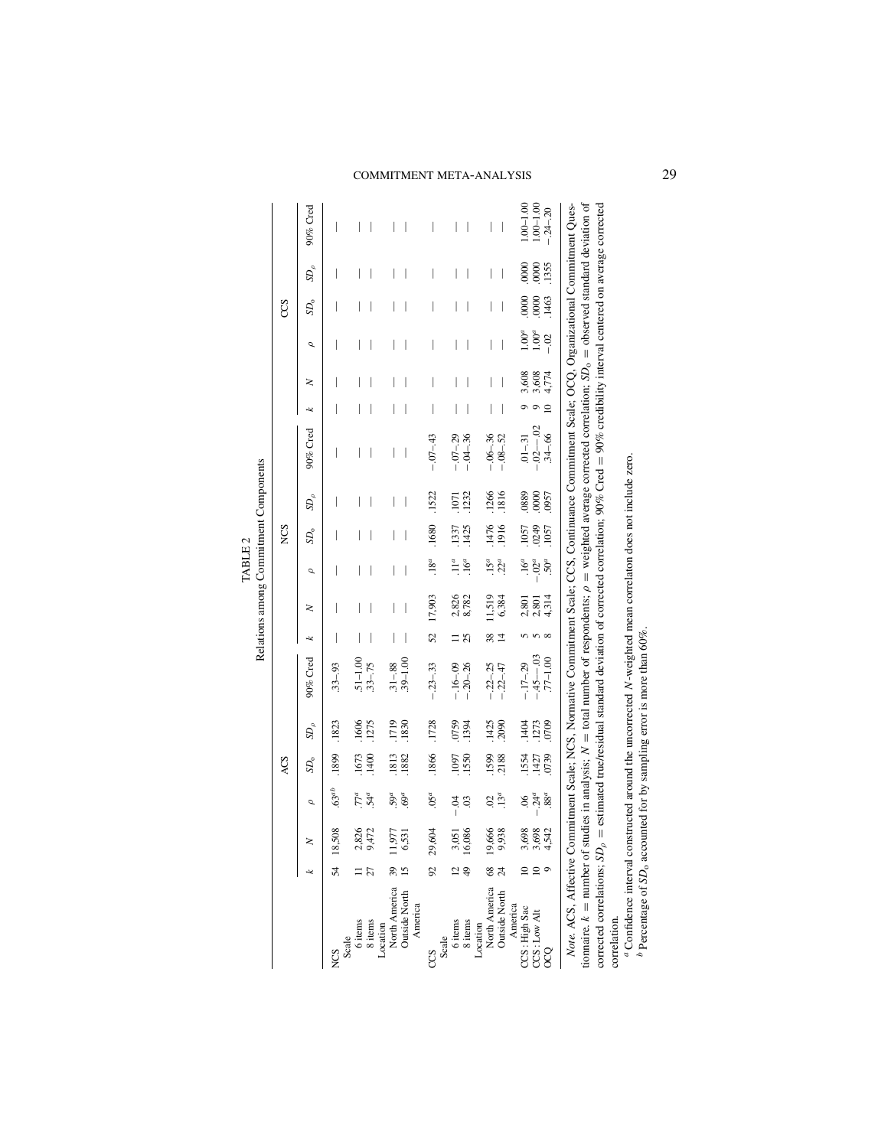|                                      | ငင         | E                    |
|--------------------------------------|------------|----------------------|
|                                      |            |                      |
|                                      |            |                      |
|                                      |            |                      |
|                                      |            | $C^{\mu}$ $C^{\mu}$  |
|                                      |            | E                    |
| Relations among Commitment Component | <b>SON</b> | C<br>C               |
| TABLE <sub>2</sub>                   |            | $\ddot{\phantom{0}}$ |
|                                      |            |                      |
|                                      |            |                      |
|                                      |            | أمرينى               |

|                                                                                                                                                                                                                                                                                                                                                                     |                                  |                        |                                  | ACS                   |                        |                                                                                                                                            |         |                          |                                 | <b>NCS</b>            |                      |                                          |   |                          |                                        | CCS                    |                        |                                            |
|---------------------------------------------------------------------------------------------------------------------------------------------------------------------------------------------------------------------------------------------------------------------------------------------------------------------------------------------------------------------|----------------------------------|------------------------|----------------------------------|-----------------------|------------------------|--------------------------------------------------------------------------------------------------------------------------------------------|---------|--------------------------|---------------------------------|-----------------------|----------------------|------------------------------------------|---|--------------------------|----------------------------------------|------------------------|------------------------|--------------------------------------------|
|                                                                                                                                                                                                                                                                                                                                                                     |                                  |                        | ∘                                | $SD_{\rm o}$          | $\mathrm{SD}_\rho$     | $90\%$ Cred                                                                                                                                |         | 2                        | Ó                               | SD <sub>o</sub>       | $\mathrm{SD}_\rho$   | $90\%$ Cred                              | Ł | 2                        | ∘                                      | SD <sub>o</sub>        | $\mathrm{SD}_\rho$     | 90% Cred                                   |
| NCS                                                                                                                                                                                                                                                                                                                                                                 | 54                               | 18,508                 | $.63^{ab}$                       | .1899                 | .1823                  | $33 - 93$                                                                                                                                  |         | $\overline{\phantom{a}}$ |                                 |                       |                      | $\overline{\phantom{a}}$                 |   | $\overline{\phantom{a}}$ |                                        |                        |                        | $\overline{\phantom{a}}$                   |
| 8 items<br>6 items<br>Scale                                                                                                                                                                                                                                                                                                                                         |                                  | 2,826<br>9,472         | 77а<br>$54^a$                    | .1673<br>.1400        | .1606<br>.1275         | $51 - 1.00$<br>$33 - 75$                                                                                                                   |         |                          |                                 |                       |                      | $\overline{\phantom{a}}$<br>I            |   |                          |                                        |                        |                        | $\overline{\phantom{a}}$                   |
| North America<br>Outside North<br>America<br>Location                                                                                                                                                                                                                                                                                                               | 39                               | 1,977<br>6,531         | $.59^a$<br>$69^a$                | 1813<br>.1882         | 1719<br>.1830          | $-39 - 1.00$<br>$31 - 88$                                                                                                                  |         | I<br>I                   | I                               |                       |                      | I<br>I                                   |   |                          | I                                      |                        | I                      | I<br>I                                     |
| CCS                                                                                                                                                                                                                                                                                                                                                                 | 92                               | 29,604                 | 05 <sup>a</sup>                  | .1866                 | .1728                  | $-.23-.33$                                                                                                                                 | 52      | 17,903                   | .18 <sup>a</sup>                | .1680                 | .1522                | $-.07 - .43$                             | I | I                        | I                                      | I                      | I                      | I                                          |
| 8 items<br>6 items<br>Scale                                                                                                                                                                                                                                                                                                                                         |                                  | 16,086<br>051          | ⊅.<br>।<br>03                    | 1550<br>1097          | 0759<br>1394           | $-.20 - .26$<br>$-.16-.09$                                                                                                                 | 25      | 2,826<br>8,782           | $\tilde{=}$<br>.16 <sup>a</sup> | 1425<br>1337          | 1232<br>1071         | $-.04 - .36$<br>$-.07 - .29$             |   |                          | I                                      |                        |                        | I<br>$\overline{\phantom{a}}$              |
| North America<br>Outside North<br>Location                                                                                                                                                                                                                                                                                                                          | $\frac{8}{3}$<br>$\overline{24}$ | 19,666<br>9,938        | 13 <sup>a</sup><br>$\mathcal{S}$ | 1599<br>2188          | 1425<br>2090           | $-.22-.25$<br>$-.22 - .47$                                                                                                                 | 38<br>4 | 11,519<br>6,384          | $22^a$<br>$.15^a$               | 1916<br>.1476         | .1816<br>.1266       | $-.06 - .36$<br>$-.08-.52$               |   |                          |                                        |                        |                        | I<br>$\overline{\phantom{a}}$              |
| America<br>CCS: High Sac<br>CCS: Low Alt<br>$\overline{\text{CQ}}$                                                                                                                                                                                                                                                                                                  |                                  | 3,698<br>3,698<br>,542 | $-.24^{a}$<br>$88^a$<br>S.       | .1554<br>0739<br>1427 | .1404<br>.1273<br>0709 | $-.45--03$<br>$.77 - 1.00$<br>$-.17 - .29$                                                                                                 |         | 4,314<br>2,801<br>2,801  | $-02^a$<br>$50^a$<br>$.16^{a}$  | 0249<br>.1057<br>1057 | 0889<br>0957<br>0000 | $-.02 - .02$<br>$.34 - 66$<br>$.01 - 31$ |   | 3,608<br>3,608<br>4,774  | 1.00 <sup>a</sup><br>$1.00^a$<br>$-02$ | .0000<br>1463<br>.0000 | .0000<br>.0000<br>1355 | $1.00 - 1.00$<br>$00 - 1.00$<br>$.24 - 20$ |
| tionnaire. $k =$ number of studies in analysis; $N =$ total number of respondents; $\rho =$ weighted average corrected correlation; $SD_0 =$ observed standard deviation of<br>Note. ACS, Affective Commitment Scale; NCS, Normative Commitment Scale; CCS, Continuance Commitment Scale; OCQ, Organizational Commitment Ques-<br>corrected correlations; $SD_\rho$ |                                  |                        |                                  |                       |                        | $=$ estimated true/residual standard deviation of corrected correlation; 90% Cred = 90% credibility interval centered on average corrected |         |                          |                                 |                       |                      |                                          |   |                          |                                        |                        |                        |                                            |

<sup>*a*</sup> Confidence interval constructed around the uncorrected *N*-weighted mean correlaton does not include zero. Confidence interval constructed around the uncorrected *N*-weighted mean correlaton does not include zero.

 $b$  Percentage of  $SD_0$  accounted for by sampling error is more than 60%.  $P$ ercentage of *SD*<sub>o</sub> accounted for by sampling error is more than 60%.

correlation.

correlation.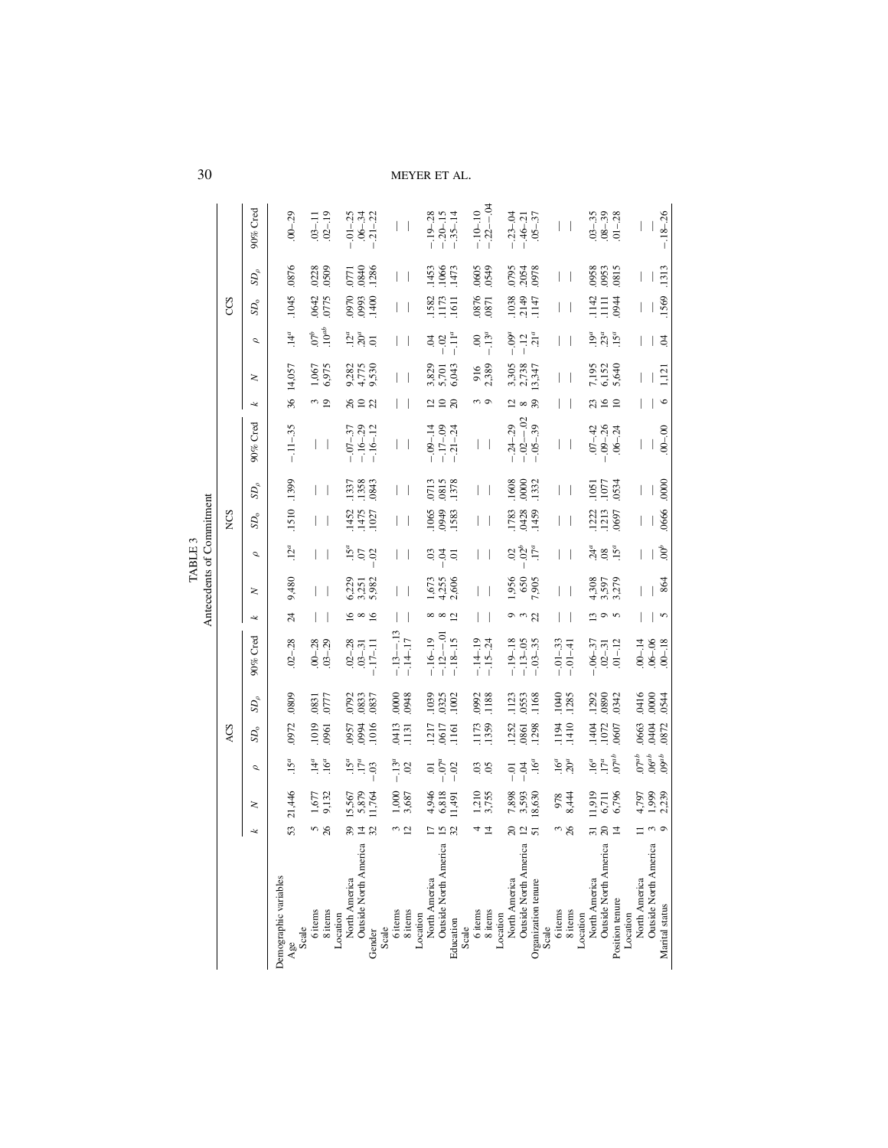|                                    |                                   |                                |                                         |                          |                    |                             |                   | Antecedents of Commitment | <b>TABLE 3</b>                             |              |                  |                              |                 |                         |                         |                                       |                          |                            |
|------------------------------------|-----------------------------------|--------------------------------|-----------------------------------------|--------------------------|--------------------|-----------------------------|-------------------|---------------------------|--------------------------------------------|--------------|------------------|------------------------------|-----------------|-------------------------|-------------------------|---------------------------------------|--------------------------|----------------------------|
|                                    |                                   |                                |                                         | ACS                      |                    |                             |                   |                           |                                            | <b>NCS</b>   |                  |                              |                 |                         |                         | CCS                                   |                          |                            |
|                                    | k                                 | z                              | σ                                       | $\mathrm{SD}_\mathrm{o}$ | $\mathrm{SD}_\rho$ | 90% Cred                    | k                 | z                         | σ                                          | $SD_0$       | $SD_{\rho}$      | 90% Cred                     | k               | z                       | σ                       | $SD_0$                                | $\mathrm{SD}_\rho$       | 90% Cred                   |
| Demographic variables              | 53                                | 21,446                         | .15 <sup>a</sup>                        | .0972                    | .0809              | $.02 - 28$                  | $\overline{c}$    | 9,480                     | .12 <sup>a</sup>                           | .1510        | .1399            | $-.11 - .35$                 | 36              | 14,057                  | $\ddot{4}^a$            | 1045                                  | 0876                     | $00 - 29$                  |
| 6 items<br>Scale                   | $5^{0}$                           | 1,677                          | $\frac{4a}{1}$                          | .1019                    | 0831               | $.00 - .28$                 |                   |                           |                                            |              |                  |                              | <u>ო ღ</u>      | 1,067                   | $\sqrt{0}$              | 0642                                  | .0228                    | $.03 - 11$                 |
| 8 items<br>Location                |                                   | 9,132                          | .16 <sup>a</sup>                        | .0961                    | 577                | $.03 - 29$                  |                   |                           |                                            |              |                  | $\overline{\phantom{a}}$     |                 | 6,975                   | $10^{ab}$               | 0775                                  | 0509                     | $.02 - 19$                 |
| North America                      | 39                                |                                | $\frac{15^a}{17^a}$                     | 1660.<br>LS60            | 0792               | $.02 - 28$                  | $\frac{6}{2}$     |                           |                                            | 1452         | 1337<br>1358     |                              | 26              |                         |                         | E660<br>0260                          | 0771                     | $-0.01 - 25$               |
| Outside North America<br>Gender    | $\mathfrak{L}$<br>4               | 15,567<br>5,879<br>11,764      | $-03$                                   | .1016                    | .0833<br>0837      | $.03 - 31$<br>$-17 - 11$    | $\frac{8}{16}$    | 6,229<br>3,251<br>5,982   | $-5^a$<br>$-5^a$                           | 1475<br>1027 | 0843             | $-07-37$<br>-16-29<br>-16-12 | 10 <sub>2</sub> | 9,282<br>4,775<br>9,530 | <u>ក្នុ</u> ំ ខ្ញុំ គ្ន | 1400                                  | 0840<br>1286             | $.06 - .34$<br>$-12 - .22$ |
| Scale                              |                                   |                                |                                         |                          |                    |                             |                   |                           |                                            |              |                  |                              |                 |                         |                         |                                       |                          |                            |
| 6 items<br>8 items                 | $\frac{1}{2}$                     | 1,000<br>3,687                 | $-13a$<br>$\mathcal{S}$                 | .0413<br>1131            | 8160.<br>.0000     | $-.13 - .13$<br>$-.14-.17$  |                   |                           |                                            |              |                  | I                            |                 |                         |                         | $\begin{array}{c} \hline \end{array}$ | $\overline{\phantom{a}}$ |                            |
| Location                           |                                   |                                |                                         |                          |                    |                             |                   |                           |                                            |              |                  |                              |                 |                         |                         |                                       |                          |                            |
| North America                      |                                   |                                | <b>io</b>                               | 1217                     | 1039               | $-.16-.19$                  | $\infty$ $\infty$ | .673                      | $\ddot{\mathrm{c}}$                        | 1065         | 0713             | $-0.09 - 14$                 | 7               |                         | $\dot{q}$ is            | .1582                                 | 1453                     | $-.19 - .28$               |
| Outside North America<br>Education | $\mathfrak{L}$<br>$\overline{15}$ | $4,946$<br>$6,818$<br>$11,491$ | $-07^a$<br>$-02$                        | .0617<br>1161            | .0325<br>.1002     | $-0$<br>$-.18-.15$<br>$-12$ | $\overline{c}$    | 4,255<br>2,606            | $-04$<br>ā                                 | 0949<br>1583 | 0815<br>1378     | $-17-09$<br>$.21 - .24$      | $\frac{10}{20}$ | 3,829<br>5,701<br>6,043 | $-11^a$                 | 1173<br>1611                          | 1066<br>1473             | $-.20 - 15$<br>$-.35 - 14$ |
| Scale                              |                                   |                                |                                         |                          |                    |                             |                   |                           |                                            |              |                  |                              |                 |                         |                         |                                       |                          |                            |
| 6 items                            | 母 보                               | 1,210<br>3,755                 | S S                                     | .1173                    | .0992<br>.1188     | $-14 - 19$                  |                   | $\mathsf{I}$              | $\mathsf{I}$                               | I            | L                | I                            | ო თ             | 916                     | $\mathcal{S}$           | 16871                                 | 0605<br>0549             | $-.10-.10$                 |
| 8 items                            |                                   |                                |                                         | 1359                     |                    | $-.15-.24$                  |                   |                           |                                            |              |                  |                              |                 | 2,389                   | $-13a$                  |                                       |                          | $-.22 - .04$               |
| North America<br>Location          | $\approx$                         | 7,898                          | $-0.1$                                  | .1252                    | 1123               | $-.19-.18$                  |                   | ,956                      |                                            | 1783         | 1608             | $-.24-.29$                   | 5               | 3,305                   | $-0.09$                 | 1038                                  | 0795                     | $-.23 - .04$               |
| Outside North America              |                                   |                                | $-0$                                    | .0861                    | .0553              | $-.13-.05$                  | Ó                 |                           | $6.64$<br>$-1.74$                          | 0428         | 0000             | $-0.02 - 0.02$               |                 | 2,738                   | $-12$                   |                                       | 2054                     | $-.46 - 21$                |
| Organization tenure<br>Scale       | $^{12}$ 51                        | 3,593<br>18,630                | .16 <sup>a</sup>                        | 1298                     | 1168               | $-.03-.35$                  | ್ ಜ               | 50627                     |                                            | 1459         | 1332             | $-.05-.39$                   | $\frac{8}{2}$   | 13,347                  | $21^a$                  | 2149<br>1147                          | 0978                     | $.05 - 37$                 |
| 6 items                            | ω                                 | 978                            | .16 <sup>a</sup>                        |                          | .1040              | $-.01 - .33$                |                   |                           |                                            |              |                  |                              |                 |                         |                         |                                       |                          |                            |
| 8 items                            | 26                                | 8,444                          | 20 <sup>a</sup>                         | $1194$<br>$1410$         | .1285              | $-.01 - .41$                |                   |                           |                                            |              |                  | I                            |                 |                         |                         |                                       |                          |                            |
| Location                           |                                   |                                |                                         |                          |                    |                             |                   |                           |                                            |              |                  |                              |                 |                         |                         |                                       |                          |                            |
| North America                      | $\frac{5}{20}$                    | 11,919<br>6,711<br>6,796       | $\frac{16^a}{17^a}$<br>07 <sup>ab</sup> | 1404                     | 1292               | $-.06-.37$                  | ≌                 | 4,308<br>3,597<br>3,279   | $\frac{5}{24}$ $\frac{8}{2}$ $\frac{5}{2}$ | 1222         | $\overline{105}$ | $-50 - 42$                   | 23              | 7,195                   | .19 <sup>a</sup>        | 1142                                  | 0958                     | $.03 - .35$<br>$.08 - .39$ |
| Outside North America              |                                   |                                |                                         | .1072                    | 0890               | $.02 - 31$                  | o n               |                           |                                            | 1213         | 1077<br>534      | $-09 - 26$<br>06-24          | $\frac{16}{10}$ | 6,152<br>5,640          | .23 <sup>a</sup>        | $\Xi$                                 | 0953<br>0815             |                            |
| Position tenure                    | $\overline{4}$                    |                                |                                         | .0607                    | 0342               | $.01 - 12$                  |                   |                           |                                            | 0697         |                  |                              |                 |                         | .15 <sup>a</sup>        | 0944                                  |                          | $.01 - 28$                 |
| Location                           |                                   |                                |                                         |                          |                    |                             |                   |                           |                                            |              |                  |                              |                 |                         |                         |                                       |                          |                            |
| North America                      |                                   | 4,797                          | $07^{ab}$                               | .0663                    | 0416               | $.00 - 14$                  |                   | I                         |                                            | I            |                  | I                            |                 |                         |                         | $\mid$                                |                          | I                          |
| Outside North America              |                                   | 1,999<br>2,239                 | $.06^{ab}$<br>$.09^{ab}$                | 0404                     | .0000              | $.06 - .06$<br>$00 - .18$   |                   |                           |                                            |              |                  |                              |                 |                         |                         |                                       |                          |                            |
| Marital status                     | $\circ$                           |                                |                                         | .0872                    | .0544              |                             | 5                 | 864                       | $900$                                      | .0666        | .0000            | $00 - 00$                    | $\circ$         | 1,121                   | S.                      | .1569                                 | .1313                    | $-.18 - .26$               |

30 MEYER ET AL .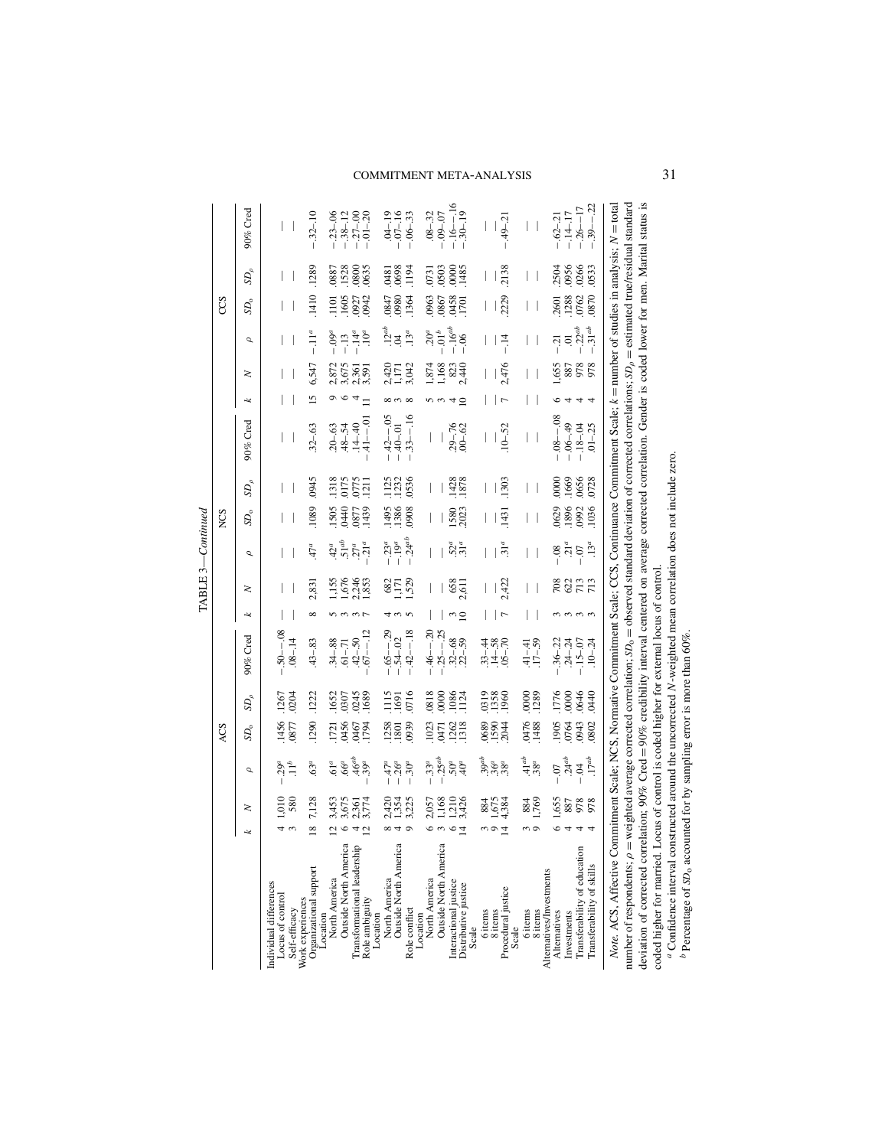|                                                                                                                                                                     |                |                |                                     |                 |                    |                            |                |                                                | TABLE 3-Continued         |                 |                    |                                                                                                                                                                                                                                                                                               |                 |                |                           |                          |               |                            |
|---------------------------------------------------------------------------------------------------------------------------------------------------------------------|----------------|----------------|-------------------------------------|-----------------|--------------------|----------------------------|----------------|------------------------------------------------|---------------------------|-----------------|--------------------|-----------------------------------------------------------------------------------------------------------------------------------------------------------------------------------------------------------------------------------------------------------------------------------------------|-----------------|----------------|---------------------------|--------------------------|---------------|----------------------------|
|                                                                                                                                                                     |                |                |                                     | ACS             |                    |                            |                |                                                |                           | <b>NCS</b>      |                    |                                                                                                                                                                                                                                                                                               |                 |                |                           | CCS                      |               |                            |
|                                                                                                                                                                     | ید             | z              | ∘                                   | SD <sub>o</sub> | $\mathrm{SD}_\rho$ | $90\%$ Cred                | ×              | z                                              | ∘                         | SD <sub>o</sub> | $\mathrm{SD}_\rho$ | 90% Cred                                                                                                                                                                                                                                                                                      | ×               | z              | ∘                         | $\mathrm{SD}_\mathrm{o}$ | $SD_{\rho}$   | 90% Cred                   |
| Individual differences<br>Locus of control<br>Self-efficacy                                                                                                         |                | 1,010<br>580   | $\prod^b$<br>$-0.29^a$              | 1456<br>.0877   | .0204<br>.1267     | $50 - 08$<br>$.08 - 14$    |                |                                                |                           |                 |                    |                                                                                                                                                                                                                                                                                               |                 |                |                           |                          |               |                            |
| Organizational support<br>Work experiences                                                                                                                          | $\frac{8}{2}$  | 7,128          | $63^a$                              | 1290            | .1222              | $43 - 83$                  | $\infty$       | 2,831                                          | $47^a$                    | .1089           | 0945               | $32 - 63$                                                                                                                                                                                                                                                                                     | $\overline{15}$ | 6,547          | $-11^a$                   | .1410                    | .1289         | $-.32 - 10$                |
| ica<br>Outside North Ameri<br>North America<br>Location                                                                                                             | $\overline{C}$ | 3,453<br>3,675 | 61 <sup>a</sup><br>.66 <sup>a</sup> | 0456<br>1721    | .1652<br>0307      | $.34 - .88$<br>$.61 - .71$ | $\mathfrak{c}$ | 1,155                                          | $51^{ab}$<br>$42^a$       | .1505<br>0440   | 1318<br>0175       | $.20 - 63$<br>$.48 - .54$                                                                                                                                                                                                                                                                     | Ó<br>$\circ$    | 2,872<br>3,675 | $-0.9a$<br>$-13$          | 1605<br>1101             | 1528<br>.0887 | $-.23 - .06$<br>$-.38-.12$ |
| Transformational leaders<br>Role ambiguity                                                                                                                          | $\overline{C}$ | 3,774<br>2,361 | $.46^{ab}$<br>$-.39a$               | 1794<br>0467    | .0245              | $.67 - .12$<br>$.42 - .50$ | $\frac{1}{2}$  | 1,6746<br>2,246<br>1,853                       | $-21^a$<br>$27^a$         | 1439            | 0775<br>121        | $-41 - 01$<br>$.14 - 40$                                                                                                                                                                                                                                                                      |                 | 2,361<br>3,591 | $-14^a$<br>$10^a$         | 0942<br>0927             | 0635<br>,0800 | $-27-00$<br>$-01-20$       |
| ica<br>Outside North Amer<br>North America<br>Location                                                                                                              |                | 1,354<br>2,420 | $-.26a$<br>$-47^a$                  | 1258<br>1801    | .1115<br>1691      | $-.65--29$<br>$-.54-.02$   |                | $\frac{682}{1.171}$                            | $-19^a$<br>$-.23^a$       | 1495<br>1386    | 1125<br>1232       | $-.42 - .05$<br>$-.40-01$                                                                                                                                                                                                                                                                     |                 | 2,420<br>I.IT  | $12^{ab}$<br>$\ddot{a}$   | $0800$<br>7480           | 0698<br>0481  | $-07 - 16$<br>$-19$        |
| North America<br>Role conflict<br>Location                                                                                                                          | 6              | 3,225<br>2,057 | $-.33a$<br>$-.30^{a}$               | 0939<br>1023    | 0716<br>.0818      | $-.42 - .18$<br>$-46 - 20$ |                | 1,529<br>I                                     | $-.24^{ab}$               | 8060            | 0536               | $-.33--.16$                                                                                                                                                                                                                                                                                   |                 | 3,042<br>,874  | 13 <sup>a</sup><br>$20^a$ | .0963<br>1364            | .1194<br>0731 | $.08 - .32$<br>$-.06 - 33$ |
| ica<br>Outside North Amer                                                                                                                                           |                | 1,168          | $-0.25^{ab}$                        | <b>THO</b>      | 0000               | $-25 - 25$                 |                |                                                |                           |                 |                    |                                                                                                                                                                                                                                                                                               |                 | 1,168          | $-0.0$                    | 0867                     | 0503          | $-0.09 - 0.7$              |
| Interactional justice<br>Distributive justice<br>Scale                                                                                                              | 보              | 1,210<br>3,426 | .50 <sup>a</sup><br>$40^a$          | 1262<br>1318    | .1086<br>1124      | $.32 - .68$<br>$.22 - .59$ | ິ⊇             | $658$<br>2,611                                 | 31 <sup>a</sup><br>$52^a$ | 2023<br>1580    | 1878<br>1428       | $.29 - .76$<br>$.00 - .62$                                                                                                                                                                                                                                                                    | $\circ$<br>4    | 823<br>2,440   | $-.16^{ab}$<br>$-06$      | 0458<br>1701             | 0000<br>1485  | $-16 - 16$<br>$-.30 - 19$  |
| 6 items<br>8 items                                                                                                                                                  | $\circ$        | .675<br>884    | $39^{ab}$                           | 0689            | 0319               | $.33 - .44$                |                |                                                |                           |                 |                    |                                                                                                                                                                                                                                                                                               |                 |                |                           |                          |               |                            |
| Procedural justice<br>Scale                                                                                                                                         | 호              | 4,384          | $38^{a}$                            | 1590<br>2044    | .1358              | $.14 - 58$<br>$.05 - 70$   | Γ              | 2,422<br>$\begin{array}{c} \hline \end{array}$ | 31 <sup>a</sup>           | .1431           | 1303               | $10 - 52$                                                                                                                                                                                                                                                                                     |                 | 2,476          |                           | 2229                     | 2138          | $-49 - 21$                 |
| 6 items<br>8 items                                                                                                                                                  |                | 884<br>188     | .41 $^{ab}$<br>$.38^a$              | 0476<br>.1488   | .1289<br>.0000     | $.17 - 59$<br>$41 - 41$    |                |                                                |                           |                 |                    | $\overline{\phantom{a}}$                                                                                                                                                                                                                                                                      |                 |                |                           |                          |               |                            |
| Alternatives/Investments                                                                                                                                            |                |                |                                     |                 | .1776              |                            |                |                                                |                           | 0629            | 0000               |                                                                                                                                                                                                                                                                                               |                 |                |                           |                          | .2504         |                            |
| Alternatives<br>Investments                                                                                                                                         |                | .655<br>887    | $.24^{ab}$<br>$-0.7$                | 0764<br>1905    | .0000              | $.24 - .24$<br>$-36 - 22$  | ოოო            | <b>20213</b><br>2022                           | $-0.08$<br>$-21^a$        | .1896           | .1669              | $-0.0 - 0.08$<br>$-06 - 49$                                                                                                                                                                                                                                                                   |                 | 887<br>,655    | 5.<br><u>ic</u>           | .1288<br>2601            | 0956          | $-.14-.17$<br>$-.62 - 21$  |
| Transferability of education                                                                                                                                        |                | 978            | $-04$                               | 0943            | 0646               | $-.15 - .07$               |                |                                                | $-0.07$                   | .0992           | 0656               | $-.18-.04$                                                                                                                                                                                                                                                                                    |                 | 978            | $-.22^{ab}$               | .0762                    | 0266          | $-.26 - 17$                |
| Transferability of skills                                                                                                                                           |                | 978            | $17^{ab}$                           | .0802           | 0440               | $.10 - .24$                | $\mathfrak{c}$ |                                                | $\ddot{1}3^a$             | .1036           | 0728               | $.01 - .25$                                                                                                                                                                                                                                                                                   |                 | 978            | $-.31^{ab}$               | 0870                     | 0533          | $-.39 - .22$               |
| number of respondents; $\rho$<br>Note. ACS, Affective                                                                                                               |                |                |                                     |                 |                    |                            |                |                                                |                           |                 |                    | = weighted average corrected correlation; $SD_0$ = observed standard deviation of corrected correlations; $SD_0$ = estimated true/residual standard<br>Commitment Scale; NCS, Normative Commitment Scale; CCS, Continuance Commitment Scale; $k =$ number of studies in analysis; $N =$ total |                 |                |                           |                          |               |                            |
| deviation of corrected correlation; 90% Cred = 90% credibility interval centered on average corrected correlation. Gender is coded lower for men. Marital status is |                |                |                                     |                 |                    |                            |                |                                                |                           |                 |                    |                                                                                                                                                                                                                                                                                               |                 |                |                           |                          |               |                            |

<sup>*a*</sup> Confidence interval constructed around the uncorrected N-weighted mean correlation does not include zero. Confidence interval constructed around the uncorrected *N*-weighted mean correlation does not include zero. coded higher for married. Locus of control is coded higher for external locus of control. coded higher for married. Locus of control is coded higher for external locus of control. *b* Percentage of  $SD_0$  accounted for by sampling error is more than 60%.

 $P$ ercentage of *SD*<sub>0</sub> accounted for by sampling error is more than 60%.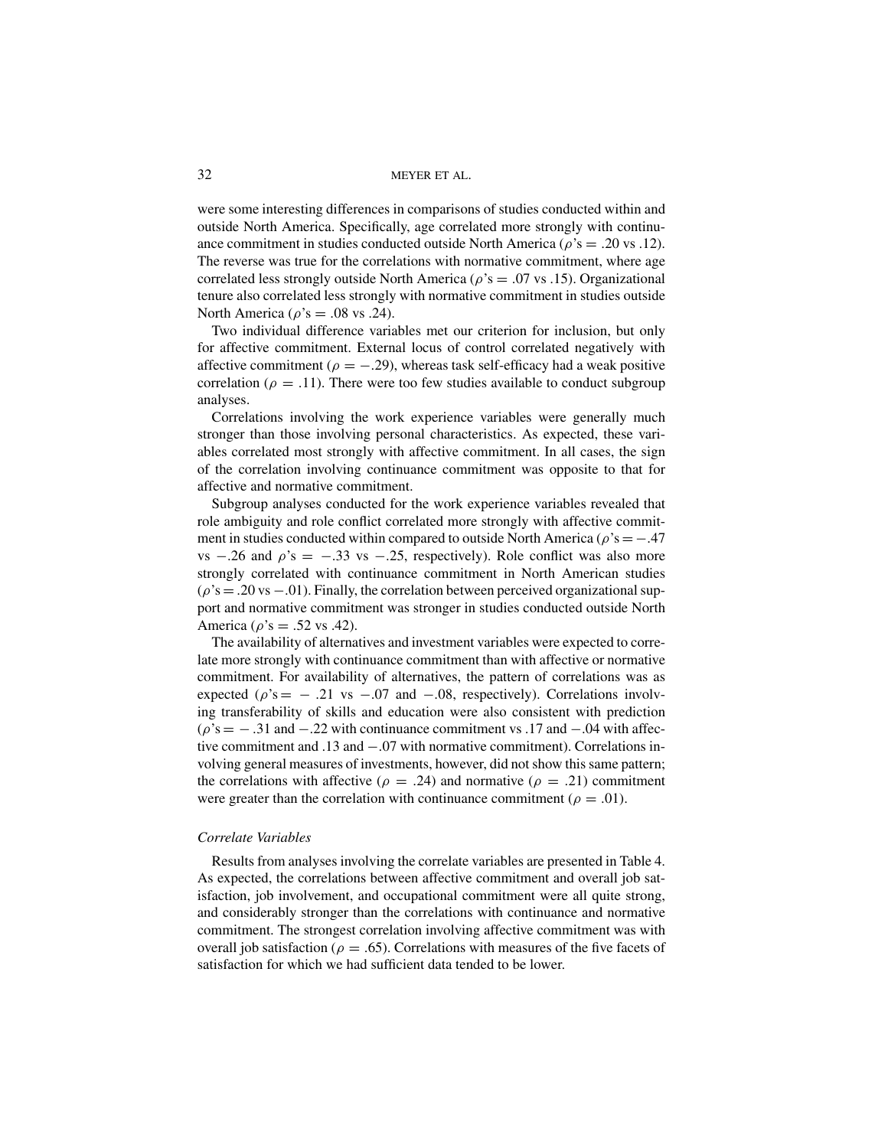were some interesting differences in comparisons of studies conducted within and outside North America. Specifically, age correlated more strongly with continuance commitment in studies conducted outside North America ( $\rho$ 's = .20 vs .12). The reverse was true for the correlations with normative commitment, where age correlated less strongly outside North America ( $\rho$ 's = .07 vs .15). Organizational tenure also correlated less strongly with normative commitment in studies outside North America ( $\rho$ 's = .08 vs .24).

Two individual difference variables met our criterion for inclusion, but only for affective commitment. External locus of control correlated negatively with affective commitment ( $\rho = -.29$ ), whereas task self-efficacy had a weak positive correlation ( $\rho = .11$ ). There were too few studies available to conduct subgroup analyses.

Correlations involving the work experience variables were generally much stronger than those involving personal characteristics. As expected, these variables correlated most strongly with affective commitment. In all cases, the sign of the correlation involving continuance commitment was opposite to that for affective and normative commitment.

Subgroup analyses conducted for the work experience variables revealed that role ambiguity and role conflict correlated more strongly with affective commitment in studies conducted within compared to outside North America ( $\rho$ 's = −.47 vs  $-0.26$  and  $\rho$ 's =  $-0.33$  vs  $-0.25$ , respectively). Role conflict was also more strongly correlated with continuance commitment in North American studies  $(\rho's = .20 \text{ vs } -.01)$ . Finally, the correlation between perceived organizational support and normative commitment was stronger in studies conducted outside North America ( $\rho$ 's = .52 vs .42).

The availability of alternatives and investment variables were expected to correlate more strongly with continuance commitment than with affective or normative commitment. For availability of alternatives, the pattern of correlations was as expected ( $\rho$ 's = − .21 vs −.07 and −.08, respectively). Correlations involving transferability of skills and education were also consistent with prediction  $(e^s = -0.31$  and  $-.22$  with continuance commitment vs .17 and  $-.04$  with affective commitment and .13 and −.07 with normative commitment). Correlations involving general measures of investments, however, did not show this same pattern; the correlations with affective ( $\rho = .24$ ) and normative ( $\rho = .21$ ) commitment were greater than the correlation with continuance commitment ( $\rho = .01$ ).

#### *Correlate Variables*

Results from analyses involving the correlate variables are presented in Table 4. As expected, the correlations between affective commitment and overall job satisfaction, job involvement, and occupational commitment were all quite strong, and considerably stronger than the correlations with continuance and normative commitment. The strongest correlation involving affective commitment was with overall job satisfaction ( $\rho = .65$ ). Correlations with measures of the five facets of satisfaction for which we had sufficient data tended to be lower.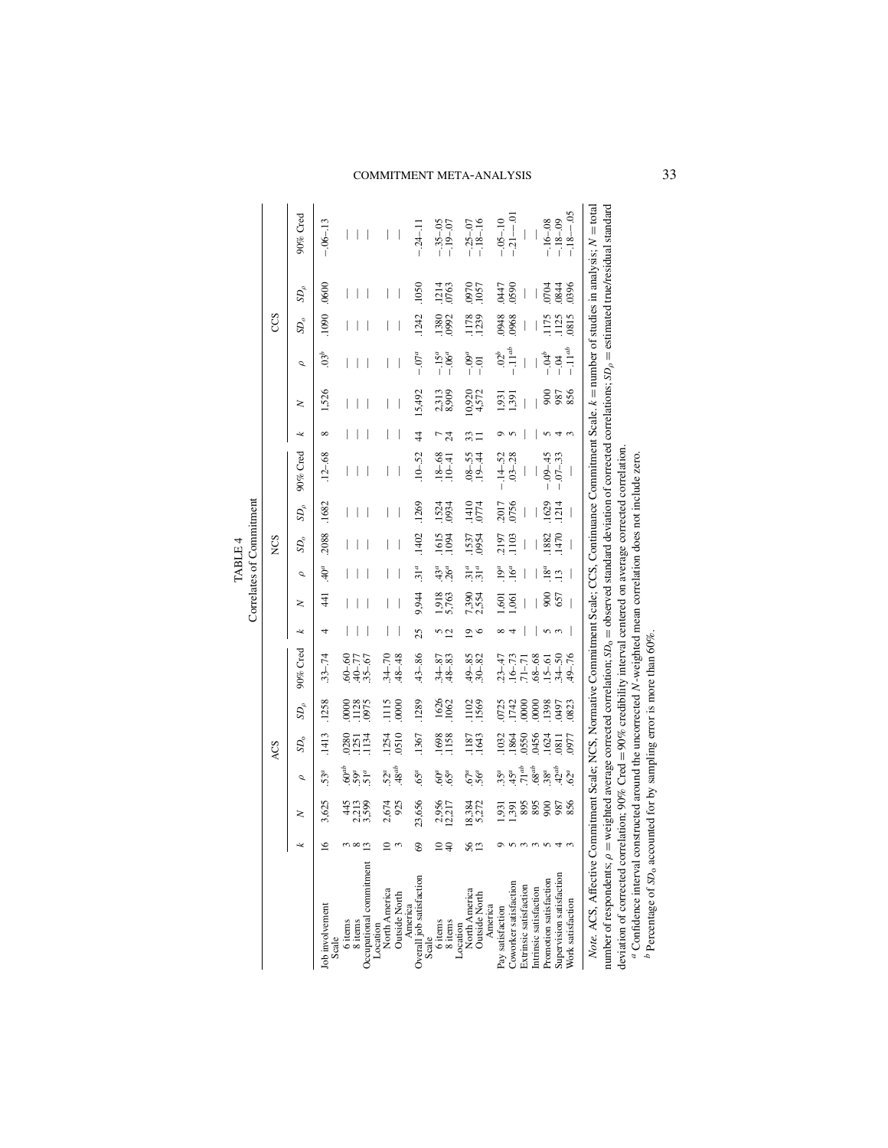|                                                                                                                                                                                                            |                      |                      |                                       |                          |                    |                            |                          |                          |                             | Correlates of Commitment                                                                            |                          |                                |                |                  |                          |                          |                          |                                            |
|------------------------------------------------------------------------------------------------------------------------------------------------------------------------------------------------------------|----------------------|----------------------|---------------------------------------|--------------------------|--------------------|----------------------------|--------------------------|--------------------------|-----------------------------|-----------------------------------------------------------------------------------------------------|--------------------------|--------------------------------|----------------|------------------|--------------------------|--------------------------|--------------------------|--------------------------------------------|
|                                                                                                                                                                                                            |                      |                      |                                       | ACS                      |                    |                            |                          |                          |                             | <b>NCS</b>                                                                                          |                          |                                |                |                  |                          | CCS                      |                          |                                            |
|                                                                                                                                                                                                            | ∗                    | z                    | Ó                                     | $\mathrm{SD}_\mathrm{o}$ | $\mathrm{SD}_\rho$ | 90% Cred                   | ĸ                        | $\geq$                   | འ                           | SD <sub>o</sub>                                                                                     | $\mathrm{SD}_\rho$       | 90% Cred                       | ⊻              | $\geq$           | འ                        | $\operatorname{SD}_o$    | $\mathrm{SD}_\rho$       | $90\%$ Cred                                |
| Job involvement<br>Scale                                                                                                                                                                                   |                      | 3,625                | 53 <sup>a</sup>                       | .1413                    | .1258              | $.33 - .74$                | 4                        | $\overline{4}$           | $40^a$                      | .2088                                                                                               | .1682                    | $.12 - .68$                    | ${}^{\circ}$   | 1,526            | $03^b$                   | 1090                     | .0600                    | $-.06 - 13$                                |
|                                                                                                                                                                                                            | ო თ                  | 45<br>22599          | ទី ចំ <u>ដូ</u>                       | 0251<br>0251<br>1134     | 0000               | $.60 - .60$<br>$-40 - 77$  |                          | I                        |                             |                                                                                                     | $\overline{\phantom{a}}$ |                                |                |                  |                          |                          |                          | I                                          |
|                                                                                                                                                                                                            | 3                    |                      |                                       |                          | 1128<br>0975       | $.35 - .67$                | I                        | I                        |                             | I                                                                                                   | $\overline{\phantom{a}}$ |                                |                |                  |                          | I                        |                          | I                                          |
|                                                                                                                                                                                                            | Q                    | 2,674                | $.52^a$                               | 1254                     | 1115               | $.34 - .70$                | I                        |                          |                             |                                                                                                     | I                        | I                              |                |                  | I                        |                          |                          | ı                                          |
|                                                                                                                                                                                                            | $\mathfrak{c}$       | 925                  | $48^{ab}$                             | 0510                     | 0000               | $48 - 48$                  | $\overline{\phantom{a}}$ |                          |                             |                                                                                                     | $\overline{\phantom{a}}$ | $\overline{\phantom{a}}$       |                |                  | $\overline{\phantom{a}}$ | $\overline{\phantom{a}}$ | $\overline{\phantom{a}}$ | $\overline{\phantom{a}}$                   |
|                                                                                                                                                                                                            | $\tilde{\mathbf{e}}$ | 23,656               | .65 <sup>a</sup>                      | .1367                    | .1289              | $.43 - .86$                | 25                       | 9,944                    | 31 <sup>a</sup>             | .1402                                                                                               | .1269                    | $.10 - 52$                     | $\frac{4}{3}$  | 15,492           | $-07^a$                  | 1242                     | .1050                    | $-24 - 11$                                 |
|                                                                                                                                                                                                            | ಂ                    | 2,956<br>12,217      | $\mathcal{S}^a$                       | .1698                    | 1626<br>1062       | $.34 - .87$<br>$.48 - .83$ | $\frac{5}{2}$            | 1,918<br>5,763           | $43^a$                      | 1615                                                                                                | 1524                     | $.18 - .68$<br>$.10 - .41$     |                | 2,313            | $-15^a$                  | 1380<br>0992             | .1214                    | $-35-05$<br>-.19-07                        |
|                                                                                                                                                                                                            |                      |                      | .65 <sup>a</sup>                      | 1158                     |                    |                            |                          |                          |                             |                                                                                                     |                          |                                | $\overline{z}$ |                  | $-.06a$                  |                          | 0763                     |                                            |
|                                                                                                                                                                                                            |                      |                      |                                       |                          | 1102<br>1569       | $.49 - .85$<br>$.30 - .82$ | $\overline{6}$           |                          | $\frac{3}{3}$ $\frac{a}{a}$ | .1537                                                                                               | 1410<br>0774             | $.08 - .55$<br>$.19 - .44$     | 33             | 10,920<br>4,572  |                          |                          | 0060                     |                                            |
|                                                                                                                                                                                                            | ಲೆ ಪ                 | 18,384<br>5,272      | $.56^a$                               | 1187<br>1643             |                    |                            | $\circ$                  | 7,390<br>2,554           |                             | 0954                                                                                                |                          |                                | ニ              |                  | $-0.5$                   | 1178                     | 1057                     | $-25-07$<br>-.18-.16                       |
|                                                                                                                                                                                                            |                      | 53                   | $35^a$                                | 1032                     | 0725               | $23 - 47$                  | $\infty$                 | $\frac{60}{3}$           | jða                         | 2197                                                                                                | .2017                    | $-.14-.52$                     |                | 1,931            | $02^b$                   | 0948                     | 0447                     | $-0.05 - 10$                               |
|                                                                                                                                                                                                            |                      | 391                  | $.45^a$                               | .1864                    | 1742               | $.16 - .73$                |                          | $-06$                    | .16 <sup>a</sup>            | 1103                                                                                                | 0756                     | $.03 - .28$                    |                | 1,391            | $-11^{ab}$               | 0968                     | 0590                     | $-21 - 0$                                  |
|                                                                                                                                                                                                            |                      |                      |                                       | 0550                     | 0000               | $.71 - .71$                |                          |                          |                             |                                                                                                     |                          | $\overline{\phantom{a}}$       |                |                  |                          |                          |                          |                                            |
|                                                                                                                                                                                                            |                      |                      |                                       | 0456                     | 0000               | $.68 - .68$                |                          |                          |                             |                                                                                                     | I                        | $\begin{array}{c} \end{array}$ |                |                  |                          |                          |                          | I                                          |
| Promotion satisfaction                                                                                                                                                                                     |                      | 88<br>88<br>88<br>88 | $71^{ab}$<br>$-38^{ab}$<br>$-42^{ab}$ | .1624                    | 1398               | $.15 - 61$                 | n m                      | 800                      | $.18^a$                     | .1882                                                                                               | .1629                    | $-0.09 - 45$                   |                | $\frac{60}{20}$  | $-60$                    | 1175                     | 0704                     | $-16 - 08$                                 |
| Supervision satisfaction                                                                                                                                                                                   |                      |                      |                                       | 0811                     | 0497               | $.34 - 50$                 |                          | 657                      | $\overline{13}$             | .1470                                                                                               | 1214                     | $-07 - 33$                     |                | 987              | $-0.4$                   | 1125                     | 0844                     | $-.18-.09$                                 |
| Work satisfaction                                                                                                                                                                                          |                      | 856                  | $62^a$                                | .0977                    | 0823               | $-49 - 76$                 |                          | $\overline{\phantom{a}}$ | I                           | $\overline{\phantom{a}}$                                                                            | $\overline{\phantom{a}}$ | $\overline{\phantom{a}}$       | $\sim$         | 856              | $-11^{ab}$               | 0815                     | 0396                     | $-18 - 05$                                 |
| Note. ACS, Affective Commitment Scale; NCS, Normative Commitment Scale; CCS, Continuance Commitment Scale. $k =$ number of studies in analysis; $N = \text{total}$<br>ومستقطات والمستحدث والمستقط والمستقط |                      |                      |                                       |                          |                    |                            |                          |                          |                             | مان الكون المواصول المواصول المواصول المواصول المواصول المواصول المواصول المواصول المواصول المواصول |                          |                                |                | .<br>المصر الصدر |                          |                          |                          | المستلف ومستقبل والمستقبلة وأمار والمتعامل |

TABLE 4 TABLE 4

number of respondents;  $\rho =$  weighted average corrected correlation;  $SD_0 =$  observed standard deviation of corrected correlations;  $SD_\rho =$  estimated true/residual standard number of respondents; ρ = weighted average corrected correlation; *SD*o = observed standard deviation of corrected correlations; *SD*ρ = estimated true/residual standard deviation of corrected correlation; 90% Cred = 90% credibility interval centered on average corrected correlation. deviation of corrected correlation; 90% Cred = 90% credibility interval centered on average corrected correlation. <sup>*a*</sup> Confidence interval constructed around the uncorrected *N*-weighted mean correlation does not include zero. Confidence interval constructed around the uncorrected *N*-weighted mean correlation does not include zero.

*b* Percentage of  $SD_0$  accounted for by sampling error is more than 60%.  $P$ ercentage of *SD*<sub>o</sub> accounted for by sampling error is more than 60%.

COMMITMENT META -ANALYSIS 33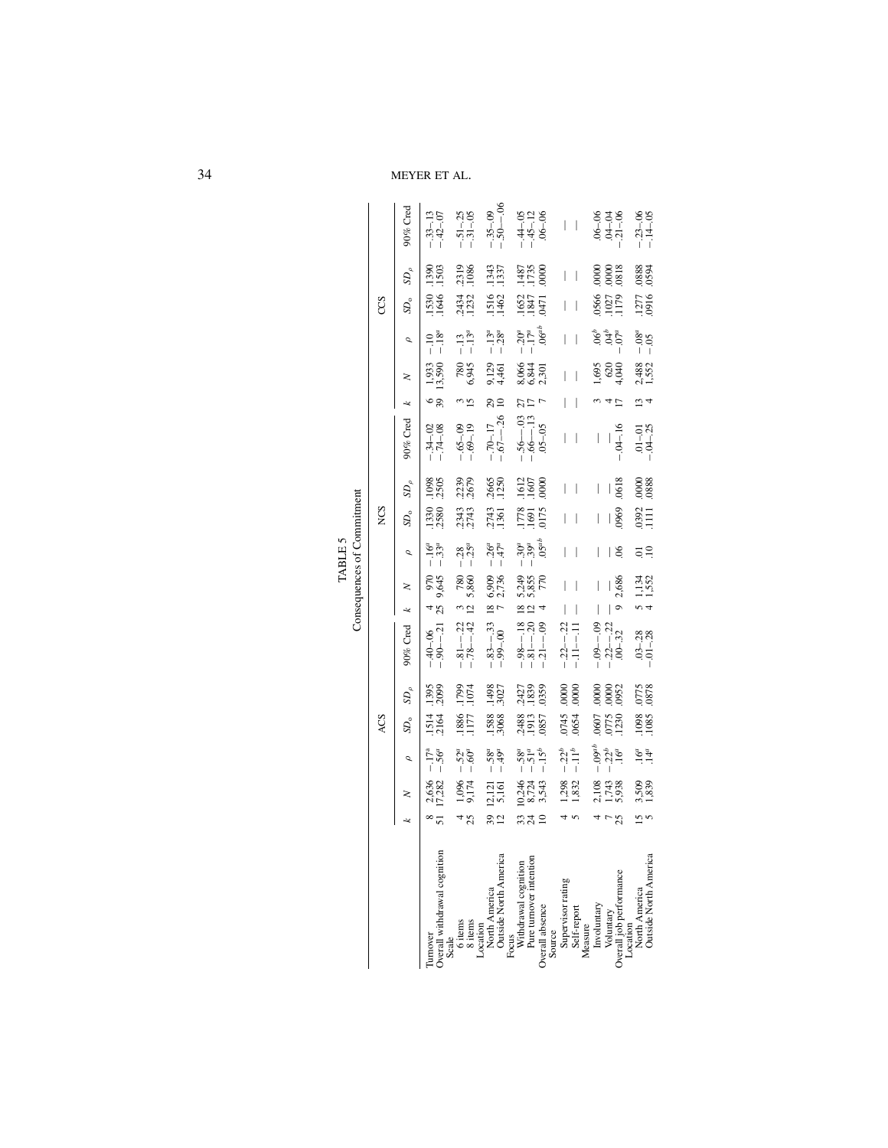|                                                                                                                                                                                                               |   |                      |                               | ACS                  |                      |                                                      |                                  |                        |                                     | <b>NCS</b>               |                    |                                        |               |                         |                                           | CCS                           |                      |                                         |
|---------------------------------------------------------------------------------------------------------------------------------------------------------------------------------------------------------------|---|----------------------|-------------------------------|----------------------|----------------------|------------------------------------------------------|----------------------------------|------------------------|-------------------------------------|--------------------------|--------------------|----------------------------------------|---------------|-------------------------|-------------------------------------------|-------------------------------|----------------------|-----------------------------------------|
|                                                                                                                                                                                                               |   |                      |                               |                      |                      |                                                      |                                  |                        |                                     |                          |                    |                                        |               |                         |                                           |                               |                      |                                         |
|                                                                                                                                                                                                               |   | 2                    | $\mathcal{L}$                 | $SD_0$               | $\mathrm{SD}_\rho$   | $90\%$ Cred                                          | ×                                | 2                      | ∘                                   | $\mathrm{SD}_\mathrm{o}$ | $\mathrm{SD}_\rho$ | 90% Cred                               |               | 2                       | ∘                                         | $\mathrm{SD}_\mathrm{o}$      | $\mathrm{SD}_\rho$   | 90% Cred                                |
| Turnover<br>Overall withdrawal cognition                                                                                                                                                                      | ∞ | 2,636<br>17,282      | - 17ª<br>- .56ª               | $\frac{1514}{2164}$  | 1395<br>2099         | $-40-06$ 4<br>- 90-06 - 21 25                        |                                  | 9,645<br>9,645         | $-16^{a}$<br>$-33^{a}$              | 1330<br>2580             | 1098<br>2505       | $-34 - 02$<br>$-74 - 08$               | $\frac{6}{3}$ | 1,933<br>13,590         | $-18^a$<br>$-10$                          | 1536                          | $\frac{1390}{1503}$  | $-33 - 13$<br>$-42 - 07$                |
| Scale<br>6 items<br>8 items<br>8 items<br>2 Doction<br>Doction America<br>Dutside North America<br>Fundarwal cognition<br>Pure turnover intention<br>Pure turnover intention                                  |   | PZT'E                | $-52^a$<br>- .60 <sup>a</sup> | 1886<br>1177         | 1799<br>1074         | $-81 - 22$<br>-78 - 42                               | $\frac{3}{2}$                    | 5880<br>5880           | $-28$<br>$-25$ <sup>a</sup>         | 2343<br>2743             | 2239               | $-0.65 - 0.09 - 0.19$                  |               | 780<br>087              | $-13$<br>$-13$ <sup>a</sup>               | 2434<br>1232                  | 2319<br>1086         | $-31 - 25$<br>$-31 - 05$                |
|                                                                                                                                                                                                               |   | $2,121$<br>$5,161$   | $-58^a$<br>$-49^a$            | 1588<br>3068         | 1498<br>3027         | $-83 - 33$<br>$-99 - 00$                             | $\frac{8}{18}$                   | 6,909<br>2,736         | $-26^a$<br>- 47 <sup>a</sup>        | 2743<br>1361             | 2665<br>1250       | $-70-17$<br>$-67-26$                   | $^{29}_{10}$  | $2,129$<br>$4,461$      | $-13^{a}$<br>$-28^{a}$                    | 1516<br>1462                  | 1343<br>1337         | $.35 - .09$<br>$50 - .06$               |
|                                                                                                                                                                                                               |   | 44<br>2714<br>985    | $-58^a$<br>$-51^a$<br>$-15^b$ | 0857<br>2488<br>1913 | 2427<br>1839<br>0359 | $-18$<br>$-18$<br>$-12$<br>$-12$<br>$-12$<br>$-0.09$ | $\overline{c}$<br>$\frac{8}{18}$ | 5,249<br>5,855<br>770  | $05^{ab}$<br>$-30^{a}$<br>$-39^{a}$ | 1778<br>1691<br>0175     | 165<br>166<br>198  | $-56 - 03$<br>$-66 - 13$<br>$05 - .05$ |               | 8,066<br>6,844<br>2,301 | $.06^{at}$<br>$-20^a$<br>-17 <sup>a</sup> | 1637<br>1847<br>1941          | 1487<br>1736<br>1811 | $-44 - 05$<br>$-45 - 12$<br>$.06 - .06$ |
|                                                                                                                                                                                                               |   | 298<br>832           | $-22^b$<br>-11 <sup>b</sup>   | 0745<br>0654         | 0000<br>0000         | $-22 - 22$<br>-11-11                                 | $\overline{\phantom{a}}$<br>I    | I<br>I                 | I<br>I                              | I                        | I<br>I             | $\overline{\phantom{a}}$               |               | I                       | I                                         | I<br>$\overline{\phantom{a}}$ | I                    | $\overline{\phantom{a}}$                |
| Overall absence<br>Source<br>Source<br>Self-eport<br>Self-eport<br>Measure<br>Involuntary<br>Overall job performance<br>Location<br>Ducation<br>Overall job performance<br>Clocation<br>Outside North America |   | 2138<br>2138<br>2138 | ತ್ತೆ ಸ್ವಿ<br>ಶ್ರಸ್ತಿ          | 0607<br>0775<br>1230 | 8<br>88<br>88        | $-0.09 - 0.09$<br>- $22 - 0.22$<br>- $0.00 - 0.32$   | $\circ$                          | $\frac{-}{2,686}$<br>I | 8<br>I<br>I                         | 0969<br>I                | 0618               | $-04 - 16$<br>I                        |               | \$8\$                   | इंहेंथु                                   | 0566<br>1027<br>1179          | 88<br>888<br>88      | $64.31 - 06$                            |
|                                                                                                                                                                                                               |   | 5839                 | $\frac{16^a}{14^a}$           | 1098<br>8801         | 0775<br>0878         | $-03 - 28$<br>$-01 - 28$                             |                                  | 1,134<br>1,552         | $\overline{a}$                      | $0392$<br>$1111$         | 0000               | $-01 - 01$<br>$-04 - 25$               |               | 2,488<br>1,552          | $-0.08$ <sup>a</sup>                      | 1277<br>0916                  | 0888<br>0594         | $-23-06$<br>$-14-05$                    |

TABLE 5<br>Consequences of Commitment Consequences of Commitment TABLE 5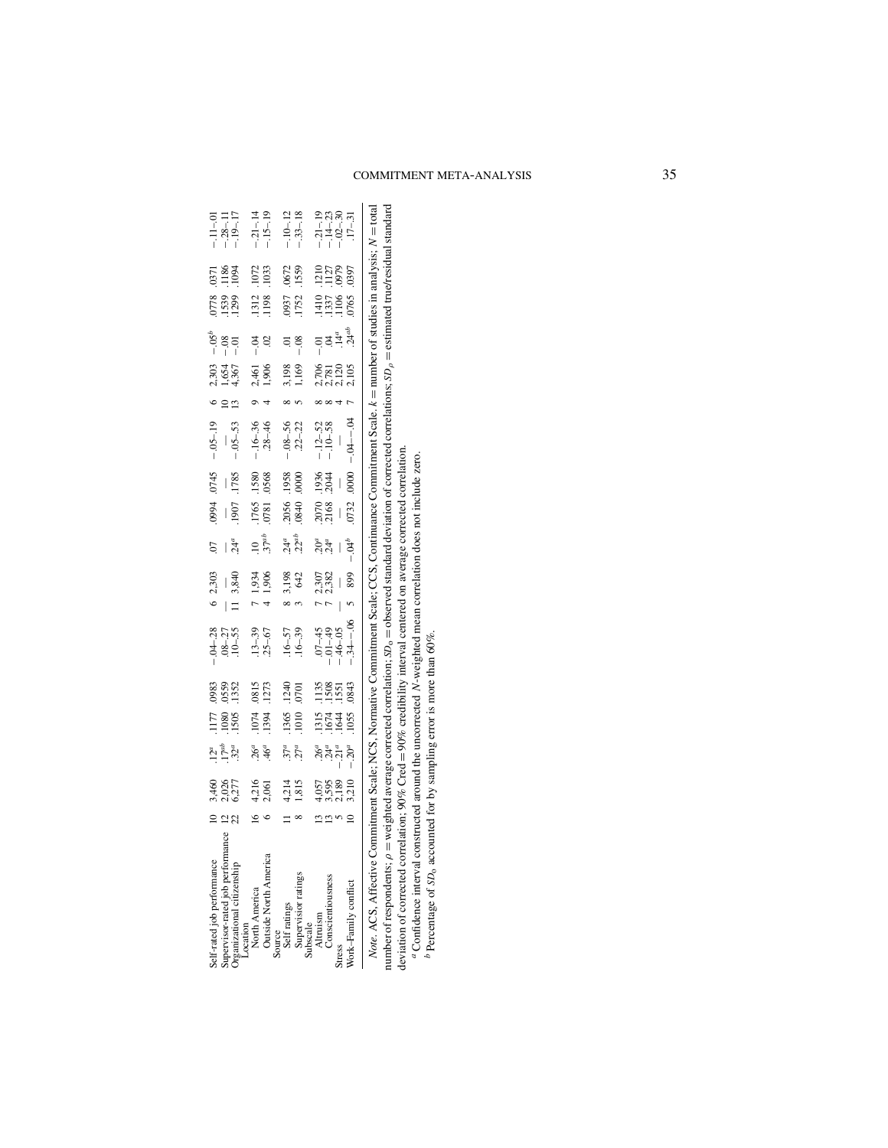| Self-rated job performance                                                                             |                                             |                               |                                                                  |                      |                     |                                                                  |                | 62,303                           | $\overline{c}$                |                     | 0745               |                                   |           |                                                |                  |                                                                                                              |                                              |
|--------------------------------------------------------------------------------------------------------|---------------------------------------------|-------------------------------|------------------------------------------------------------------|----------------------|---------------------|------------------------------------------------------------------|----------------|----------------------------------|-------------------------------|---------------------|--------------------|-----------------------------------|-----------|------------------------------------------------|------------------|--------------------------------------------------------------------------------------------------------------|----------------------------------------------|
|                                                                                                        | <u>១ ១</u> ខ                                |                               |                                                                  |                      | 883<br>8552<br>1352 | $-04 - 28$<br>$-08 - 27$<br>$-10 - 55$                           |                |                                  |                               | $-1907$<br>$-1907$  |                    | $-0.05-0.19$ 6<br>$-0.05-0.53$ 13 |           | 2,303<br>1,654<br>4,367                        | စ်<br>  83<br>   | 5<br>2001<br>1094<br>0778<br>07399<br>0712                                                                   |                                              |
| Supervisor-rated job performa<br>Organizational citizenship<br>Locath America<br>Outside North America |                                             | 3,460<br>2,027<br>5,277       | $\vec{J}^{\text{a}}_{\mathbf{J}}\vec{J}^{\text{a}}_{\mathbf{J}}$ | 1177<br>1980<br>1505 |                     |                                                                  | $\overline{z}$ | 3,840                            | $\frac{5}{4}$                 |                     | $\frac{1785}{ }$   |                                   |           |                                                |                  |                                                                                                              | $-11-01$<br>$-28-11$<br>$-19-17$             |
|                                                                                                        |                                             |                               |                                                                  |                      |                     |                                                                  |                |                                  |                               |                     |                    |                                   |           |                                                |                  | 1072<br>1033                                                                                                 | $-21 - 14$<br>-.15-.19                       |
|                                                                                                        | $\frac{8}{91}$                              | 4,216<br>2,061                | $\frac{26^a}{46^a}$                                              | 1394                 | .0815<br>.1273      | $.13 - .39$<br>$.25 - .67$                                       |                | 1,934<br>4 1,906                 | $\frac{10}{37}$ <sup>ab</sup> | 1765<br>0781        | 1580<br>0568       | $-16 - 36$<br>$-38 - 46$          | $\circ$ 4 | 2,461<br>1,906                                 | थ<br> <br>       | $.1312$<br>$.1198$                                                                                           |                                              |
|                                                                                                        |                                             |                               |                                                                  |                      |                     |                                                                  |                |                                  |                               |                     |                    |                                   |           |                                                |                  |                                                                                                              |                                              |
|                                                                                                        |                                             |                               |                                                                  |                      | $\frac{1240}{0701}$ | $.16 - 57$<br>$.16 - 39$                                         | $\infty$       |                                  |                               |                     |                    |                                   | $\infty$  |                                                | $\frac{5}{2}$    |                                                                                                              | $-10 - 12$<br>$-33 - 18$                     |
| Source<br>Self ratings<br>Supervisior ratings<br>Subscale<br>Altruism                                  |                                             | 4,214<br>1,815                | ى<br>ئارىق                                                       | $\frac{1365}{1010}$  |                     |                                                                  |                | 3,198<br>642                     | $\frac{24^a}{22^b}$           | 2056<br>0840        | 1958<br>8201.      | $-08 - 56$<br>$22 - 22$           |           | 3,198<br>1,169                                 |                  | 0672<br>1559<br>.0937<br>1752                                                                                |                                              |
|                                                                                                        |                                             |                               |                                                                  |                      |                     |                                                                  |                |                                  |                               |                     |                    |                                   |           |                                                |                  |                                                                                                              |                                              |
|                                                                                                        |                                             |                               |                                                                  |                      |                     |                                                                  |                |                                  |                               |                     |                    |                                   |           |                                                |                  |                                                                                                              |                                              |
| Conscientiousness                                                                                      |                                             |                               |                                                                  |                      |                     |                                                                  |                | $\frac{7}{7}$ 2,307<br>$-$ 2,382 | $\sum_{i=1}^{6}$              |                     | $\frac{1936}{204}$ |                                   |           |                                                |                  |                                                                                                              |                                              |
| Stress                                                                                                 | $\overline{a}\overline{a}$ n $\overline{a}$ |                               |                                                                  |                      |                     |                                                                  |                |                                  |                               | $\frac{2070}{2168}$ |                    |                                   |           |                                                |                  |                                                                                                              |                                              |
| Work-Family conflict                                                                                   |                                             | 55230<br>55230<br>5525        | ទឹង =<br>ស្តីភ្នំស្តី<br>                                        | 124<br>124<br>124    | 138533              | $-07-45$ 7 2;<br>$-01-49$ 7 2;<br>$-46-05$ 6 8<br>$-34-0.06$ 5 8 |                | 899                              | $\frac{1}{2}$                 | 0732                | .0000              | $-12-52$<br>$-10-58$<br>$-04-04$  |           | 8្គី<br>ខ្ពុំ ខ្ពុំ ខ្ពុំ<br>ខ្ពុំ ខ្ពុំ ខ្ពុំ | =<br>ಪ್ರಕ್ತೆ ಸ್ವ | 1128<br>1127<br>1128<br>11116<br>1115                                                                        | $-21-19$<br>$-14-23$<br>$-02-30$<br>$-17-31$ |
| Note. ACS, Affective 0                                                                                 |                                             | tment Scale: NCS. Normative ( |                                                                  |                      |                     |                                                                  |                |                                  |                               |                     |                    |                                   |           |                                                |                  | Commitment Scale: CCS, Continuance Commitment Scale. $k =$ number of studies in analysis; $N = \text{total}$ |                                              |

number of respondents;  $\rho =$  weighted average corrected correlation;  $SD_0 =$  observed standard deviation of corrected correlations;  $SD_\rho =$  estimated true/residual standard number of respondents; ρ = weighted average corrected correlation; *SD*o = observed standard deviation of corrected correlations; *SD*ρ = estimated true/residual standard deviation of corrected correlation; 90% Cred = 90% credibility interval centered on average corrected correlation. deviation of corrected correlation; 90% Cred = 90% credibility interval centered on average corrected correlation. <sup>*a*</sup> Confidence interval constructed around the uncorrected *N*-weighted mean correlation does not include zero. Confidence interval constructed around the uncorrected *N*-weighted mean correlation does not include zero.

 $^b$  Percentage of  $\mathit{SD}_0$  accounted for by sampling error is more than 60%.  $P$ ercentage of *SD*<sub>o</sub> accounted for by sampling error is more than 60%.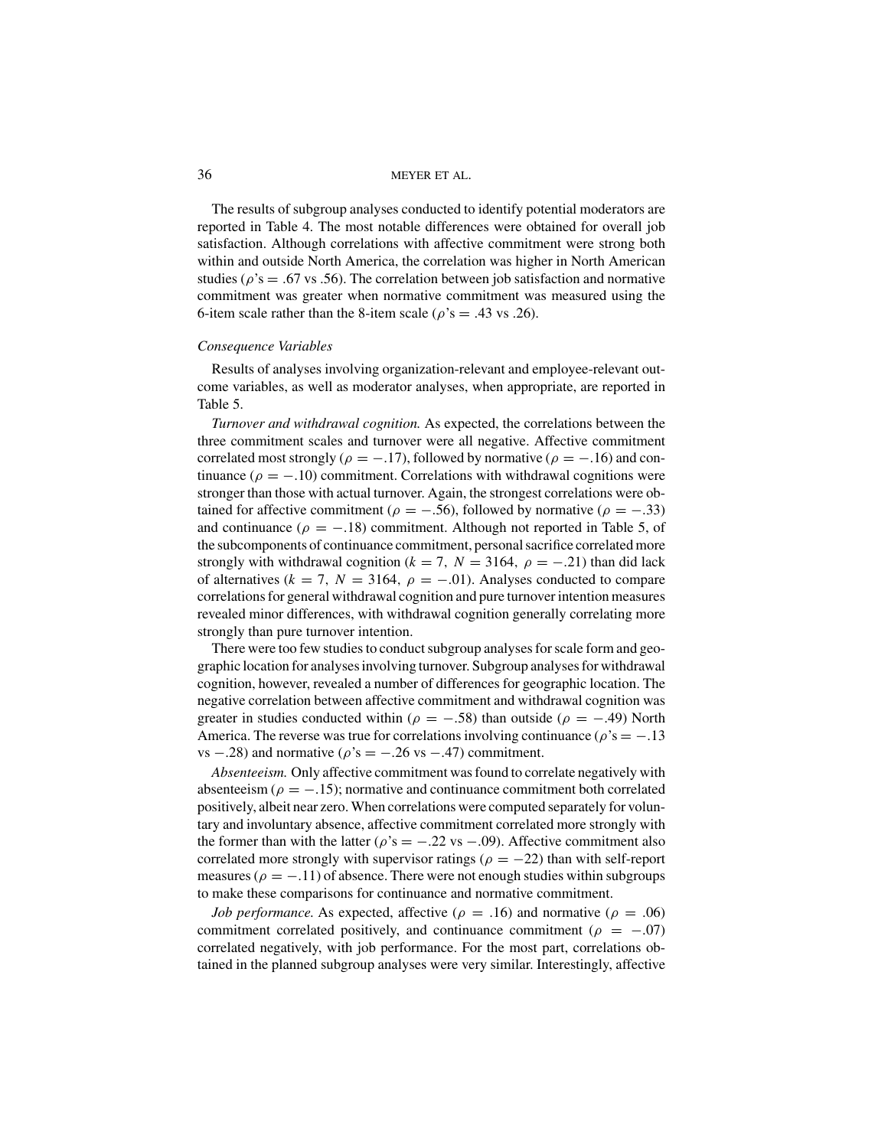The results of subgroup analyses conducted to identify potential moderators are reported in Table 4. The most notable differences were obtained for overall job satisfaction. Although correlations with affective commitment were strong both within and outside North America, the correlation was higher in North American studies ( $\rho$ 's = .67 vs .56). The correlation between job satisfaction and normative commitment was greater when normative commitment was measured using the 6-item scale rather than the 8-item scale ( $\rho$ 's = .43 vs .26).

#### *Consequence Variables*

Results of analyses involving organization-relevant and employee-relevant outcome variables, as well as moderator analyses, when appropriate, are reported in Table 5.

*Turnover and withdrawal cognition.* As expected, the correlations between the three commitment scales and turnover were all negative. Affective commitment correlated most strongly ( $\rho = -.17$ ), followed by normative ( $\rho = -.16$ ) and continuance ( $\rho = -.10$ ) commitment. Correlations with withdrawal cognitions were stronger than those with actual turnover. Again, the strongest correlations were obtained for affective commitment ( $\rho = -.56$ ), followed by normative ( $\rho = -.33$ ) and continuance ( $\rho = -.18$ ) commitment. Although not reported in Table 5, of the subcomponents of continuance commitment, personal sacrifice correlated more strongly with withdrawal cognition ( $k = 7$ ,  $N = 3164$ ,  $\rho = -.21$ ) than did lack of alternatives ( $k = 7$ ,  $N = 3164$ ,  $\rho = -.01$ ). Analyses conducted to compare correlations for general withdrawal cognition and pure turnover intention measures revealed minor differences, with withdrawal cognition generally correlating more strongly than pure turnover intention.

There were too few studies to conduct subgroup analyses for scale form and geographic location for analyses involving turnover. Subgroup analyses for withdrawal cognition, however, revealed a number of differences for geographic location. The negative correlation between affective commitment and withdrawal cognition was greater in studies conducted within ( $\rho = -.58$ ) than outside ( $\rho = -.49$ ) North America. The reverse was true for correlations involving continuance ( $\rho$ 's = −.13 vs −.28) and normative ( $\rho$ 's = −.26 vs −.47) commitment.

*Absenteeism.* Only affective commitment was found to correlate negatively with absenteeism ( $\rho = -.15$ ); normative and continuance commitment both correlated positively, albeit near zero. When correlations were computed separately for voluntary and involuntary absence, affective commitment correlated more strongly with the former than with the latter ( $\rho$ 's = −.22 vs −.09). Affective commitment also correlated more strongly with supervisor ratings ( $\rho = -22$ ) than with self-report measures ( $\rho = -.11$ ) of absence. There were not enough studies within subgroups to make these comparisons for continuance and normative commitment.

*Job performance.* As expected, affective ( $\rho = .16$ ) and normative ( $\rho = .06$ ) commitment correlated positively, and continuance commitment ( $\rho = -.07$ ) correlated negatively, with job performance. For the most part, correlations obtained in the planned subgroup analyses were very similar. Interestingly, affective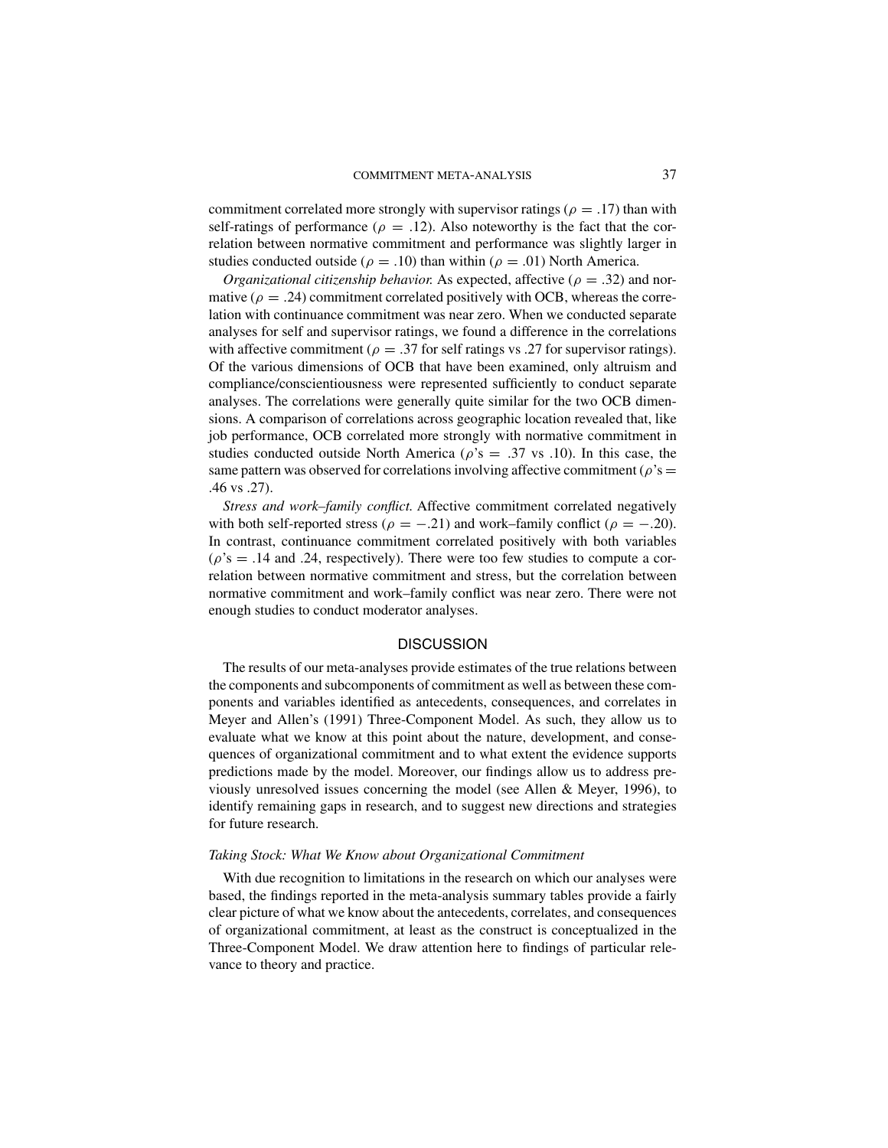commitment correlated more strongly with supervisor ratings ( $\rho = .17$ ) than with self-ratings of performance ( $\rho = .12$ ). Also noteworthy is the fact that the correlation between normative commitment and performance was slightly larger in studies conducted outside ( $\rho = .10$ ) than within ( $\rho = .01$ ) North America.

*Organizational citizenship behavior.* As expected, affective ( $\rho = .32$ ) and normative ( $\rho = .24$ ) commitment correlated positively with OCB, whereas the correlation with continuance commitment was near zero. When we conducted separate analyses for self and supervisor ratings, we found a difference in the correlations with affective commitment ( $\rho = 0.37$  for self ratings vs 0.27 for supervisor ratings). Of the various dimensions of OCB that have been examined, only altruism and compliance/conscientiousness were represented sufficiently to conduct separate analyses. The correlations were generally quite similar for the two OCB dimensions. A comparison of correlations across geographic location revealed that, like job performance, OCB correlated more strongly with normative commitment in studies conducted outside North America ( $\rho$ 's = .37 vs .10). In this case, the same pattern was observed for correlations involving affective commitment ( $\rho$ 's = .46 vs .27).

*Stress and work–family conflict.* Affective commitment correlated negatively with both self-reported stress ( $\rho = -.21$ ) and work–family conflict ( $\rho = -.20$ ). In contrast, continuance commitment correlated positively with both variables  $(\rho)$ 's = .14 and .24, respectively). There were too few studies to compute a correlation between normative commitment and stress, but the correlation between normative commitment and work–family conflict was near zero. There were not enough studies to conduct moderator analyses.

# **DISCUSSION**

The results of our meta-analyses provide estimates of the true relations between the components and subcomponents of commitment as well as between these components and variables identified as antecedents, consequences, and correlates in Meyer and Allen's (1991) Three-Component Model. As such, they allow us to evaluate what we know at this point about the nature, development, and consequences of organizational commitment and to what extent the evidence supports predictions made by the model. Moreover, our findings allow us to address previously unresolved issues concerning the model (see Allen & Meyer, 1996), to identify remaining gaps in research, and to suggest new directions and strategies for future research.

## *Taking Stock: What We Know about Organizational Commitment*

With due recognition to limitations in the research on which our analyses were based, the findings reported in the meta-analysis summary tables provide a fairly clear picture of what we know about the antecedents, correlates, and consequences of organizational commitment, at least as the construct is conceptualized in the Three-Component Model. We draw attention here to findings of particular relevance to theory and practice.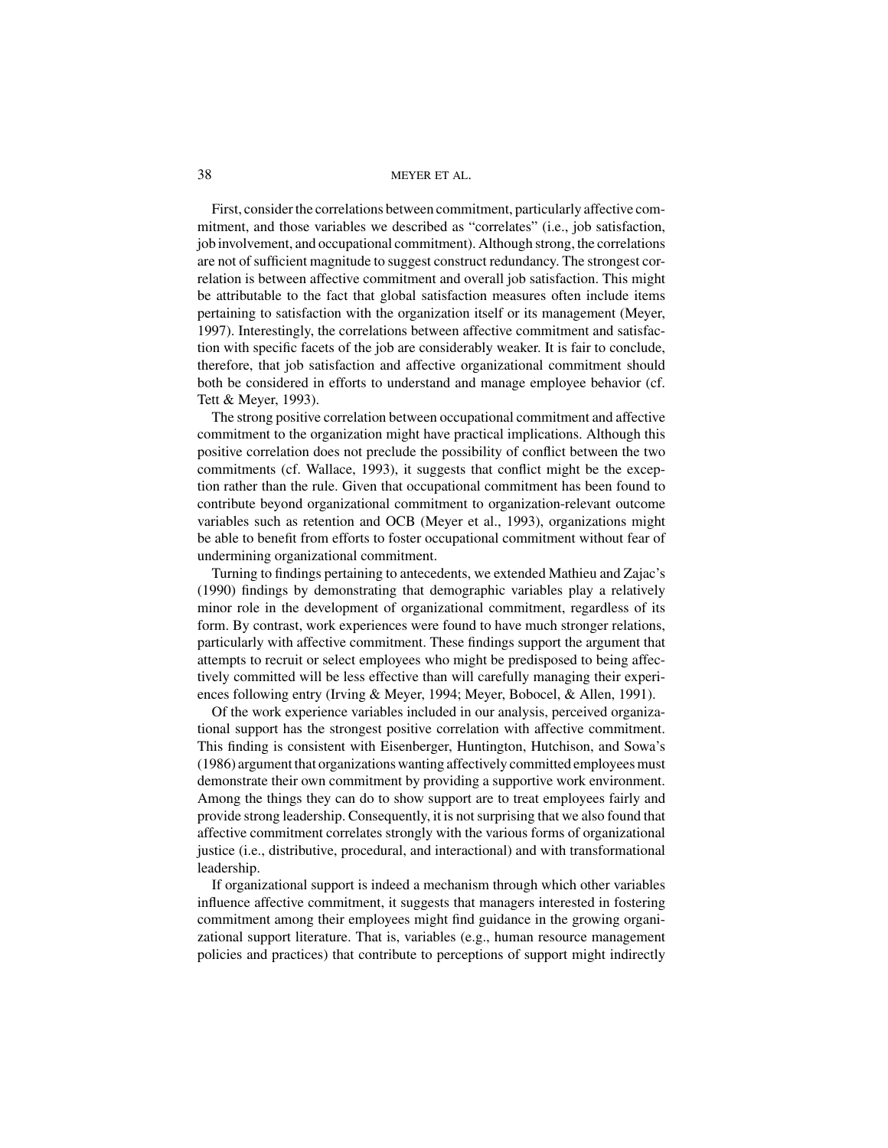First, consider the correlations between commitment, particularly affective commitment, and those variables we described as "correlates" (i.e., job satisfaction, job involvement, and occupational commitment). Although strong, the correlations are not of sufficient magnitude to suggest construct redundancy. The strongest correlation is between affective commitment and overall job satisfaction. This might be attributable to the fact that global satisfaction measures often include items pertaining to satisfaction with the organization itself or its management (Meyer, 1997). Interestingly, the correlations between affective commitment and satisfaction with specific facets of the job are considerably weaker. It is fair to conclude, therefore, that job satisfaction and affective organizational commitment should both be considered in efforts to understand and manage employee behavior (cf. Tett & Meyer, 1993).

The strong positive correlation between occupational commitment and affective commitment to the organization might have practical implications. Although this positive correlation does not preclude the possibility of conflict between the two commitments (cf. Wallace, 1993), it suggests that conflict might be the exception rather than the rule. Given that occupational commitment has been found to contribute beyond organizational commitment to organization-relevant outcome variables such as retention and OCB (Meyer et al., 1993), organizations might be able to benefit from efforts to foster occupational commitment without fear of undermining organizational commitment.

Turning to findings pertaining to antecedents, we extended Mathieu and Zajac's (1990) findings by demonstrating that demographic variables play a relatively minor role in the development of organizational commitment, regardless of its form. By contrast, work experiences were found to have much stronger relations, particularly with affective commitment. These findings support the argument that attempts to recruit or select employees who might be predisposed to being affectively committed will be less effective than will carefully managing their experiences following entry (Irving & Meyer, 1994; Meyer, Bobocel, & Allen, 1991).

Of the work experience variables included in our analysis, perceived organizational support has the strongest positive correlation with affective commitment. This finding is consistent with Eisenberger, Huntington, Hutchison, and Sowa's (1986) argument that organizations wanting affectively committed employees must demonstrate their own commitment by providing a supportive work environment. Among the things they can do to show support are to treat employees fairly and provide strong leadership. Consequently, it is not surprising that we also found that affective commitment correlates strongly with the various forms of organizational justice (i.e., distributive, procedural, and interactional) and with transformational leadership.

If organizational support is indeed a mechanism through which other variables influence affective commitment, it suggests that managers interested in fostering commitment among their employees might find guidance in the growing organizational support literature. That is, variables (e.g., human resource management policies and practices) that contribute to perceptions of support might indirectly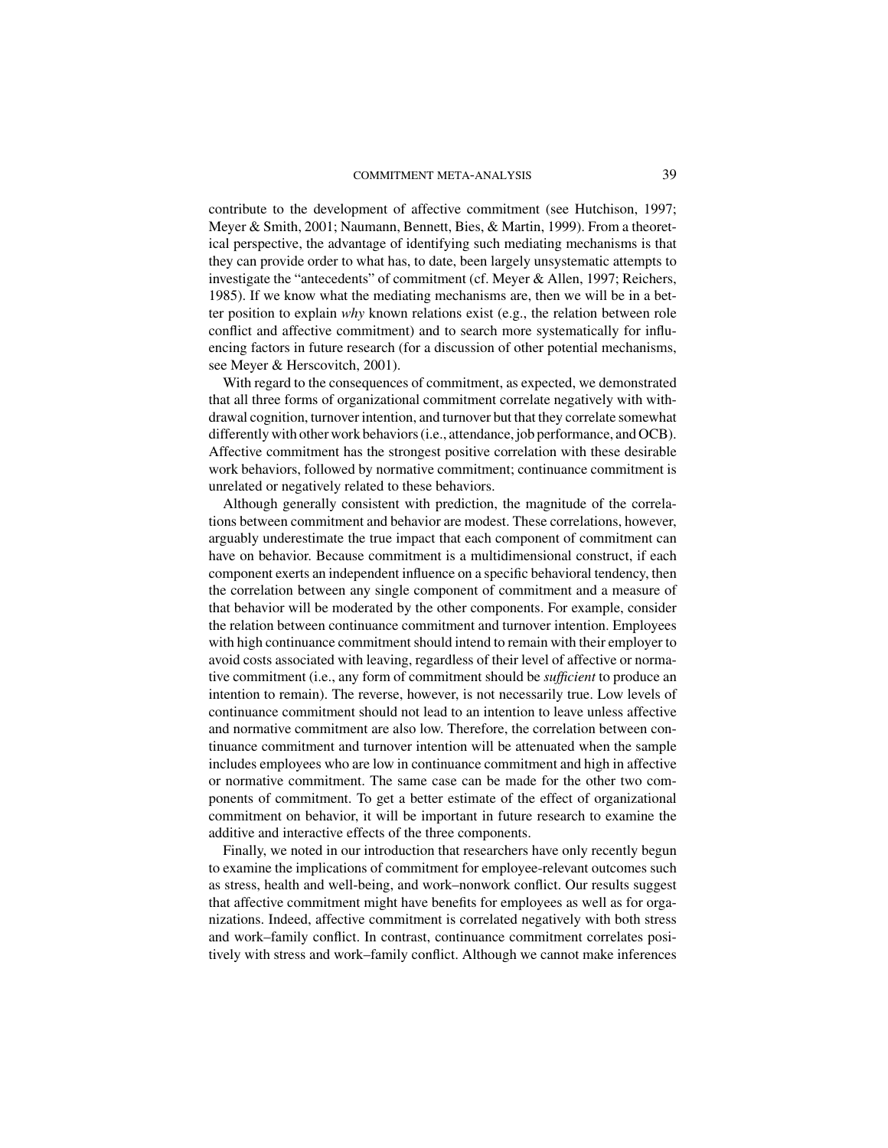contribute to the development of affective commitment (see Hutchison, 1997; Meyer & Smith, 2001; Naumann, Bennett, Bies, & Martin, 1999). From a theoretical perspective, the advantage of identifying such mediating mechanisms is that they can provide order to what has, to date, been largely unsystematic attempts to investigate the "antecedents" of commitment (cf. Meyer & Allen, 1997; Reichers, 1985). If we know what the mediating mechanisms are, then we will be in a better position to explain *why* known relations exist (e.g., the relation between role conflict and affective commitment) and to search more systematically for influencing factors in future research (for a discussion of other potential mechanisms, see Meyer & Herscovitch, 2001).

With regard to the consequences of commitment, as expected, we demonstrated that all three forms of organizational commitment correlate negatively with withdrawal cognition, turnover intention, and turnover but that they correlate somewhat differently with other work behaviors (i.e., attendance, job performance, and OCB). Affective commitment has the strongest positive correlation with these desirable work behaviors, followed by normative commitment; continuance commitment is unrelated or negatively related to these behaviors.

Although generally consistent with prediction, the magnitude of the correlations between commitment and behavior are modest. These correlations, however, arguably underestimate the true impact that each component of commitment can have on behavior. Because commitment is a multidimensional construct, if each component exerts an independent influence on a specific behavioral tendency, then the correlation between any single component of commitment and a measure of that behavior will be moderated by the other components. For example, consider the relation between continuance commitment and turnover intention. Employees with high continuance commitment should intend to remain with their employer to avoid costs associated with leaving, regardless of their level of affective or normative commitment (i.e., any form of commitment should be *sufficient* to produce an intention to remain). The reverse, however, is not necessarily true. Low levels of continuance commitment should not lead to an intention to leave unless affective and normative commitment are also low. Therefore, the correlation between continuance commitment and turnover intention will be attenuated when the sample includes employees who are low in continuance commitment and high in affective or normative commitment. The same case can be made for the other two components of commitment. To get a better estimate of the effect of organizational commitment on behavior, it will be important in future research to examine the additive and interactive effects of the three components.

Finally, we noted in our introduction that researchers have only recently begun to examine the implications of commitment for employee-relevant outcomes such as stress, health and well-being, and work–nonwork conflict. Our results suggest that affective commitment might have benefits for employees as well as for organizations. Indeed, affective commitment is correlated negatively with both stress and work–family conflict. In contrast, continuance commitment correlates positively with stress and work–family conflict. Although we cannot make inferences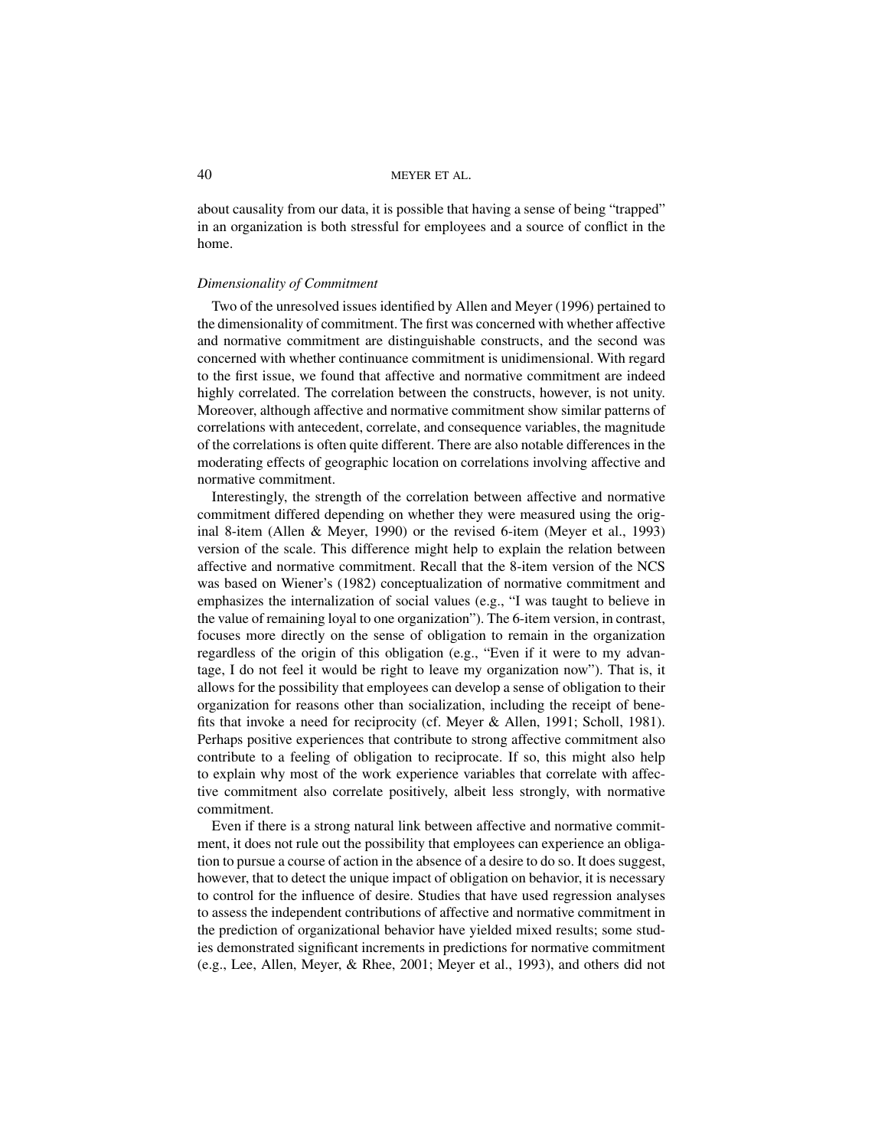about causality from our data, it is possible that having a sense of being "trapped" in an organization is both stressful for employees and a source of conflict in the home.

# *Dimensionality of Commitment*

Two of the unresolved issues identified by Allen and Meyer (1996) pertained to the dimensionality of commitment. The first was concerned with whether affective and normative commitment are distinguishable constructs, and the second was concerned with whether continuance commitment is unidimensional. With regard to the first issue, we found that affective and normative commitment are indeed highly correlated. The correlation between the constructs, however, is not unity. Moreover, although affective and normative commitment show similar patterns of correlations with antecedent, correlate, and consequence variables, the magnitude of the correlations is often quite different. There are also notable differences in the moderating effects of geographic location on correlations involving affective and normative commitment.

Interestingly, the strength of the correlation between affective and normative commitment differed depending on whether they were measured using the original 8-item (Allen & Meyer, 1990) or the revised 6-item (Meyer et al., 1993) version of the scale. This difference might help to explain the relation between affective and normative commitment. Recall that the 8-item version of the NCS was based on Wiener's (1982) conceptualization of normative commitment and emphasizes the internalization of social values (e.g., "I was taught to believe in the value of remaining loyal to one organization"). The 6-item version, in contrast, focuses more directly on the sense of obligation to remain in the organization regardless of the origin of this obligation (e.g., "Even if it were to my advantage, I do not feel it would be right to leave my organization now"). That is, it allows for the possibility that employees can develop a sense of obligation to their organization for reasons other than socialization, including the receipt of benefits that invoke a need for reciprocity (cf. Meyer & Allen, 1991; Scholl, 1981). Perhaps positive experiences that contribute to strong affective commitment also contribute to a feeling of obligation to reciprocate. If so, this might also help to explain why most of the work experience variables that correlate with affective commitment also correlate positively, albeit less strongly, with normative commitment.

Even if there is a strong natural link between affective and normative commitment, it does not rule out the possibility that employees can experience an obligation to pursue a course of action in the absence of a desire to do so. It does suggest, however, that to detect the unique impact of obligation on behavior, it is necessary to control for the influence of desire. Studies that have used regression analyses to assess the independent contributions of affective and normative commitment in the prediction of organizational behavior have yielded mixed results; some studies demonstrated significant increments in predictions for normative commitment (e.g., Lee, Allen, Meyer, & Rhee, 2001; Meyer et al., 1993), and others did not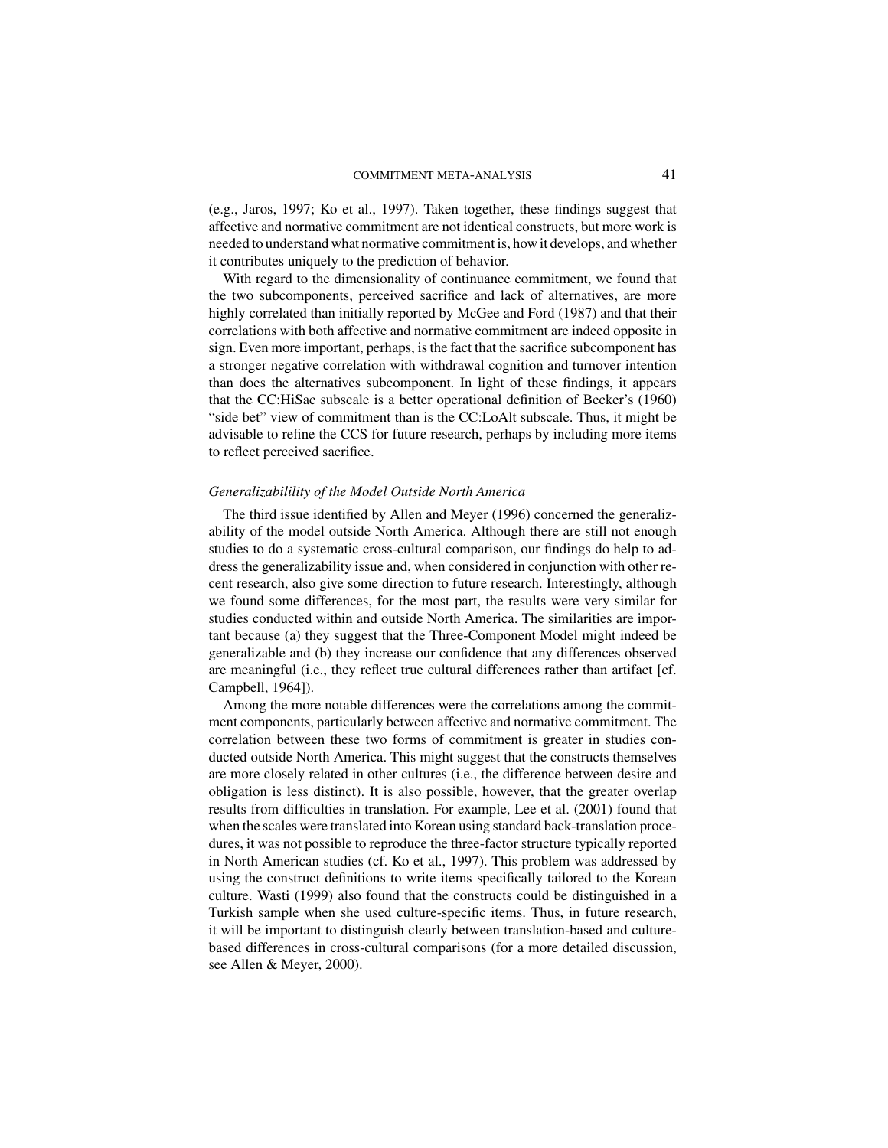(e.g., Jaros, 1997; Ko et al., 1997). Taken together, these findings suggest that affective and normative commitment are not identical constructs, but more work is needed to understand what normative commitment is, how it develops, and whether it contributes uniquely to the prediction of behavior.

With regard to the dimensionality of continuance commitment, we found that the two subcomponents, perceived sacrifice and lack of alternatives, are more highly correlated than initially reported by McGee and Ford (1987) and that their correlations with both affective and normative commitment are indeed opposite in sign. Even more important, perhaps, is the fact that the sacrifice subcomponent has a stronger negative correlation with withdrawal cognition and turnover intention than does the alternatives subcomponent. In light of these findings, it appears that the CC:HiSac subscale is a better operational definition of Becker's (1960) "side bet" view of commitment than is the CC:LoAlt subscale. Thus, it might be advisable to refine the CCS for future research, perhaps by including more items to reflect perceived sacrifice.

# *Generalizabilility of the Model Outside North America*

The third issue identified by Allen and Meyer (1996) concerned the generalizability of the model outside North America. Although there are still not enough studies to do a systematic cross-cultural comparison, our findings do help to address the generalizability issue and, when considered in conjunction with other recent research, also give some direction to future research. Interestingly, although we found some differences, for the most part, the results were very similar for studies conducted within and outside North America. The similarities are important because (a) they suggest that the Three-Component Model might indeed be generalizable and (b) they increase our confidence that any differences observed are meaningful (i.e., they reflect true cultural differences rather than artifact [cf. Campbell, 1964]).

Among the more notable differences were the correlations among the commitment components, particularly between affective and normative commitment. The correlation between these two forms of commitment is greater in studies conducted outside North America. This might suggest that the constructs themselves are more closely related in other cultures (i.e., the difference between desire and obligation is less distinct). It is also possible, however, that the greater overlap results from difficulties in translation. For example, Lee et al. (2001) found that when the scales were translated into Korean using standard back-translation procedures, it was not possible to reproduce the three-factor structure typically reported in North American studies (cf. Ko et al., 1997). This problem was addressed by using the construct definitions to write items specifically tailored to the Korean culture. Wasti (1999) also found that the constructs could be distinguished in a Turkish sample when she used culture-specific items. Thus, in future research, it will be important to distinguish clearly between translation-based and culturebased differences in cross-cultural comparisons (for a more detailed discussion, see Allen & Meyer, 2000).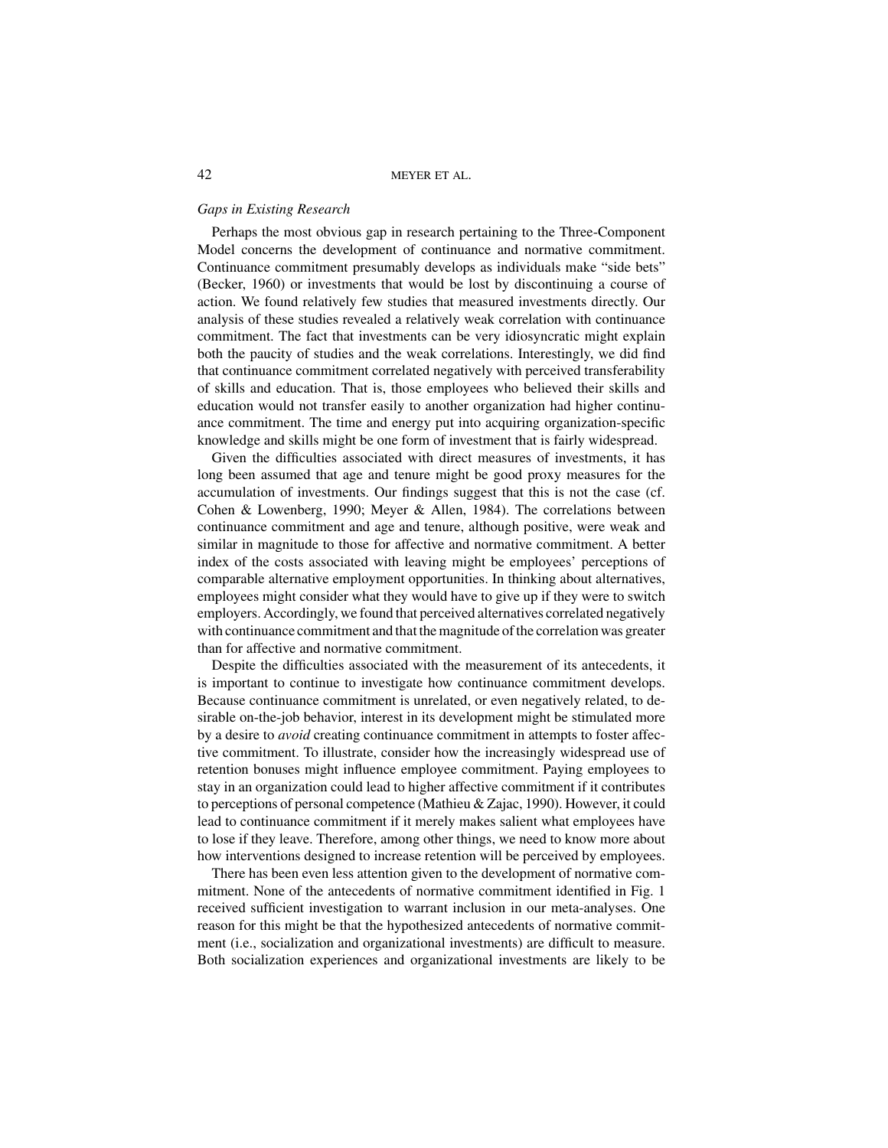#### *Gaps in Existing Research*

Perhaps the most obvious gap in research pertaining to the Three-Component Model concerns the development of continuance and normative commitment. Continuance commitment presumably develops as individuals make "side bets" (Becker, 1960) or investments that would be lost by discontinuing a course of action. We found relatively few studies that measured investments directly. Our analysis of these studies revealed a relatively weak correlation with continuance commitment. The fact that investments can be very idiosyncratic might explain both the paucity of studies and the weak correlations. Interestingly, we did find that continuance commitment correlated negatively with perceived transferability of skills and education. That is, those employees who believed their skills and education would not transfer easily to another organization had higher continuance commitment. The time and energy put into acquiring organization-specific knowledge and skills might be one form of investment that is fairly widespread.

Given the difficulties associated with direct measures of investments, it has long been assumed that age and tenure might be good proxy measures for the accumulation of investments. Our findings suggest that this is not the case (cf. Cohen & Lowenberg, 1990; Meyer & Allen, 1984). The correlations between continuance commitment and age and tenure, although positive, were weak and similar in magnitude to those for affective and normative commitment. A better index of the costs associated with leaving might be employees' perceptions of comparable alternative employment opportunities. In thinking about alternatives, employees might consider what they would have to give up if they were to switch employers. Accordingly, we found that perceived alternatives correlated negatively with continuance commitment and that the magnitude of the correlation was greater than for affective and normative commitment.

Despite the difficulties associated with the measurement of its antecedents, it is important to continue to investigate how continuance commitment develops. Because continuance commitment is unrelated, or even negatively related, to desirable on-the-job behavior, interest in its development might be stimulated more by a desire to *avoid* creating continuance commitment in attempts to foster affective commitment. To illustrate, consider how the increasingly widespread use of retention bonuses might influence employee commitment. Paying employees to stay in an organization could lead to higher affective commitment if it contributes to perceptions of personal competence (Mathieu & Zajac, 1990). However, it could lead to continuance commitment if it merely makes salient what employees have to lose if they leave. Therefore, among other things, we need to know more about how interventions designed to increase retention will be perceived by employees.

There has been even less attention given to the development of normative commitment. None of the antecedents of normative commitment identified in Fig. 1 received sufficient investigation to warrant inclusion in our meta-analyses. One reason for this might be that the hypothesized antecedents of normative commitment (i.e., socialization and organizational investments) are difficult to measure. Both socialization experiences and organizational investments are likely to be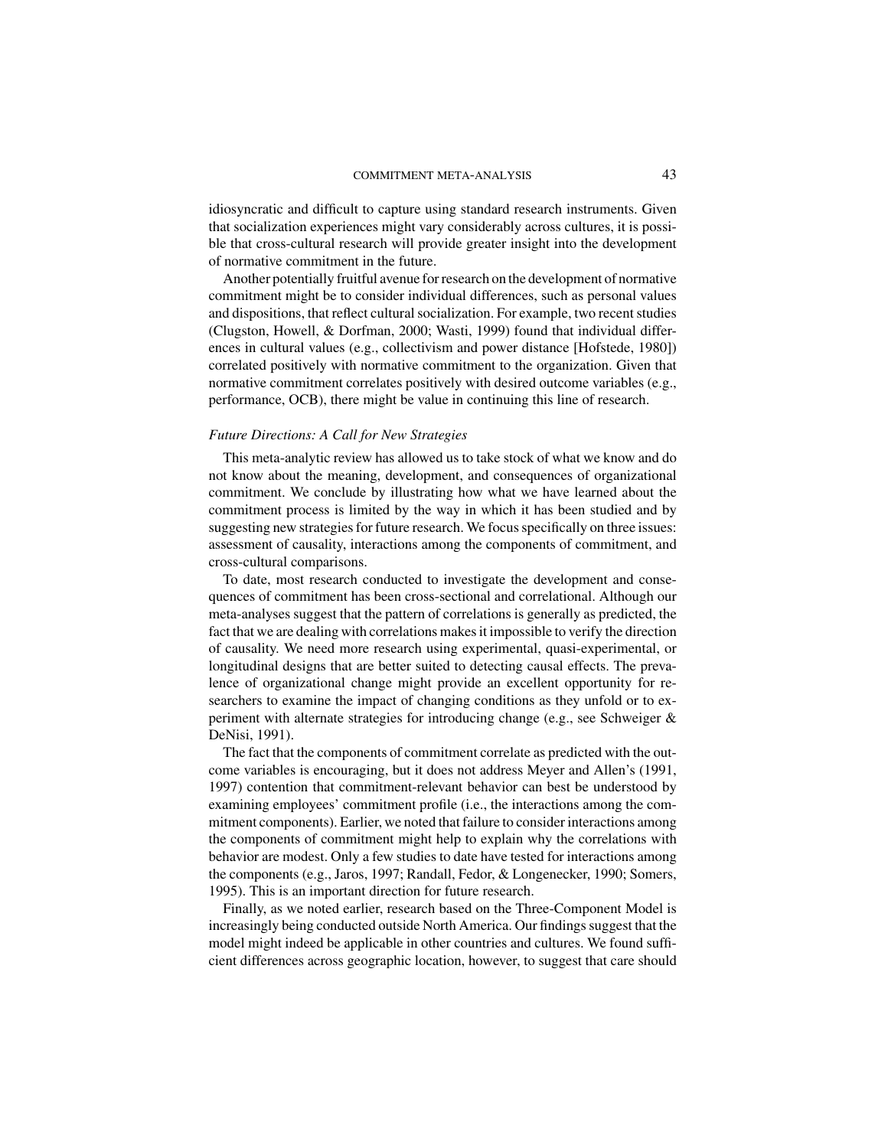idiosyncratic and difficult to capture using standard research instruments. Given that socialization experiences might vary considerably across cultures, it is possible that cross-cultural research will provide greater insight into the development of normative commitment in the future.

Another potentially fruitful avenue for research on the development of normative commitment might be to consider individual differences, such as personal values and dispositions, that reflect cultural socialization. For example, two recent studies (Clugston, Howell, & Dorfman, 2000; Wasti, 1999) found that individual differences in cultural values (e.g., collectivism and power distance [Hofstede, 1980]) correlated positively with normative commitment to the organization. Given that normative commitment correlates positively with desired outcome variables (e.g., performance, OCB), there might be value in continuing this line of research.

## *Future Directions: A Call for New Strategies*

This meta-analytic review has allowed us to take stock of what we know and do not know about the meaning, development, and consequences of organizational commitment. We conclude by illustrating how what we have learned about the commitment process is limited by the way in which it has been studied and by suggesting new strategies for future research. We focus specifically on three issues: assessment of causality, interactions among the components of commitment, and cross-cultural comparisons.

To date, most research conducted to investigate the development and consequences of commitment has been cross-sectional and correlational. Although our meta-analyses suggest that the pattern of correlations is generally as predicted, the fact that we are dealing with correlations makes it impossible to verify the direction of causality. We need more research using experimental, quasi-experimental, or longitudinal designs that are better suited to detecting causal effects. The prevalence of organizational change might provide an excellent opportunity for researchers to examine the impact of changing conditions as they unfold or to experiment with alternate strategies for introducing change (e.g., see Schweiger & DeNisi, 1991).

The fact that the components of commitment correlate as predicted with the outcome variables is encouraging, but it does not address Meyer and Allen's (1991, 1997) contention that commitment-relevant behavior can best be understood by examining employees' commitment profile (i.e., the interactions among the commitment components). Earlier, we noted that failure to consider interactions among the components of commitment might help to explain why the correlations with behavior are modest. Only a few studies to date have tested for interactions among the components (e.g., Jaros, 1997; Randall, Fedor, & Longenecker, 1990; Somers, 1995). This is an important direction for future research.

Finally, as we noted earlier, research based on the Three-Component Model is increasingly being conducted outside North America. Our findings suggest that the model might indeed be applicable in other countries and cultures. We found sufficient differences across geographic location, however, to suggest that care should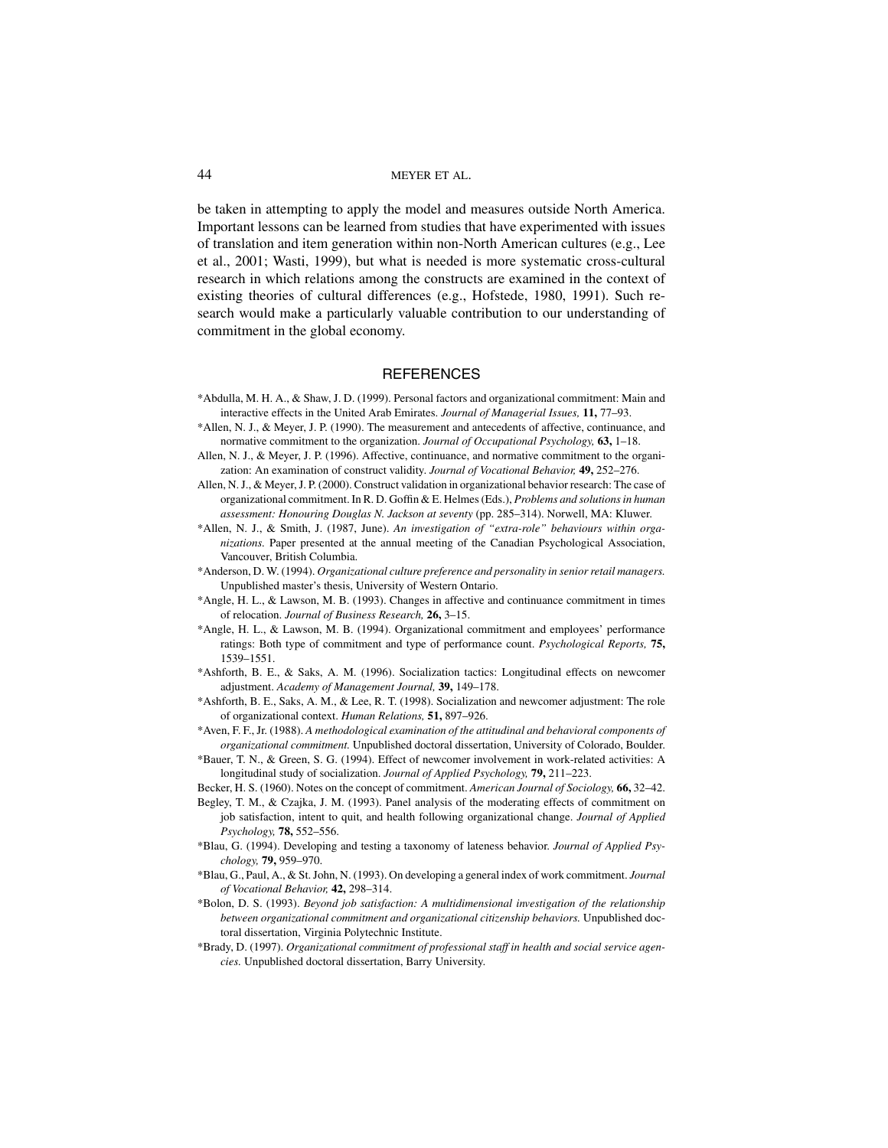be taken in attempting to apply the model and measures outside North America. Important lessons can be learned from studies that have experimented with issues of translation and item generation within non-North American cultures (e.g., Lee et al., 2001; Wasti, 1999), but what is needed is more systematic cross-cultural research in which relations among the constructs are examined in the context of existing theories of cultural differences (e.g., Hofstede, 1980, 1991). Such research would make a particularly valuable contribution to our understanding of commitment in the global economy.

# **REFERENCES**

- \*Abdulla, M. H. A., & Shaw, J. D. (1999). Personal factors and organizational commitment: Main and interactive effects in the United Arab Emirates. *Journal of Managerial Issues,* **11,** 77–93.
- \*Allen, N. J., & Meyer, J. P. (1990). The measurement and antecedents of affective, continuance, and normative commitment to the organization. *Journal of Occupational Psychology,* **63,** 1–18.
- Allen, N. J., & Meyer, J. P. (1996). Affective, continuance, and normative commitment to the organization: An examination of construct validity. *Journal of Vocational Behavior,* **49,** 252–276.
- Allen, N. J., & Meyer, J. P. (2000). Construct validation in organizational behavior research: The case of organizational commitment. In R. D. Goffin & E. Helmes (Eds.), *Problems and solutions in human assessment: Honouring Douglas N. Jackson at seventy* (pp. 285–314). Norwell, MA: Kluwer.
- \*Allen, N. J., & Smith, J. (1987, June). *An investigation of "extra-role" behaviours within organizations.* Paper presented at the annual meeting of the Canadian Psychological Association, Vancouver, British Columbia.
- \*Anderson, D. W. (1994). *Organizational culture preference and personality in senior retail managers.* Unpublished master's thesis, University of Western Ontario.
- \*Angle, H. L., & Lawson, M. B. (1993). Changes in affective and continuance commitment in times of relocation. *Journal of Business Research,* **26,** 3–15.
- \*Angle, H. L., & Lawson, M. B. (1994). Organizational commitment and employees' performance ratings: Both type of commitment and type of performance count. *Psychological Reports,* **75,** 1539–1551.
- \*Ashforth, B. E., & Saks, A. M. (1996). Socialization tactics: Longitudinal effects on newcomer adjustment. *Academy of Management Journal,* **39,** 149–178.
- \*Ashforth, B. E., Saks, A. M., & Lee, R. T. (1998). Socialization and newcomer adjustment: The role of organizational context. *Human Relations,* **51,** 897–926.
- \*Aven, F. F., Jr. (1988). *A methodological examination of the attitudinal and behavioral components of organizational commitment.* Unpublished doctoral dissertation, University of Colorado, Boulder.
- \*Bauer, T. N., & Green, S. G. (1994). Effect of newcomer involvement in work-related activities: A longitudinal study of socialization. *Journal of Applied Psychology,* **79,** 211–223.
- Becker, H. S. (1960). Notes on the concept of commitment. *American Journal of Sociology,* **66,** 32–42.
- Begley, T. M., & Czajka, J. M. (1993). Panel analysis of the moderating effects of commitment on job satisfaction, intent to quit, and health following organizational change. *Journal of Applied Psychology,* **78,** 552–556.
- \*Blau, G. (1994). Developing and testing a taxonomy of lateness behavior. *Journal of Applied Psychology,* **79,** 959–970.
- \*Blau, G., Paul, A., & St. John, N. (1993). On developing a general index of work commitment. *Journal of Vocational Behavior,* **42,** 298–314.
- \*Bolon, D. S. (1993). *Beyond job satisfaction: A multidimensional investigation of the relationship between organizational commitment and organizational citizenship behaviors.* Unpublished doctoral dissertation, Virginia Polytechnic Institute.
- \*Brady, D. (1997). *Organizational commitment of professional staff in health and social service agencies.* Unpublished doctoral dissertation, Barry University.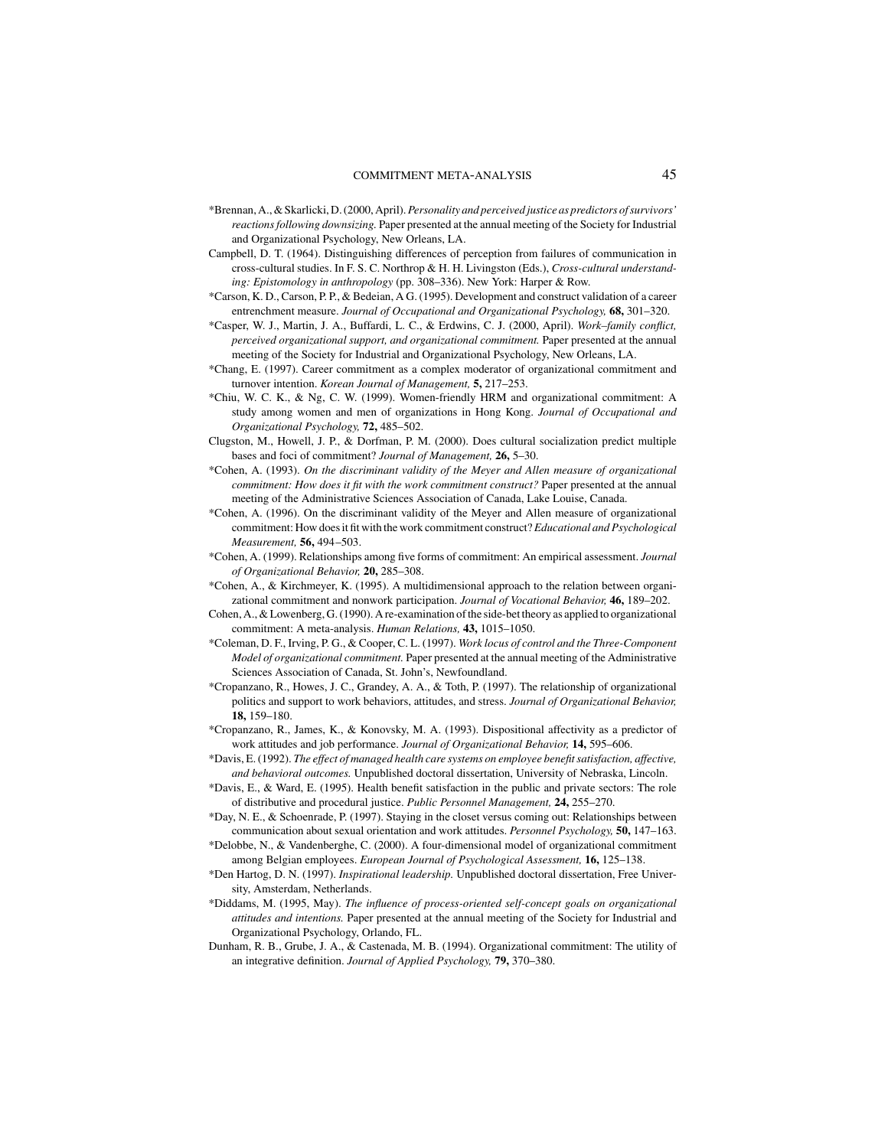- \*Brennan, A., & Skarlicki, D. (2000, April).*Personality and perceived justice as predictors of survivors' reactions following downsizing.* Paper presented at the annual meeting of the Society for Industrial and Organizational Psychology, New Orleans, LA.
- Campbell, D. T. (1964). Distinguishing differences of perception from failures of communication in cross-cultural studies. In F. S. C. Northrop & H. H. Livingston (Eds.), *Cross-cultural understanding: Epistomology in anthropology* (pp. 308–336). New York: Harper & Row.
- \*Carson, K. D., Carson, P. P., & Bedeian, A G. (1995). Development and construct validation of a career entrenchment measure. *Journal of Occupational and Organizational Psychology,* **68,** 301–320.
- \*Casper, W. J., Martin, J. A., Buffardi, L. C., & Erdwins, C. J. (2000, April). *Work–family conflict, perceived organizational support, and organizational commitment.* Paper presented at the annual meeting of the Society for Industrial and Organizational Psychology, New Orleans, LA.
- \*Chang, E. (1997). Career commitment as a complex moderator of organizational commitment and turnover intention. *Korean Journal of Management,* **5,** 217–253.
- \*Chiu, W. C. K., & Ng, C. W. (1999). Women-friendly HRM and organizational commitment: A study among women and men of organizations in Hong Kong. *Journal of Occupational and Organizational Psychology,* **72,** 485–502.
- Clugston, M., Howell, J. P., & Dorfman, P. M. (2000). Does cultural socialization predict multiple bases and foci of commitment? *Journal of Management,* **26,** 5–30.
- \*Cohen, A. (1993). *On the discriminant validity of the Meyer and Allen measure of organizational commitment: How does it fit with the work commitment construct?* Paper presented at the annual meeting of the Administrative Sciences Association of Canada, Lake Louise, Canada.
- \*Cohen, A. (1996). On the discriminant validity of the Meyer and Allen measure of organizational commitment: How does it fit with the work commitment construct?*Educational and Psychological Measurement,* **56,** 494–503.
- \*Cohen, A. (1999). Relationships among five forms of commitment: An empirical assessment. *Journal of Organizational Behavior,* **20,** 285–308.
- \*Cohen, A., & Kirchmeyer, K. (1995). A multidimensional approach to the relation between organizational commitment and nonwork participation. *Journal of Vocational Behavior,* **46,** 189–202.
- Cohen, A., & Lowenberg, G. (1990). A re-examination of the side-bet theory as applied to organizational commitment: A meta-analysis. *Human Relations,* **43,** 1015–1050.
- \*Coleman, D. F., Irving, P. G., & Cooper, C. L. (1997). *Work locus of control and the Three-Component Model of organizational commitment.* Paper presented at the annual meeting of the Administrative Sciences Association of Canada, St. John's, Newfoundland.
- \*Cropanzano, R., Howes, J. C., Grandey, A. A., & Toth, P. (1997). The relationship of organizational politics and support to work behaviors, attitudes, and stress. *Journal of Organizational Behavior,* **18,** 159–180.
- \*Cropanzano, R., James, K., & Konovsky, M. A. (1993). Dispositional affectivity as a predictor of work attitudes and job performance. *Journal of Organizational Behavior,* **14,** 595–606.
- \*Davis, E. (1992). *The effect of managed health care systems on employee benefit satisfaction, affective, and behavioral outcomes.* Unpublished doctoral dissertation, University of Nebraska, Lincoln.
- \*Davis, E., & Ward, E. (1995). Health benefit satisfaction in the public and private sectors: The role of distributive and procedural justice. *Public Personnel Management,* **24,** 255–270.
- \*Day, N. E., & Schoenrade, P. (1997). Staying in the closet versus coming out: Relationships between communication about sexual orientation and work attitudes. *Personnel Psychology,* **50,** 147–163.
- \*Delobbe, N., & Vandenberghe, C. (2000). A four-dimensional model of organizational commitment among Belgian employees. *European Journal of Psychological Assessment,* **16,** 125–138.
- \*Den Hartog, D. N. (1997). *Inspirational leadership.* Unpublished doctoral dissertation, Free University, Amsterdam, Netherlands.
- \*Diddams, M. (1995, May). *The influence of process-oriented self-concept goals on organizational attitudes and intentions.* Paper presented at the annual meeting of the Society for Industrial and Organizational Psychology, Orlando, FL.
- Dunham, R. B., Grube, J. A., & Castenada, M. B. (1994). Organizational commitment: The utility of an integrative definition. *Journal of Applied Psychology,* **79,** 370–380.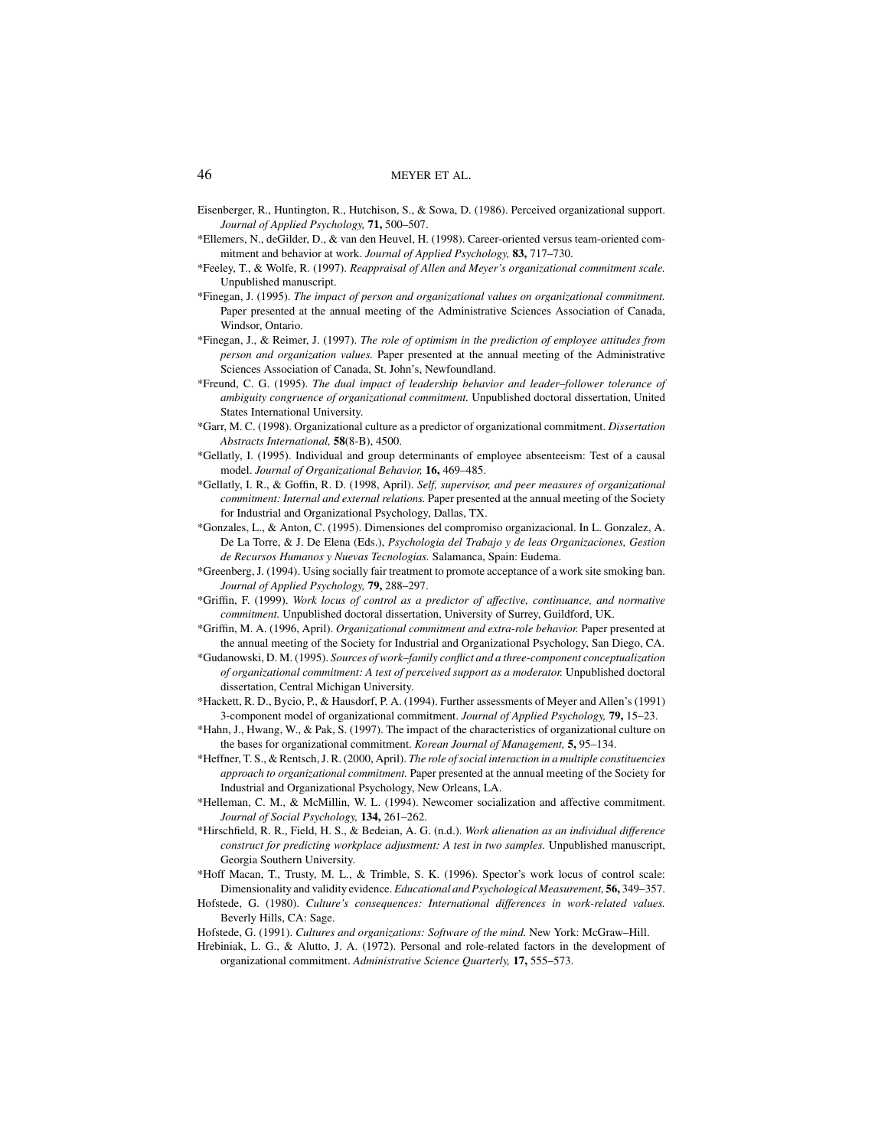- Eisenberger, R., Huntington, R., Hutchison, S., & Sowa, D. (1986). Perceived organizational support. *Journal of Applied Psychology,* **71,** 500–507.
- \*Ellemers, N., deGilder, D., & van den Heuvel, H. (1998). Career-oriented versus team-oriented commitment and behavior at work. *Journal of Applied Psychology,* **83,** 717–730.
- \*Feeley, T., & Wolfe, R. (1997). *Reappraisal of Allen and Meyer's organizational commitment scale.* Unpublished manuscript.
- \*Finegan, J. (1995). *The impact of person and organizational values on organizational commitment.* Paper presented at the annual meeting of the Administrative Sciences Association of Canada, Windsor, Ontario.
- \*Finegan, J., & Reimer, J. (1997). *The role of optimism in the prediction of employee attitudes from person and organization values.* Paper presented at the annual meeting of the Administrative Sciences Association of Canada, St. John's, Newfoundland.
- \*Freund, C. G. (1995). *The dual impact of leadership behavior and leader–follower tolerance of ambiguity congruence of organizational commitment.* Unpublished doctoral dissertation, United States International University.
- \*Garr, M. C. (1998). Organizational culture as a predictor of organizational commitment. *Dissertation Abstracts International,* **58**(8-B), 4500.
- \*Gellatly, I. (1995). Individual and group determinants of employee absenteeism: Test of a causal model. *Journal of Organizational Behavior,* **16,** 469–485.
- \*Gellatly, I. R., & Goffin, R. D. (1998, April). *Self, supervisor, and peer measures of organizational commitment: Internal and external relations.* Paper presented at the annual meeting of the Society for Industrial and Organizational Psychology, Dallas, TX.
- \*Gonzales, L., & Anton, C. (1995). Dimensiones del compromiso organizacional. In L. Gonzalez, A. De La Torre, & J. De Elena (Eds.), *Psychologia del Trabajo y de leas Organizaciones, Gestion de Recursos Humanos y Nuevas Tecnologias.* Salamanca, Spain: Eudema.
- \*Greenberg, J. (1994). Using socially fair treatment to promote acceptance of a work site smoking ban. *Journal of Applied Psychology,* **79,** 288–297.
- \*Griffin, F. (1999). *Work locus of control as a predictor of affective, continuance, and normative commitment.* Unpublished doctoral dissertation, University of Surrey, Guildford, UK.
- \*Griffin, M. A. (1996, April). *Organizational commitment and extra-role behavior.* Paper presented at the annual meeting of the Society for Industrial and Organizational Psychology, San Diego, CA.
- \*Gudanowski, D. M. (1995). *Sources of work–family conflict and a three-component conceptualization of organizational commitment: A test of perceived support as a moderator.* Unpublished doctoral dissertation, Central Michigan University.
- \*Hackett, R. D., Bycio, P., & Hausdorf, P. A. (1994). Further assessments of Meyer and Allen's (1991) 3-component model of organizational commitment. *Journal of Applied Psychology,* **79,** 15–23.
- \*Hahn, J., Hwang, W., & Pak, S. (1997). The impact of the characteristics of organizational culture on the bases for organizational commitment. *Korean Journal of Management,* **5,** 95–134.
- \*Heffner, T. S., & Rentsch, J. R. (2000, April). *The role of social interaction in a multiple constituencies approach to organizational commitment.* Paper presented at the annual meeting of the Society for Industrial and Organizational Psychology, New Orleans, LA.
- \*Helleman, C. M., & McMillin, W. L. (1994). Newcomer socialization and affective commitment. *Journal of Social Psychology,* **134,** 261–262.
- \*Hirschfield, R. R., Field, H. S., & Bedeian, A. G. (n.d.). *Work alienation as an individual difference construct for predicting workplace adjustment: A test in two samples.* Unpublished manuscript, Georgia Southern University.
- \*Hoff Macan, T., Trusty, M. L., & Trimble, S. K. (1996). Spector's work locus of control scale: Dimensionality and validity evidence. *Educational and Psychological Measurement,* **56,** 349–357.
- Hofstede, G. (1980). *Culture's consequences: International differences in work-related values.* Beverly Hills, CA: Sage.
- Hofstede, G. (1991). *Cultures and organizations: Software of the mind.* New York: McGraw–Hill.
- Hrebiniak, L. G., & Alutto, J. A. (1972). Personal and role-related factors in the development of organizational commitment. *Administrative Science Quarterly,* **17,** 555–573.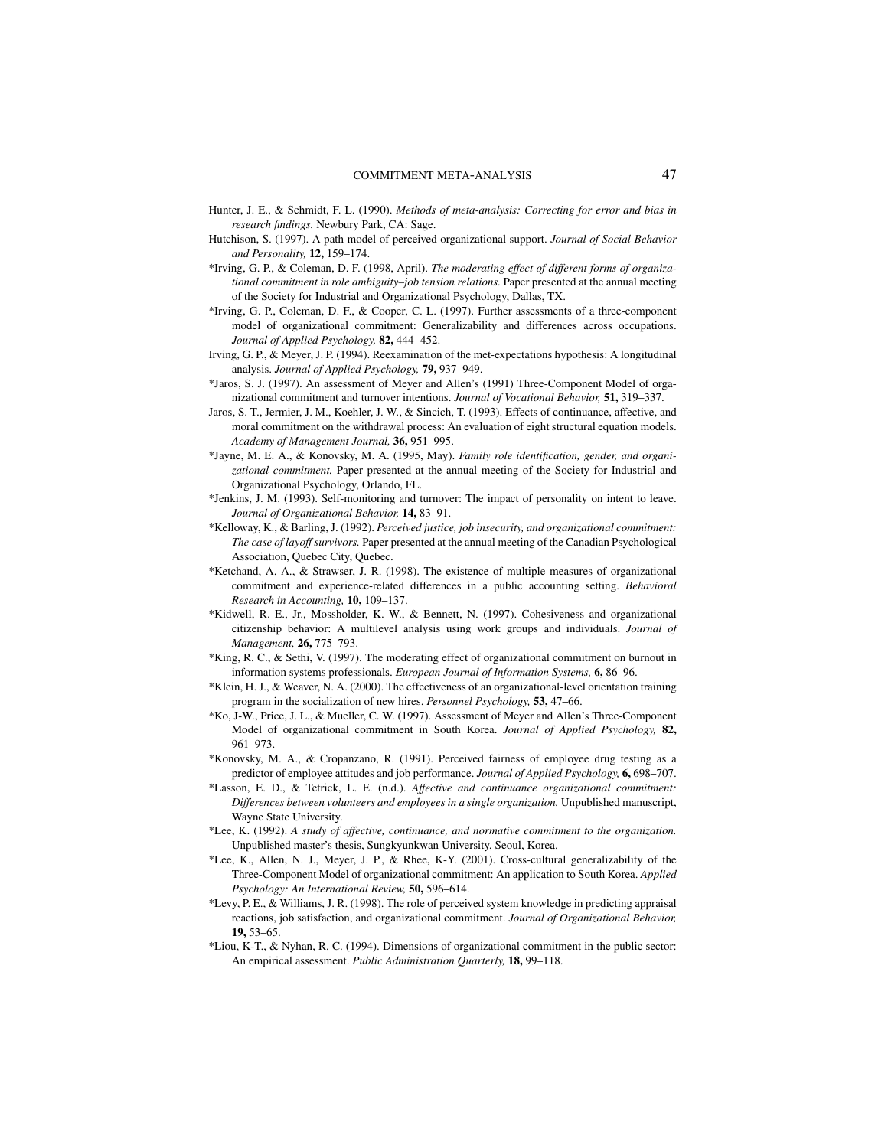- Hunter, J. E., & Schmidt, F. L. (1990). *Methods of meta-analysis: Correcting for error and bias in research findings.* Newbury Park, CA: Sage.
- Hutchison, S. (1997). A path model of perceived organizational support. *Journal of Social Behavior and Personality,* **12,** 159–174.
- \*Irving, G. P., & Coleman, D. F. (1998, April). *The moderating effect of different forms of organizational commitment in role ambiguity–job tension relations.* Paper presented at the annual meeting of the Society for Industrial and Organizational Psychology, Dallas, TX.
- \*Irving, G. P., Coleman, D. F., & Cooper, C. L. (1997). Further assessments of a three-component model of organizational commitment: Generalizability and differences across occupations. *Journal of Applied Psychology,* **82,** 444–452.
- Irving, G. P., & Meyer, J. P. (1994). Reexamination of the met-expectations hypothesis: A longitudinal analysis. *Journal of Applied Psychology,* **79,** 937–949.
- \*Jaros, S. J. (1997). An assessment of Meyer and Allen's (1991) Three-Component Model of organizational commitment and turnover intentions. *Journal of Vocational Behavior,* **51,** 319–337.
- Jaros, S. T., Jermier, J. M., Koehler, J. W., & Sincich, T. (1993). Effects of continuance, affective, and moral commitment on the withdrawal process: An evaluation of eight structural equation models. *Academy of Management Journal,* **36,** 951–995.
- \*Jayne, M. E. A., & Konovsky, M. A. (1995, May). *Family role identification, gender, and organizational commitment.* Paper presented at the annual meeting of the Society for Industrial and Organizational Psychology, Orlando, FL.
- \*Jenkins, J. M. (1993). Self-monitoring and turnover: The impact of personality on intent to leave. *Journal of Organizational Behavior,* **14,** 83–91.
- \*Kelloway, K., & Barling, J. (1992). *Perceived justice, job insecurity, and organizational commitment: The case of layoff survivors.* Paper presented at the annual meeting of the Canadian Psychological Association, Quebec City, Quebec.
- \*Ketchand, A. A., & Strawser, J. R. (1998). The existence of multiple measures of organizational commitment and experience-related differences in a public accounting setting. *Behavioral Research in Accounting,* **10,** 109–137.
- \*Kidwell, R. E., Jr., Mossholder, K. W., & Bennett, N. (1997). Cohesiveness and organizational citizenship behavior: A multilevel analysis using work groups and individuals. *Journal of Management,* **26,** 775–793.
- \*King, R. C., & Sethi, V. (1997). The moderating effect of organizational commitment on burnout in information systems professionals. *European Journal of Information Systems,* **6,** 86–96.
- \*Klein, H. J., & Weaver, N. A. (2000). The effectiveness of an organizational-level orientation training program in the socialization of new hires. *Personnel Psychology,* **53,** 47–66.
- \*Ko, J-W., Price, J. L., & Mueller, C. W. (1997). Assessment of Meyer and Allen's Three-Component Model of organizational commitment in South Korea. *Journal of Applied Psychology,* **82,** 961–973.
- \*Konovsky, M. A., & Cropanzano, R. (1991). Perceived fairness of employee drug testing as a predictor of employee attitudes and job performance. *Journal of Applied Psychology,* **6,** 698–707.
- \*Lasson, E. D., & Tetrick, L. E. (n.d.). *Affective and continuance organizational commitment: Differences between volunteers and employees in a single organization.* Unpublished manuscript, Wayne State University.
- \*Lee, K. (1992). *A study of affective, continuance, and normative commitment to the organization.* Unpublished master's thesis, Sungkyunkwan University, Seoul, Korea.
- \*Lee, K., Allen, N. J., Meyer, J. P., & Rhee, K-Y. (2001). Cross-cultural generalizability of the Three-Component Model of organizational commitment: An application to South Korea. *Applied Psychology: An International Review,* **50,** 596–614.
- \*Levy, P. E., & Williams, J. R. (1998). The role of perceived system knowledge in predicting appraisal reactions, job satisfaction, and organizational commitment. *Journal of Organizational Behavior,* **19,** 53–65.
- \*Liou, K-T., & Nyhan, R. C. (1994). Dimensions of organizational commitment in the public sector: An empirical assessment. *Public Administration Quarterly,* **18,** 99–118.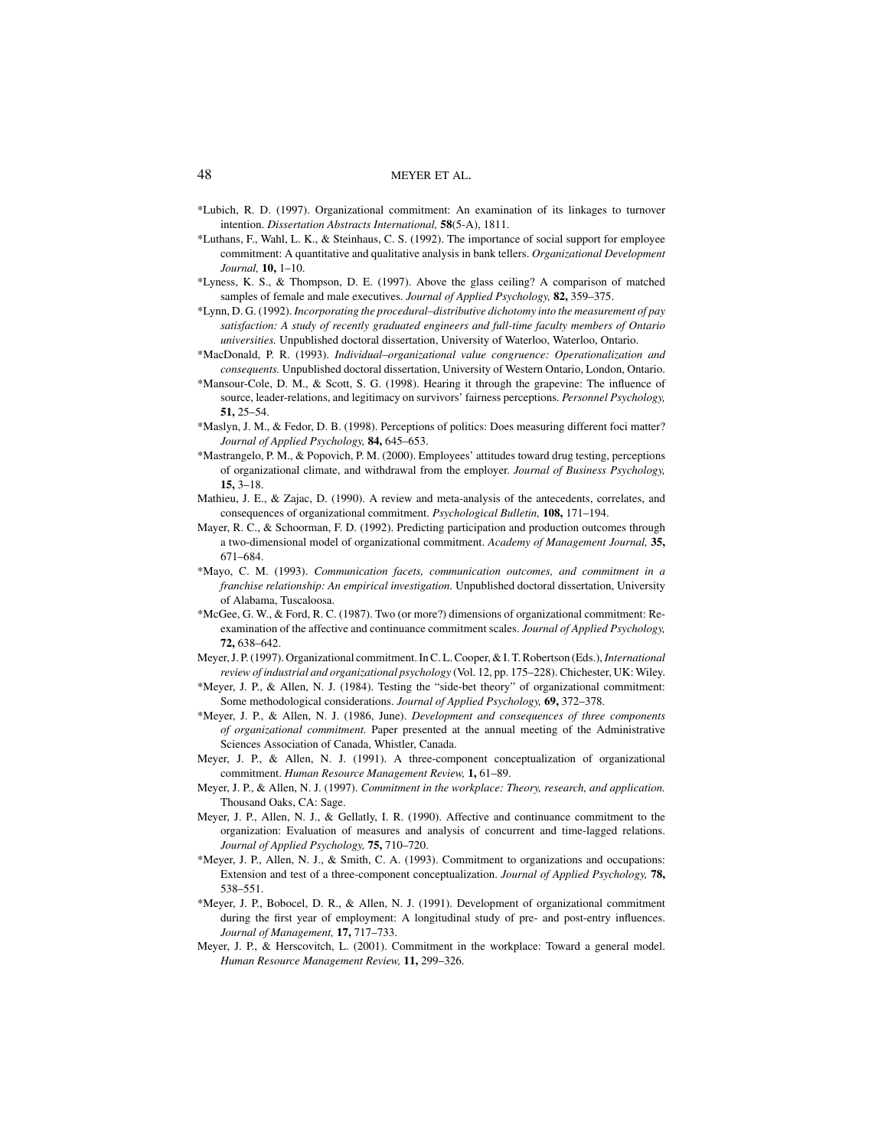- \*Lubich, R. D. (1997). Organizational commitment: An examination of its linkages to turnover intention. *Dissertation Abstracts International,* **58**(5-A), 1811.
- \*Luthans, F., Wahl, L. K., & Steinhaus, C. S. (1992). The importance of social support for employee commitment: A quantitative and qualitative analysis in bank tellers. *Organizational Development Journal,* **10,** 1–10.
- \*Lyness, K. S., & Thompson, D. E. (1997). Above the glass ceiling? A comparison of matched samples of female and male executives. *Journal of Applied Psychology,* **82,** 359–375.
- \*Lynn, D. G. (1992). *Incorporating the procedural–distributive dichotomy into the measurement of pay satisfaction: A study of recently graduated engineers and full-time faculty members of Ontario universities.* Unpublished doctoral dissertation, University of Waterloo, Waterloo, Ontario.
- \*MacDonald, P. R. (1993). *Individual–organizational value congruence: Operationalization and consequents.* Unpublished doctoral dissertation, University of Western Ontario, London, Ontario.
- \*Mansour-Cole, D. M., & Scott, S. G. (1998). Hearing it through the grapevine: The influence of source, leader-relations, and legitimacy on survivors' fairness perceptions. *Personnel Psychology,* **51,** 25–54.
- \*Maslyn, J. M., & Fedor, D. B. (1998). Perceptions of politics: Does measuring different foci matter? *Journal of Applied Psychology,* **84,** 645–653.
- \*Mastrangelo, P. M., & Popovich, P. M. (2000). Employees' attitudes toward drug testing, perceptions of organizational climate, and withdrawal from the employer. *Journal of Business Psychology,* **15,** 3–18.
- Mathieu, J. E., & Zajac, D. (1990). A review and meta-analysis of the antecedents, correlates, and consequences of organizational commitment. *Psychological Bulletin,* **108,** 171–194.
- Mayer, R. C., & Schoorman, F. D. (1992). Predicting participation and production outcomes through a two-dimensional model of organizational commitment. *Academy of Management Journal,* **35,** 671–684.
- \*Mayo, C. M. (1993). *Communication facets, communication outcomes, and commitment in a franchise relationship: An empirical investigation.* Unpublished doctoral dissertation, University of Alabama, Tuscaloosa.
- \*McGee, G. W., & Ford, R. C. (1987). Two (or more?) dimensions of organizational commitment: Reexamination of the affective and continuance commitment scales. *Journal of Applied Psychology,* **72,** 638–642.
- Meyer, J. P. (1997). Organizational commitment. In C. L. Cooper, & I. T. Robertson (Eds.),*International review of industrial and organizational psychology* (Vol. 12, pp. 175–228). Chichester, UK: Wiley.
- \*Meyer, J. P., & Allen, N. J. (1984). Testing the "side-bet theory" of organizational commitment: Some methodological considerations. *Journal of Applied Psychology,* **69,** 372–378.
- \*Meyer, J. P., & Allen, N. J. (1986, June). *Development and consequences of three components of organizational commitment.* Paper presented at the annual meeting of the Administrative Sciences Association of Canada, Whistler, Canada.
- Meyer, J. P., & Allen, N. J. (1991). A three-component conceptualization of organizational commitment. *Human Resource Management Review,* **1,** 61–89.
- Meyer, J. P., & Allen, N. J. (1997). *Commitment in the workplace: Theory, research, and application.* Thousand Oaks, CA: Sage.
- Meyer, J. P., Allen, N. J., & Gellatly, I. R. (1990). Affective and continuance commitment to the organization: Evaluation of measures and analysis of concurrent and time-lagged relations. *Journal of Applied Psychology,* **75,** 710–720.
- \*Meyer, J. P., Allen, N. J., & Smith, C. A. (1993). Commitment to organizations and occupations: Extension and test of a three-component conceptualization. *Journal of Applied Psychology,* **78,** 538–551.
- \*Meyer, J. P., Bobocel, D. R., & Allen, N. J. (1991). Development of organizational commitment during the first year of employment: A longitudinal study of pre- and post-entry influences. *Journal of Management,* **17,** 717–733.
- Meyer, J. P., & Herscovitch, L. (2001). Commitment in the workplace: Toward a general model. *Human Resource Management Review,* **11,** 299–326.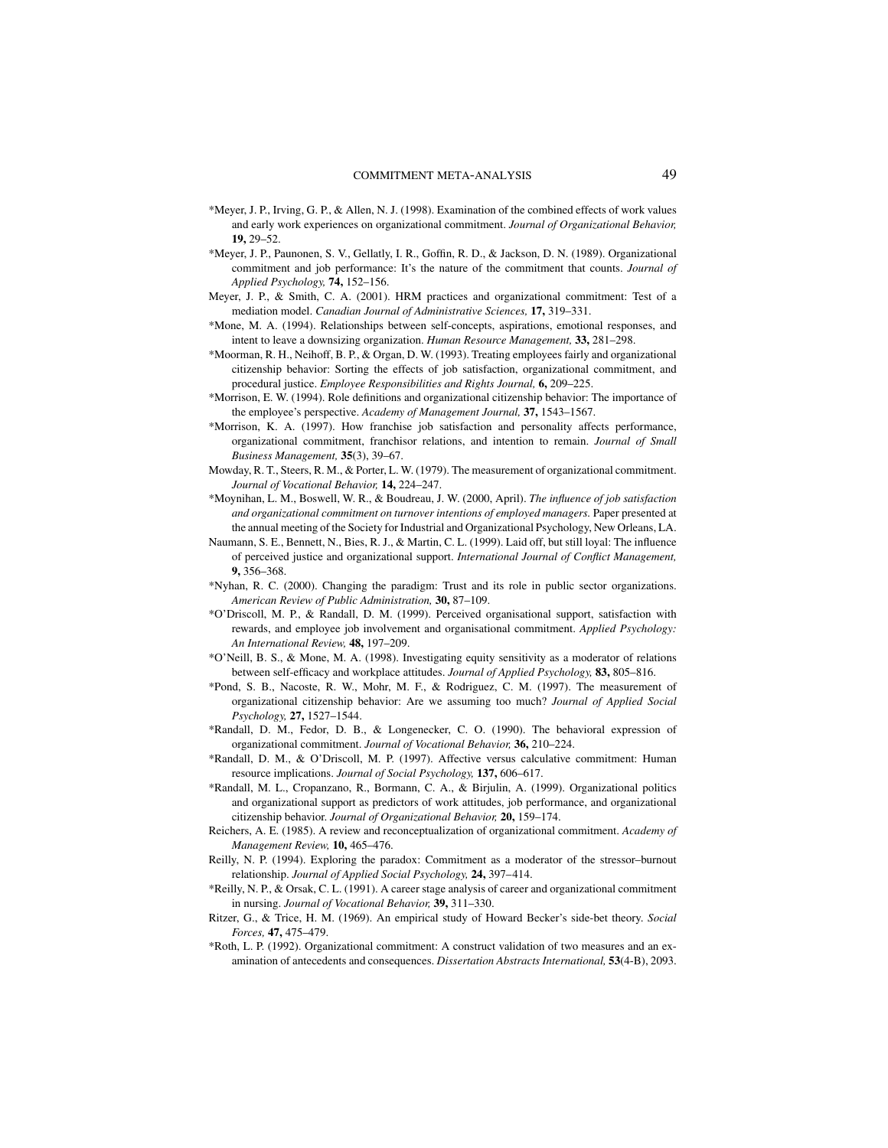- \*Meyer, J. P., Irving, G. P., & Allen, N. J. (1998). Examination of the combined effects of work values and early work experiences on organizational commitment. *Journal of Organizational Behavior,* **19,** 29–52.
- \*Meyer, J. P., Paunonen, S. V., Gellatly, I. R., Goffin, R. D., & Jackson, D. N. (1989). Organizational commitment and job performance: It's the nature of the commitment that counts. *Journal of Applied Psychology,* **74,** 152–156.
- Meyer, J. P., & Smith, C. A. (2001). HRM practices and organizational commitment: Test of a mediation model. *Canadian Journal of Administrative Sciences,* **17,** 319–331.
- \*Mone, M. A. (1994). Relationships between self-concepts, aspirations, emotional responses, and intent to leave a downsizing organization. *Human Resource Management,* **33,** 281–298.
- \*Moorman, R. H., Neihoff, B. P., & Organ, D. W. (1993). Treating employees fairly and organizational citizenship behavior: Sorting the effects of job satisfaction, organizational commitment, and procedural justice. *Employee Responsibilities and Rights Journal,* **6,** 209–225.
- \*Morrison, E. W. (1994). Role definitions and organizational citizenship behavior: The importance of the employee's perspective. *Academy of Management Journal,* **37,** 1543–1567.
- \*Morrison, K. A. (1997). How franchise job satisfaction and personality affects performance, organizational commitment, franchisor relations, and intention to remain. *Journal of Small Business Management,* **35**(3), 39–67.
- Mowday, R. T., Steers, R. M., & Porter, L. W. (1979). The measurement of organizational commitment. *Journal of Vocational Behavior,* **14,** 224–247.
- \*Moynihan, L. M., Boswell, W. R., & Boudreau, J. W. (2000, April). *The influence of job satisfaction and organizational commitment on turnover intentions of employed managers.* Paper presented at the annual meeting of the Society for Industrial and Organizational Psychology, New Orleans, LA.
- Naumann, S. E., Bennett, N., Bies, R. J., & Martin, C. L. (1999). Laid off, but still loyal: The influence of perceived justice and organizational support. *International Journal of Conflict Management,* **9,** 356–368.
- \*Nyhan, R. C. (2000). Changing the paradigm: Trust and its role in public sector organizations. *American Review of Public Administration,* **30,** 87–109.
- \*O'Driscoll, M. P., & Randall, D. M. (1999). Perceived organisational support, satisfaction with rewards, and employee job involvement and organisational commitment. *Applied Psychology: An International Review,* **48,** 197–209.
- \*O'Neill, B. S., & Mone, M. A. (1998). Investigating equity sensitivity as a moderator of relations between self-efficacy and workplace attitudes. *Journal of Applied Psychology,* **83,** 805–816.
- \*Pond, S. B., Nacoste, R. W., Mohr, M. F., & Rodriguez, C. M. (1997). The measurement of organizational citizenship behavior: Are we assuming too much? *Journal of Applied Social Psychology,* **27,** 1527–1544.
- \*Randall, D. M., Fedor, D. B., & Longenecker, C. O. (1990). The behavioral expression of organizational commitment. *Journal of Vocational Behavior,* **36,** 210–224.
- \*Randall, D. M., & O'Driscoll, M. P. (1997). Affective versus calculative commitment: Human resource implications. *Journal of Social Psychology,* **137,** 606–617.
- \*Randall, M. L., Cropanzano, R., Bormann, C. A., & Birjulin, A. (1999). Organizational politics and organizational support as predictors of work attitudes, job performance, and organizational citizenship behavior. *Journal of Organizational Behavior,* **20,** 159–174.
- Reichers, A. E. (1985). A review and reconceptualization of organizational commitment. *Academy of Management Review,* **10,** 465–476.
- Reilly, N. P. (1994). Exploring the paradox: Commitment as a moderator of the stressor–burnout relationship. *Journal of Applied Social Psychology,* **24,** 397–414.
- \*Reilly, N. P., & Orsak, C. L. (1991). A career stage analysis of career and organizational commitment in nursing. *Journal of Vocational Behavior,* **39,** 311–330.
- Ritzer, G., & Trice, H. M. (1969). An empirical study of Howard Becker's side-bet theory. *Social Forces,* **47,** 475–479.
- \*Roth, L. P. (1992). Organizational commitment: A construct validation of two measures and an examination of antecedents and consequences. *Dissertation Abstracts International,* **53**(4-B), 2093.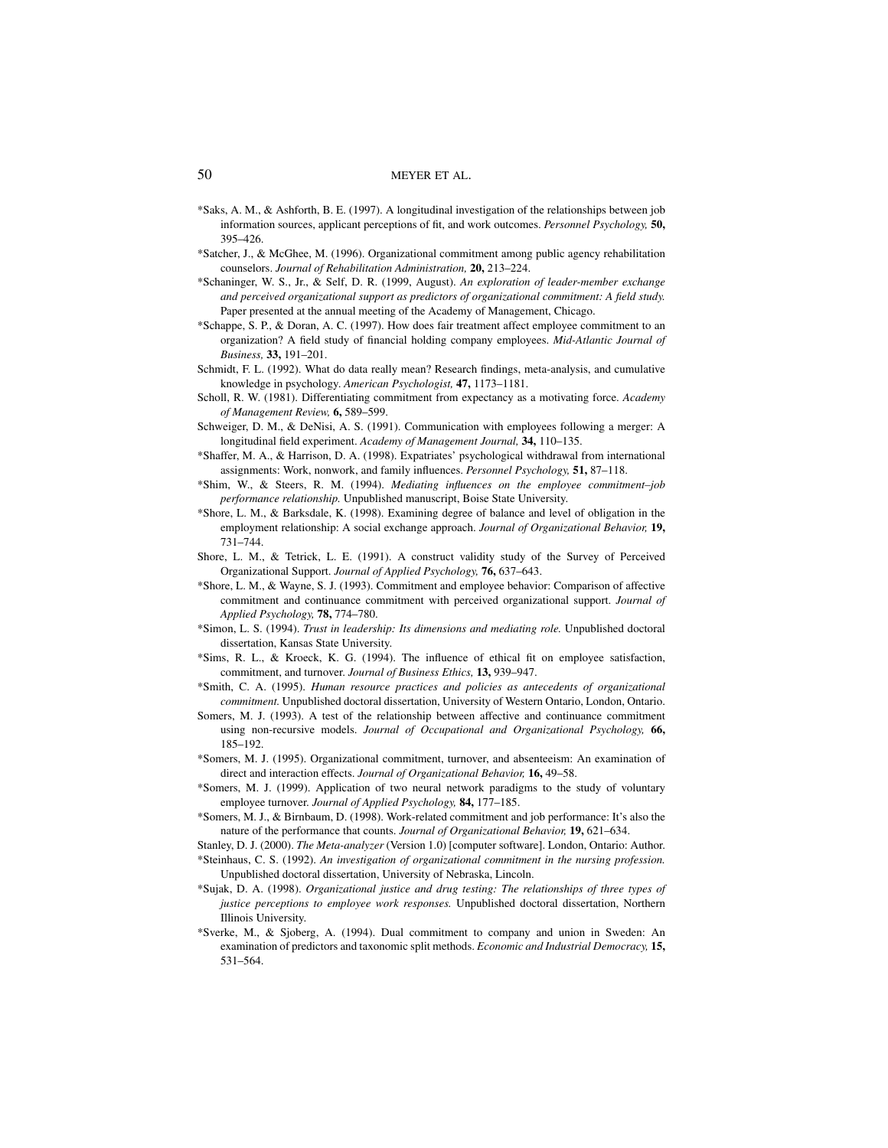- \*Saks, A. M., & Ashforth, B. E. (1997). A longitudinal investigation of the relationships between job information sources, applicant perceptions of fit, and work outcomes. *Personnel Psychology,* **50,** 395–426.
- \*Satcher, J., & McGhee, M. (1996). Organizational commitment among public agency rehabilitation counselors. *Journal of Rehabilitation Administration,* **20,** 213–224.
- \*Schaninger, W. S., Jr., & Self, D. R. (1999, August). *An exploration of leader-member exchange and perceived organizational support as predictors of organizational commitment: A field study.* Paper presented at the annual meeting of the Academy of Management, Chicago.
- \*Schappe, S. P., & Doran, A. C. (1997). How does fair treatment affect employee commitment to an organization? A field study of financial holding company employees. *Mid-Atlantic Journal of Business,* **33,** 191–201.
- Schmidt, F. L. (1992). What do data really mean? Research findings, meta-analysis, and cumulative knowledge in psychology. *American Psychologist,* **47,** 1173–1181.
- Scholl, R. W. (1981). Differentiating commitment from expectancy as a motivating force. *Academy of Management Review,* **6,** 589–599.
- Schweiger, D. M., & DeNisi, A. S. (1991). Communication with employees following a merger: A longitudinal field experiment. *Academy of Management Journal,* **34,** 110–135.
- \*Shaffer, M. A., & Harrison, D. A. (1998). Expatriates' psychological withdrawal from international assignments: Work, nonwork, and family influences. *Personnel Psychology,* **51,** 87–118.
- \*Shim, W., & Steers, R. M. (1994). *Mediating influences on the employee commitment–job performance relationship.* Unpublished manuscript, Boise State University.
- \*Shore, L. M., & Barksdale, K. (1998). Examining degree of balance and level of obligation in the employment relationship: A social exchange approach. *Journal of Organizational Behavior,* **19,** 731–744.
- Shore, L. M., & Tetrick, L. E. (1991). A construct validity study of the Survey of Perceived Organizational Support. *Journal of Applied Psychology,* **76,** 637–643.
- \*Shore, L. M., & Wayne, S. J. (1993). Commitment and employee behavior: Comparison of affective commitment and continuance commitment with perceived organizational support. *Journal of Applied Psychology,* **78,** 774–780.
- \*Simon, L. S. (1994). *Trust in leadership: Its dimensions and mediating role.* Unpublished doctoral dissertation, Kansas State University.
- \*Sims, R. L., & Kroeck, K. G. (1994). The influence of ethical fit on employee satisfaction, commitment, and turnover. *Journal of Business Ethics,* **13,** 939–947.
- \*Smith, C. A. (1995). *Human resource practices and policies as antecedents of organizational commitment.* Unpublished doctoral dissertation, University of Western Ontario, London, Ontario.
- Somers, M. J. (1993). A test of the relationship between affective and continuance commitment using non-recursive models. *Journal of Occupational and Organizational Psychology,* **66,** 185–192.
- \*Somers, M. J. (1995). Organizational commitment, turnover, and absenteeism: An examination of direct and interaction effects. *Journal of Organizational Behavior,* **16,** 49–58.
- \*Somers, M. J. (1999). Application of two neural network paradigms to the study of voluntary employee turnover. *Journal of Applied Psychology,* **84,** 177–185.
- \*Somers, M. J., & Birnbaum, D. (1998). Work-related commitment and job performance: It's also the nature of the performance that counts. *Journal of Organizational Behavior,* **19,** 621–634.
- Stanley, D. J. (2000). *The Meta-analyzer* (Version 1.0) [computer software]. London, Ontario: Author.
- \*Steinhaus, C. S. (1992). *An investigation of organizational commitment in the nursing profession.* Unpublished doctoral dissertation, University of Nebraska, Lincoln.
- \*Sujak, D. A. (1998). *Organizational justice and drug testing: The relationships of three types of justice perceptions to employee work responses.* Unpublished doctoral dissertation, Northern Illinois University.
- \*Sverke, M., & Sjoberg, A. (1994). Dual commitment to company and union in Sweden: An examination of predictors and taxonomic split methods. *Economic and Industrial Democracy,* **15,** 531–564.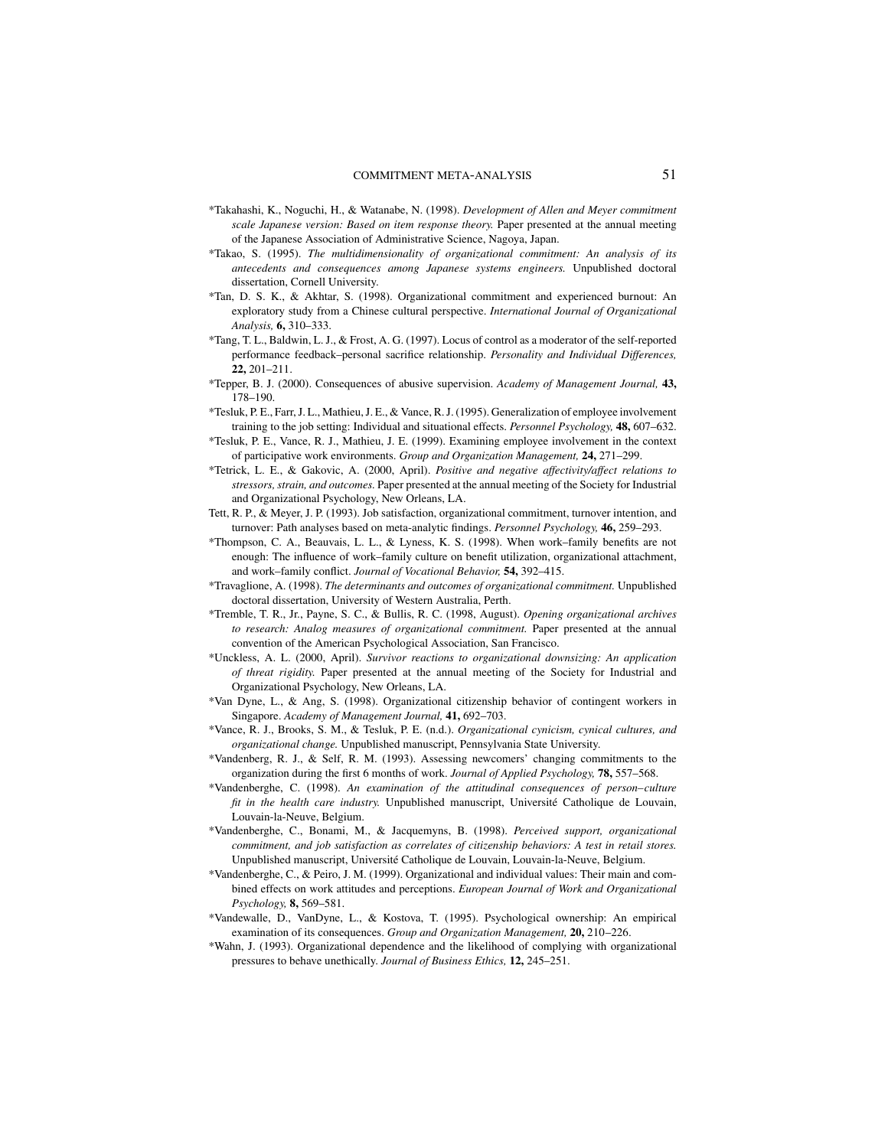- \*Takahashi, K., Noguchi, H., & Watanabe, N. (1998). *Development of Allen and Meyer commitment scale Japanese version: Based on item response theory.* Paper presented at the annual meeting of the Japanese Association of Administrative Science, Nagoya, Japan.
- \*Takao, S. (1995). *The multidimensionality of organizational commitment: An analysis of its antecedents and consequences among Japanese systems engineers.* Unpublished doctoral dissertation, Cornell University.
- \*Tan, D. S. K., & Akhtar, S. (1998). Organizational commitment and experienced burnout: An exploratory study from a Chinese cultural perspective. *International Journal of Organizational Analysis,* **6,** 310–333.
- \*Tang, T. L., Baldwin, L. J., & Frost, A. G. (1997). Locus of control as a moderator of the self-reported performance feedback–personal sacrifice relationship. *Personality and Individual Differences,* **22,** 201–211.
- \*Tepper, B. J. (2000). Consequences of abusive supervision. *Academy of Management Journal,* **43,** 178–190.
- \*Tesluk, P. E., Farr, J. L., Mathieu, J. E., & Vance, R. J. (1995). Generalization of employee involvement training to the job setting: Individual and situational effects. *Personnel Psychology,* **48,** 607–632.
- \*Tesluk, P. E., Vance, R. J., Mathieu, J. E. (1999). Examining employee involvement in the context of participative work environments. *Group and Organization Management,* **24,** 271–299.
- \*Tetrick, L. E., & Gakovic, A. (2000, April). *Positive and negative affectivity/affect relations to stressors, strain, and outcomes.* Paper presented at the annual meeting of the Society for Industrial and Organizational Psychology, New Orleans, LA.
- Tett, R. P., & Meyer, J. P. (1993). Job satisfaction, organizational commitment, turnover intention, and turnover: Path analyses based on meta-analytic findings. *Personnel Psychology,* **46,** 259–293.
- \*Thompson, C. A., Beauvais, L. L., & Lyness, K. S. (1998). When work–family benefits are not enough: The influence of work–family culture on benefit utilization, organizational attachment, and work–family conflict. *Journal of Vocational Behavior,* **54,** 392–415.
- \*Travaglione, A. (1998). *The determinants and outcomes of organizational commitment.* Unpublished doctoral dissertation, University of Western Australia, Perth.
- \*Tremble, T. R., Jr., Payne, S. C., & Bullis, R. C. (1998, August). *Opening organizational archives to research: Analog measures of organizational commitment.* Paper presented at the annual convention of the American Psychological Association, San Francisco.
- \*Unckless, A. L. (2000, April). *Survivor reactions to organizational downsizing: An application of threat rigidity.* Paper presented at the annual meeting of the Society for Industrial and Organizational Psychology, New Orleans, LA.
- \*Van Dyne, L., & Ang, S. (1998). Organizational citizenship behavior of contingent workers in Singapore. *Academy of Management Journal,* **41,** 692–703.
- \*Vance, R. J., Brooks, S. M., & Tesluk, P. E. (n.d.). *Organizational cynicism, cynical cultures, and organizational change.* Unpublished manuscript, Pennsylvania State University.
- \*Vandenberg, R. J., & Self, R. M. (1993). Assessing newcomers' changing commitments to the organization during the first 6 months of work. *Journal of Applied Psychology,* **78,** 557–568.
- \*Vandenberghe, C. (1998). *An examination of the attitudinal consequences of person–culture fit in the health care industry.* Unpublished manuscript, Université Catholique de Louvain, Louvain-la-Neuve, Belgium.
- \*Vandenberghe, C., Bonami, M., & Jacquemyns, B. (1998). *Perceived support, organizational commitment, and job satisfaction as correlates of citizenship behaviors: A test in retail stores.* Unpublished manuscript, Universite Catholique de Louvain, Louvain-la-Neuve, Belgium. ´
- \*Vandenberghe, C., & Peiro, J. M. (1999). Organizational and individual values: Their main and combined effects on work attitudes and perceptions. *European Journal of Work and Organizational Psychology,* **8,** 569–581.
- \*Vandewalle, D., VanDyne, L., & Kostova, T. (1995). Psychological ownership: An empirical examination of its consequences. *Group and Organization Management,* **20,** 210–226.
- \*Wahn, J. (1993). Organizational dependence and the likelihood of complying with organizational pressures to behave unethically. *Journal of Business Ethics,* **12,** 245–251.